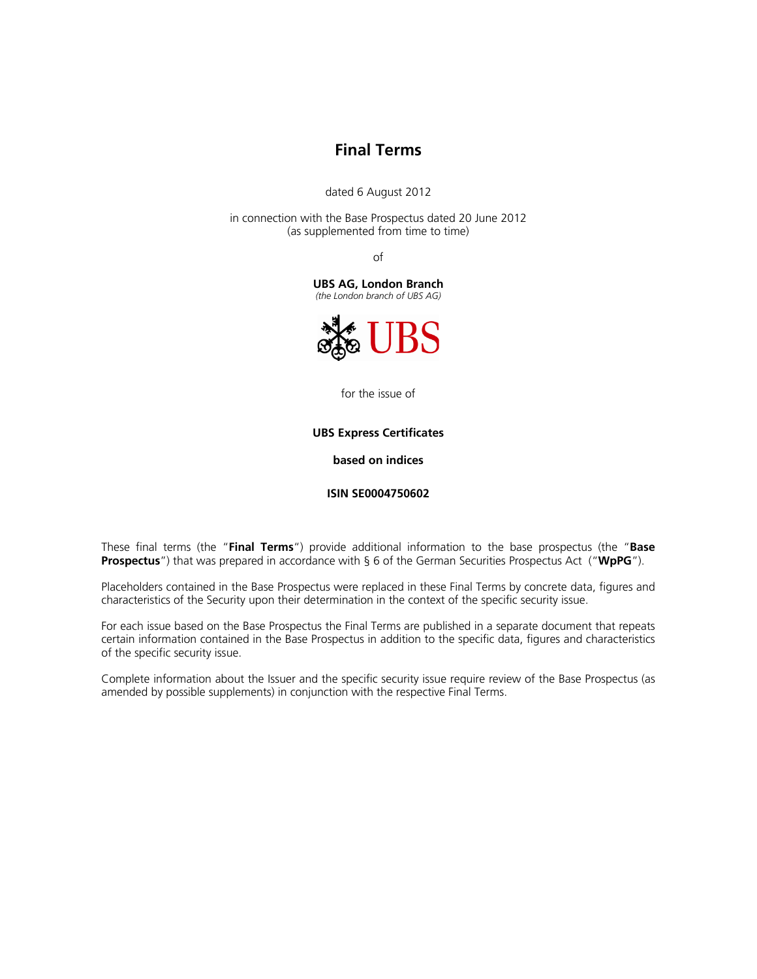# **Final Terms**

dated 6 August 2012

in connection with the Base Prospectus dated 20 June 2012 (as supplemented from time to time)

of

**UBS AG, London Branch** 

*(the London branch of UBS AG)*



for the issue of

**UBS Express Certificates** 

**based on indices** 

**ISIN SE0004750602** 

These final terms (the "**Final Terms**") provide additional information to the base prospectus (the "**Base Prospectus**") that was prepared in accordance with § 6 of the German Securities Prospectus Act ("**WpPG**").

Placeholders contained in the Base Prospectus were replaced in these Final Terms by concrete data, figures and characteristics of the Security upon their determination in the context of the specific security issue.

For each issue based on the Base Prospectus the Final Terms are published in a separate document that repeats certain information contained in the Base Prospectus in addition to the specific data, figures and characteristics of the specific security issue.

Complete information about the Issuer and the specific security issue require review of the Base Prospectus (as amended by possible supplements) in conjunction with the respective Final Terms.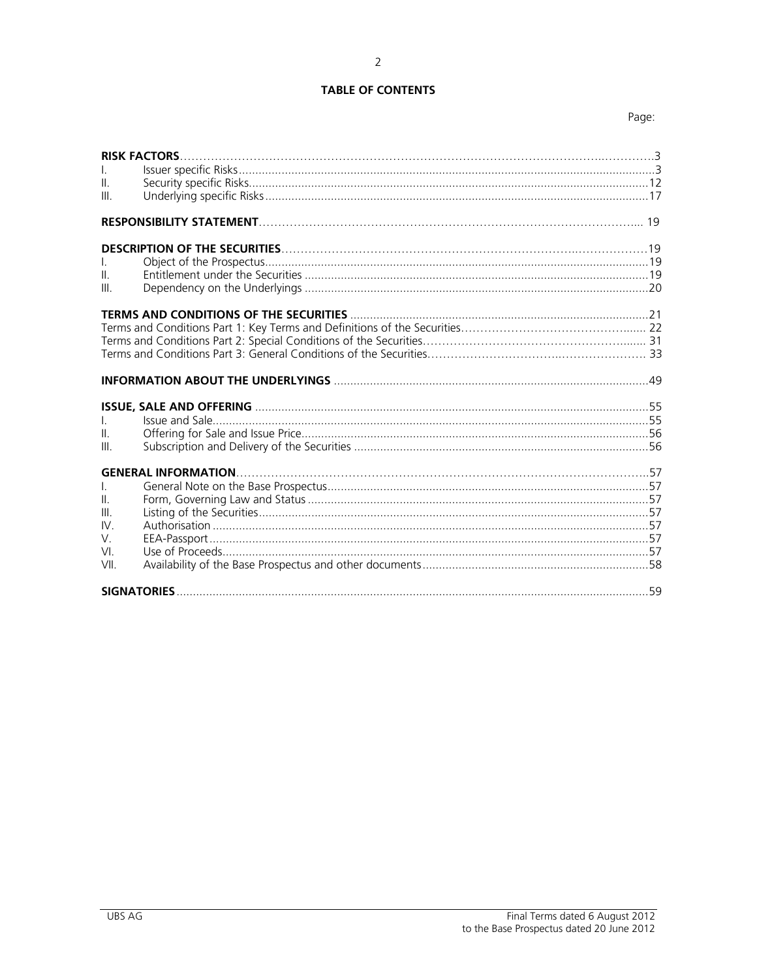# **TABLE OF CONTENTS**

| $\mathbf{H}$<br>III.                  |  |
|---------------------------------------|--|
|                                       |  |
| $\mathbb{I}$<br>Ш                     |  |
|                                       |  |
|                                       |  |
| $\mathbf{L}$<br>$\parallel$ .<br>III. |  |
| Ш.<br>Ш<br>IV.<br>V.<br>VI.<br>VII.   |  |
|                                       |  |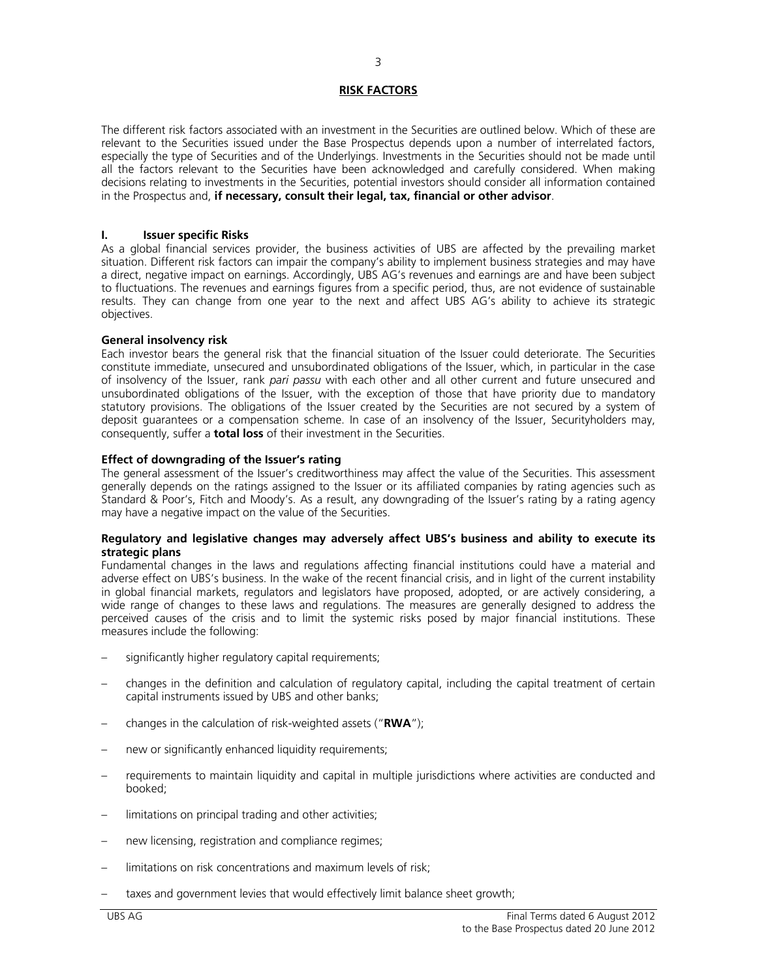# **RISK FACTORS**

The different risk factors associated with an investment in the Securities are outlined below. Which of these are relevant to the Securities issued under the Base Prospectus depends upon a number of interrelated factors, especially the type of Securities and of the Underlyings. Investments in the Securities should not be made until all the factors relevant to the Securities have been acknowledged and carefully considered. When making decisions relating to investments in the Securities, potential investors should consider all information contained in the Prospectus and, **if necessary, consult their legal, tax, financial or other advisor**.

# **I. Issuer specific Risks**

As a global financial services provider, the business activities of UBS are affected by the prevailing market situation. Different risk factors can impair the company's ability to implement business strategies and may have a direct, negative impact on earnings. Accordingly, UBS AG's revenues and earnings are and have been subject to fluctuations. The revenues and earnings figures from a specific period, thus, are not evidence of sustainable results. They can change from one year to the next and affect UBS AG's ability to achieve its strategic objectives.

# **General insolvency risk**

Each investor bears the general risk that the financial situation of the Issuer could deteriorate. The Securities constitute immediate, unsecured and unsubordinated obligations of the Issuer, which, in particular in the case of insolvency of the Issuer, rank *pari passu* with each other and all other current and future unsecured and unsubordinated obligations of the Issuer, with the exception of those that have priority due to mandatory statutory provisions. The obligations of the Issuer created by the Securities are not secured by a system of deposit guarantees or a compensation scheme. In case of an insolvency of the Issuer, Securityholders may, consequently, suffer a **total loss** of their investment in the Securities.

# **Effect of downgrading of the Issuer's rating**

The general assessment of the Issuer's creditworthiness may affect the value of the Securities. This assessment generally depends on the ratings assigned to the Issuer or its affiliated companies by rating agencies such as Standard & Poor's, Fitch and Moody's. As a result, any downgrading of the Issuer's rating by a rating agency may have a negative impact on the value of the Securities.

#### **Regulatory and legislative changes may adversely affect UBS's business and ability to execute its strategic plans**

Fundamental changes in the laws and regulations affecting financial institutions could have a material and adverse effect on UBS's business. In the wake of the recent financial crisis, and in light of the current instability in global financial markets, regulators and legislators have proposed, adopted, or are actively considering, a wide range of changes to these laws and regulations. The measures are generally designed to address the perceived causes of the crisis and to limit the systemic risks posed by major financial institutions. These measures include the following:

- significantly higher regulatory capital requirements;
- changes in the definition and calculation of regulatory capital, including the capital treatment of certain capital instruments issued by UBS and other banks;
- changes in the calculation of risk-weighted assets ("**RWA**");
- new or significantly enhanced liquidity requirements;
- requirements to maintain liquidity and capital in multiple jurisdictions where activities are conducted and booked;
- limitations on principal trading and other activities;
- new licensing, registration and compliance regimes;
- limitations on risk concentrations and maximum levels of risk:
- taxes and government levies that would effectively limit balance sheet growth;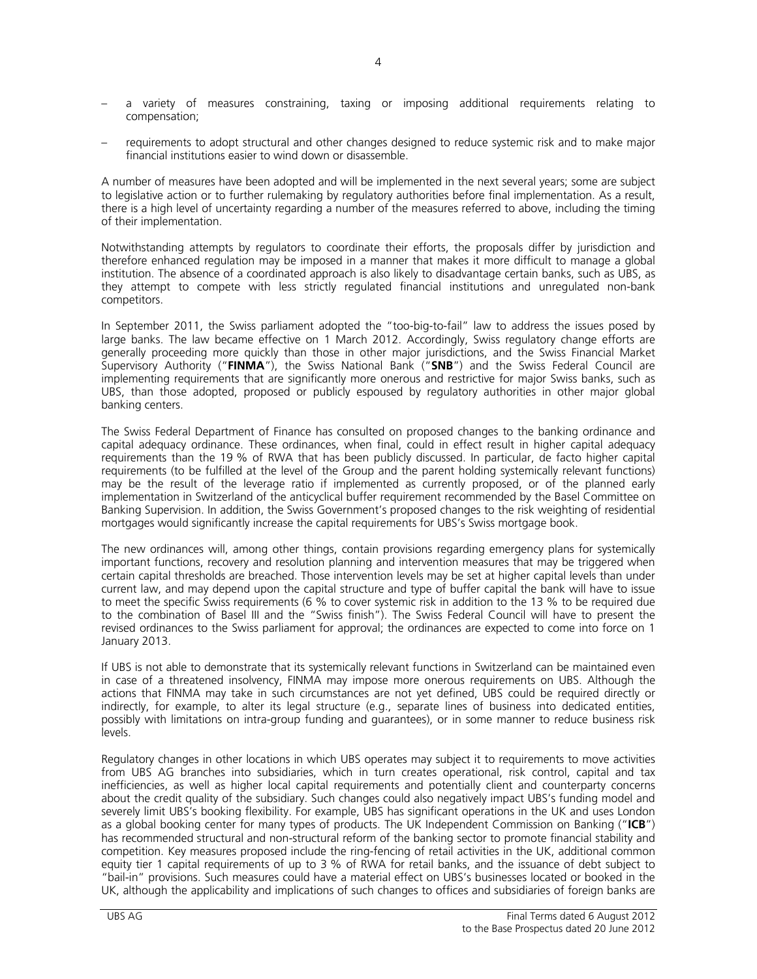- a variety of measures constraining, taxing or imposing additional requirements relating to compensation;
- requirements to adopt structural and other changes designed to reduce systemic risk and to make major financial institutions easier to wind down or disassemble.

A number of measures have been adopted and will be implemented in the next several years; some are subject to legislative action or to further rulemaking by regulatory authorities before final implementation. As a result, there is a high level of uncertainty regarding a number of the measures referred to above, including the timing of their implementation.

Notwithstanding attempts by regulators to coordinate their efforts, the proposals differ by jurisdiction and therefore enhanced regulation may be imposed in a manner that makes it more difficult to manage a global institution. The absence of a coordinated approach is also likely to disadvantage certain banks, such as UBS, as they attempt to compete with less strictly regulated financial institutions and unregulated non-bank competitors.

In September 2011, the Swiss parliament adopted the "too-big-to-fail" law to address the issues posed by large banks. The law became effective on 1 March 2012. Accordingly, Swiss regulatory change efforts are generally proceeding more quickly than those in other major jurisdictions, and the Swiss Financial Market Supervisory Authority ("**FINMA**"), the Swiss National Bank ("**SNB**") and the Swiss Federal Council are implementing requirements that are significantly more onerous and restrictive for major Swiss banks, such as UBS, than those adopted, proposed or publicly espoused by regulatory authorities in other major global banking centers.

The Swiss Federal Department of Finance has consulted on proposed changes to the banking ordinance and capital adequacy ordinance. These ordinances, when final, could in effect result in higher capital adequacy requirements than the 19 % of RWA that has been publicly discussed. In particular, de facto higher capital requirements (to be fulfilled at the level of the Group and the parent holding systemically relevant functions) may be the result of the leverage ratio if implemented as currently proposed, or of the planned early implementation in Switzerland of the anticyclical buffer requirement recommended by the Basel Committee on Banking Supervision. In addition, the Swiss Government's proposed changes to the risk weighting of residential mortgages would significantly increase the capital requirements for UBS's Swiss mortgage book.

The new ordinances will, among other things, contain provisions regarding emergency plans for systemically important functions, recovery and resolution planning and intervention measures that may be triggered when certain capital thresholds are breached. Those intervention levels may be set at higher capital levels than under current law, and may depend upon the capital structure and type of buffer capital the bank will have to issue to meet the specific Swiss requirements (6 % to cover systemic risk in addition to the 13 % to be required due to the combination of Basel III and the "Swiss finish"). The Swiss Federal Council will have to present the revised ordinances to the Swiss parliament for approval; the ordinances are expected to come into force on 1 January 2013.

If UBS is not able to demonstrate that its systemically relevant functions in Switzerland can be maintained even in case of a threatened insolvency, FINMA may impose more onerous requirements on UBS. Although the actions that FINMA may take in such circumstances are not yet defined, UBS could be required directly or indirectly, for example, to alter its legal structure (e.g., separate lines of business into dedicated entities, possibly with limitations on intra-group funding and guarantees), or in some manner to reduce business risk levels.

Regulatory changes in other locations in which UBS operates may subject it to requirements to move activities from UBS AG branches into subsidiaries, which in turn creates operational, risk control, capital and tax inefficiencies, as well as higher local capital requirements and potentially client and counterparty concerns about the credit quality of the subsidiary. Such changes could also negatively impact UBS's funding model and severely limit UBS's booking flexibility. For example, UBS has significant operations in the UK and uses London as a global booking center for many types of products. The UK Independent Commission on Banking ("**ICB**") has recommended structural and non-structural reform of the banking sector to promote financial stability and competition. Key measures proposed include the ring-fencing of retail activities in the UK, additional common equity tier 1 capital requirements of up to 3 % of RWA for retail banks, and the issuance of debt subject to "bail-in" provisions. Such measures could have a material effect on UBS's businesses located or booked in the UK, although the applicability and implications of such changes to offices and subsidiaries of foreign banks are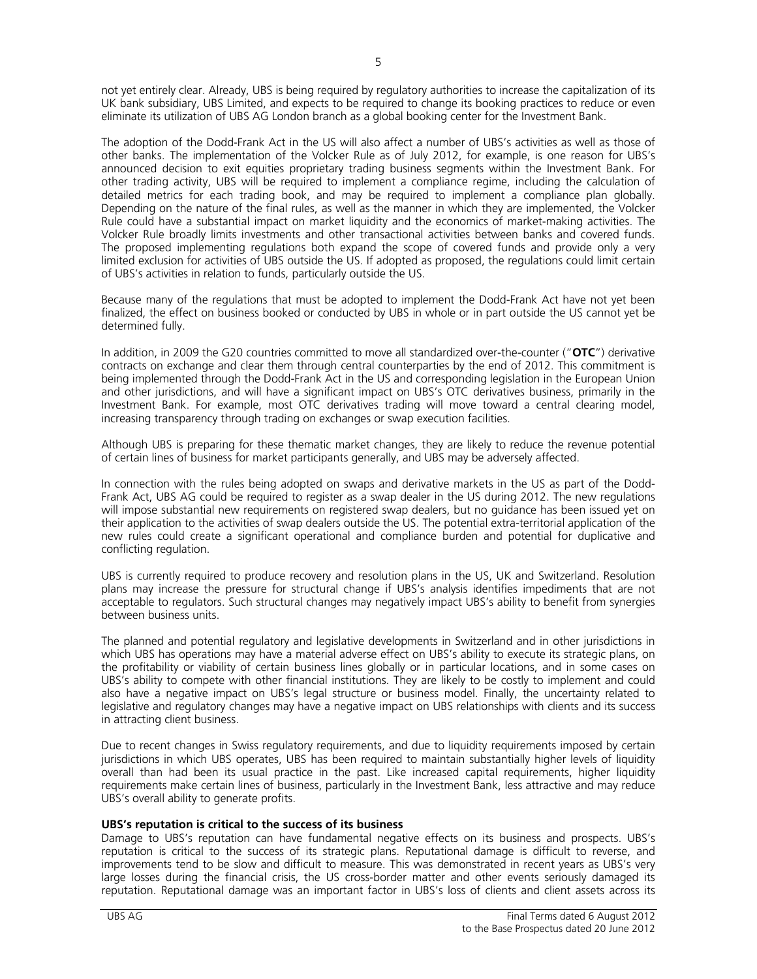not yet entirely clear. Already, UBS is being required by regulatory authorities to increase the capitalization of its UK bank subsidiary, UBS Limited, and expects to be required to change its booking practices to reduce or even eliminate its utilization of UBS AG London branch as a global booking center for the Investment Bank.

The adoption of the Dodd-Frank Act in the US will also affect a number of UBS's activities as well as those of other banks. The implementation of the Volcker Rule as of July 2012, for example, is one reason for UBS's announced decision to exit equities proprietary trading business segments within the Investment Bank. For other trading activity, UBS will be required to implement a compliance regime, including the calculation of detailed metrics for each trading book, and may be required to implement a compliance plan globally. Depending on the nature of the final rules, as well as the manner in which they are implemented, the Volcker Rule could have a substantial impact on market liquidity and the economics of market-making activities. The Volcker Rule broadly limits investments and other transactional activities between banks and covered funds. The proposed implementing regulations both expand the scope of covered funds and provide only a very limited exclusion for activities of UBS outside the US. If adopted as proposed, the regulations could limit certain of UBS's activities in relation to funds, particularly outside the US.

Because many of the regulations that must be adopted to implement the Dodd-Frank Act have not yet been finalized, the effect on business booked or conducted by UBS in whole or in part outside the US cannot yet be determined fully.

In addition, in 2009 the G20 countries committed to move all standardized over-the-counter ("**OTC**") derivative contracts on exchange and clear them through central counterparties by the end of 2012. This commitment is being implemented through the Dodd-Frank Act in the US and corresponding legislation in the European Union and other jurisdictions, and will have a significant impact on UBS's OTC derivatives business, primarily in the Investment Bank. For example, most OTC derivatives trading will move toward a central clearing model, increasing transparency through trading on exchanges or swap execution facilities.

Although UBS is preparing for these thematic market changes, they are likely to reduce the revenue potential of certain lines of business for market participants generally, and UBS may be adversely affected.

In connection with the rules being adopted on swaps and derivative markets in the US as part of the Dodd-Frank Act, UBS AG could be required to register as a swap dealer in the US during 2012. The new regulations will impose substantial new requirements on registered swap dealers, but no guidance has been issued yet on their application to the activities of swap dealers outside the US. The potential extra-territorial application of the new rules could create a significant operational and compliance burden and potential for duplicative and conflicting regulation.

UBS is currently required to produce recovery and resolution plans in the US, UK and Switzerland. Resolution plans may increase the pressure for structural change if UBS's analysis identifies impediments that are not acceptable to regulators. Such structural changes may negatively impact UBS's ability to benefit from synergies between business units.

The planned and potential regulatory and legislative developments in Switzerland and in other jurisdictions in which UBS has operations may have a material adverse effect on UBS's ability to execute its strategic plans, on the profitability or viability of certain business lines globally or in particular locations, and in some cases on UBS's ability to compete with other financial institutions. They are likely to be costly to implement and could also have a negative impact on UBS's legal structure or business model. Finally, the uncertainty related to legislative and regulatory changes may have a negative impact on UBS relationships with clients and its success in attracting client business.

Due to recent changes in Swiss regulatory requirements, and due to liquidity requirements imposed by certain jurisdictions in which UBS operates, UBS has been required to maintain substantially higher levels of liquidity overall than had been its usual practice in the past. Like increased capital requirements, higher liquidity requirements make certain lines of business, particularly in the Investment Bank, less attractive and may reduce UBS's overall ability to generate profits.

# **UBS's reputation is critical to the success of its business**

Damage to UBS's reputation can have fundamental negative effects on its business and prospects. UBS's reputation is critical to the success of its strategic plans. Reputational damage is difficult to reverse, and improvements tend to be slow and difficult to measure. This was demonstrated in recent years as UBS's very large losses during the financial crisis, the US cross-border matter and other events seriously damaged its reputation. Reputational damage was an important factor in UBS's loss of clients and client assets across its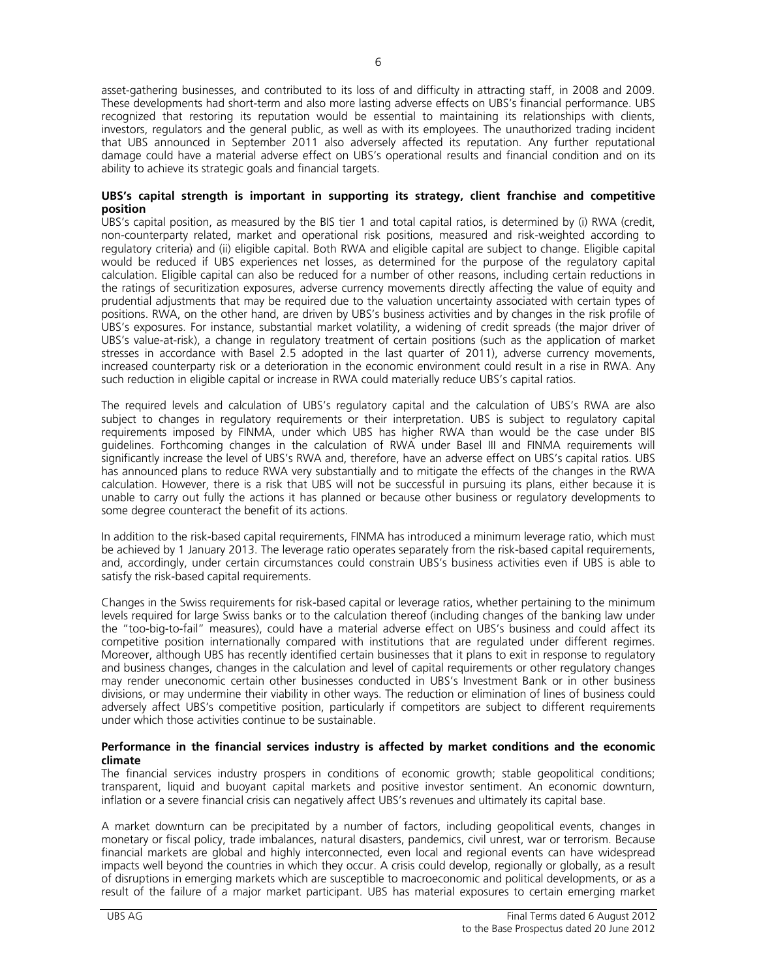asset-gathering businesses, and contributed to its loss of and difficulty in attracting staff, in 2008 and 2009. These developments had short-term and also more lasting adverse effects on UBS's financial performance. UBS recognized that restoring its reputation would be essential to maintaining its relationships with clients, investors, regulators and the general public, as well as with its employees. The unauthorized trading incident that UBS announced in September 2011 also adversely affected its reputation. Any further reputational damage could have a material adverse effect on UBS's operational results and financial condition and on its ability to achieve its strategic goals and financial targets.

### **UBS's capital strength is important in supporting its strategy, client franchise and competitive position**

UBS's capital position, as measured by the BIS tier 1 and total capital ratios, is determined by (i) RWA (credit, non-counterparty related, market and operational risk positions, measured and risk-weighted according to regulatory criteria) and (ii) eligible capital. Both RWA and eligible capital are subject to change. Eligible capital would be reduced if UBS experiences net losses, as determined for the purpose of the regulatory capital calculation. Eligible capital can also be reduced for a number of other reasons, including certain reductions in the ratings of securitization exposures, adverse currency movements directly affecting the value of equity and prudential adjustments that may be required due to the valuation uncertainty associated with certain types of positions. RWA, on the other hand, are driven by UBS's business activities and by changes in the risk profile of UBS's exposures. For instance, substantial market volatility, a widening of credit spreads (the major driver of UBS's value-at-risk), a change in regulatory treatment of certain positions (such as the application of market stresses in accordance with Basel 2.5 adopted in the last quarter of 2011), adverse currency movements, increased counterparty risk or a deterioration in the economic environment could result in a rise in RWA. Any such reduction in eligible capital or increase in RWA could materially reduce UBS's capital ratios.

The required levels and calculation of UBS's regulatory capital and the calculation of UBS's RWA are also subject to changes in regulatory requirements or their interpretation. UBS is subject to regulatory capital requirements imposed by FINMA, under which UBS has higher RWA than would be the case under BIS guidelines. Forthcoming changes in the calculation of RWA under Basel III and FINMA requirements will significantly increase the level of UBS's RWA and, therefore, have an adverse effect on UBS's capital ratios. UBS has announced plans to reduce RWA very substantially and to mitigate the effects of the changes in the RWA calculation. However, there is a risk that UBS will not be successful in pursuing its plans, either because it is unable to carry out fully the actions it has planned or because other business or regulatory developments to some degree counteract the benefit of its actions.

In addition to the risk-based capital requirements, FINMA has introduced a minimum leverage ratio, which must be achieved by 1 January 2013. The leverage ratio operates separately from the risk-based capital requirements, and, accordingly, under certain circumstances could constrain UBS's business activities even if UBS is able to satisfy the risk-based capital requirements.

Changes in the Swiss requirements for risk-based capital or leverage ratios, whether pertaining to the minimum levels required for large Swiss banks or to the calculation thereof (including changes of the banking law under the "too-big-to-fail" measures), could have a material adverse effect on UBS's business and could affect its competitive position internationally compared with institutions that are regulated under different regimes. Moreover, although UBS has recently identified certain businesses that it plans to exit in response to regulatory and business changes, changes in the calculation and level of capital requirements or other regulatory changes may render uneconomic certain other businesses conducted in UBS's Investment Bank or in other business divisions, or may undermine their viability in other ways. The reduction or elimination of lines of business could adversely affect UBS's competitive position, particularly if competitors are subject to different requirements under which those activities continue to be sustainable.

#### **Performance in the financial services industry is affected by market conditions and the economic climate**

The financial services industry prospers in conditions of economic growth; stable geopolitical conditions; transparent, liquid and buoyant capital markets and positive investor sentiment. An economic downturn, inflation or a severe financial crisis can negatively affect UBS's revenues and ultimately its capital base.

A market downturn can be precipitated by a number of factors, including geopolitical events, changes in monetary or fiscal policy, trade imbalances, natural disasters, pandemics, civil unrest, war or terrorism. Because financial markets are global and highly interconnected, even local and regional events can have widespread impacts well beyond the countries in which they occur. A crisis could develop, regionally or globally, as a result of disruptions in emerging markets which are susceptible to macroeconomic and political developments, or as a result of the failure of a major market participant. UBS has material exposures to certain emerging market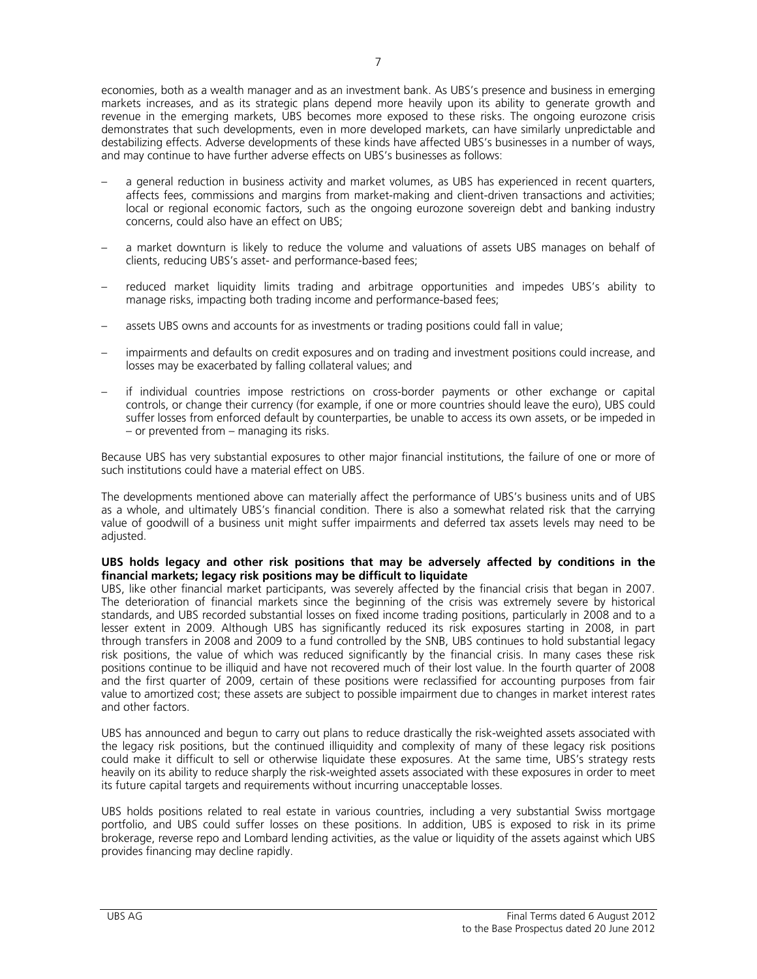economies, both as a wealth manager and as an investment bank. As UBS's presence and business in emerging markets increases, and as its strategic plans depend more heavily upon its ability to generate growth and revenue in the emerging markets, UBS becomes more exposed to these risks. The ongoing eurozone crisis demonstrates that such developments, even in more developed markets, can have similarly unpredictable and destabilizing effects. Adverse developments of these kinds have affected UBS's businesses in a number of ways, and may continue to have further adverse effects on UBS's businesses as follows:

- a general reduction in business activity and market volumes, as UBS has experienced in recent quarters, affects fees, commissions and margins from market-making and client-driven transactions and activities; local or regional economic factors, such as the ongoing eurozone sovereign debt and banking industry concerns, could also have an effect on UBS;
- a market downturn is likely to reduce the volume and valuations of assets UBS manages on behalf of clients, reducing UBS's asset- and performance-based fees;
- reduced market liquidity limits trading and arbitrage opportunities and impedes UBS's ability to manage risks, impacting both trading income and performance-based fees;
- assets UBS owns and accounts for as investments or trading positions could fall in value;
- impairments and defaults on credit exposures and on trading and investment positions could increase, and losses may be exacerbated by falling collateral values; and
- if individual countries impose restrictions on cross-border payments or other exchange or capital controls, or change their currency (for example, if one or more countries should leave the euro), UBS could suffer losses from enforced default by counterparties, be unable to access its own assets, or be impeded in – or prevented from – managing its risks.

Because UBS has very substantial exposures to other major financial institutions, the failure of one or more of such institutions could have a material effect on UBS.

The developments mentioned above can materially affect the performance of UBS's business units and of UBS as a whole, and ultimately UBS's financial condition. There is also a somewhat related risk that the carrying value of goodwill of a business unit might suffer impairments and deferred tax assets levels may need to be adjusted.

#### **UBS holds legacy and other risk positions that may be adversely affected by conditions in the financial markets; legacy risk positions may be difficult to liquidate**

UBS, like other financial market participants, was severely affected by the financial crisis that began in 2007. The deterioration of financial markets since the beginning of the crisis was extremely severe by historical standards, and UBS recorded substantial losses on fixed income trading positions, particularly in 2008 and to a lesser extent in 2009. Although UBS has significantly reduced its risk exposures starting in 2008, in part through transfers in 2008 and 2009 to a fund controlled by the SNB, UBS continues to hold substantial legacy risk positions, the value of which was reduced significantly by the financial crisis. In many cases these risk positions continue to be illiquid and have not recovered much of their lost value. In the fourth quarter of 2008 and the first quarter of 2009, certain of these positions were reclassified for accounting purposes from fair value to amortized cost; these assets are subject to possible impairment due to changes in market interest rates and other factors.

UBS has announced and begun to carry out plans to reduce drastically the risk-weighted assets associated with the legacy risk positions, but the continued illiquidity and complexity of many of these legacy risk positions could make it difficult to sell or otherwise liquidate these exposures. At the same time, UBS's strategy rests heavily on its ability to reduce sharply the risk-weighted assets associated with these exposures in order to meet its future capital targets and requirements without incurring unacceptable losses.

UBS holds positions related to real estate in various countries, including a very substantial Swiss mortgage portfolio, and UBS could suffer losses on these positions. In addition, UBS is exposed to risk in its prime brokerage, reverse repo and Lombard lending activities, as the value or liquidity of the assets against which UBS provides financing may decline rapidly.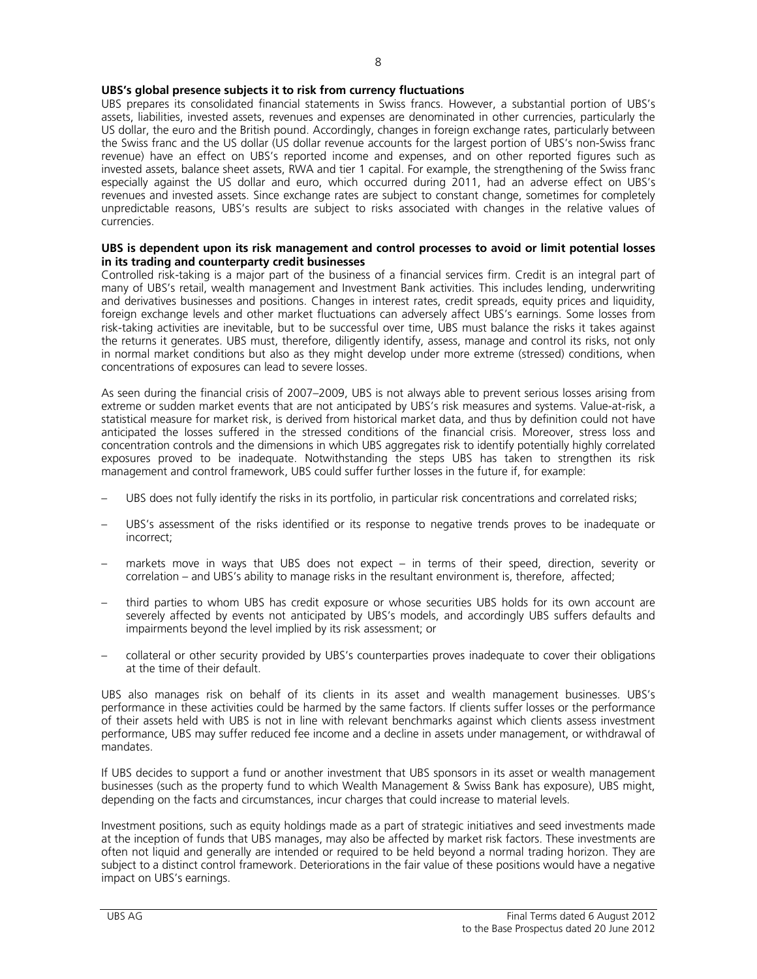# **UBS's global presence subjects it to risk from currency fluctuations**

UBS prepares its consolidated financial statements in Swiss francs. However, a substantial portion of UBS's assets, liabilities, invested assets, revenues and expenses are denominated in other currencies, particularly the US dollar, the euro and the British pound. Accordingly, changes in foreign exchange rates, particularly between the Swiss franc and the US dollar (US dollar revenue accounts for the largest portion of UBS's non-Swiss franc revenue) have an effect on UBS's reported income and expenses, and on other reported figures such as invested assets, balance sheet assets, RWA and tier 1 capital. For example, the strengthening of the Swiss franc especially against the US dollar and euro, which occurred during 2011, had an adverse effect on UBS's revenues and invested assets. Since exchange rates are subject to constant change, sometimes for completely unpredictable reasons, UBS's results are subject to risks associated with changes in the relative values of currencies.

#### **UBS is dependent upon its risk management and control processes to avoid or limit potential losses in its trading and counterparty credit businesses**

Controlled risk-taking is a major part of the business of a financial services firm. Credit is an integral part of many of UBS's retail, wealth management and Investment Bank activities. This includes lending, underwriting and derivatives businesses and positions. Changes in interest rates, credit spreads, equity prices and liquidity, foreign exchange levels and other market fluctuations can adversely affect UBS's earnings. Some losses from risk-taking activities are inevitable, but to be successful over time, UBS must balance the risks it takes against the returns it generates. UBS must, therefore, diligently identify, assess, manage and control its risks, not only in normal market conditions but also as they might develop under more extreme (stressed) conditions, when concentrations of exposures can lead to severe losses.

As seen during the financial crisis of 2007–2009, UBS is not always able to prevent serious losses arising from extreme or sudden market events that are not anticipated by UBS's risk measures and systems. Value-at-risk, a statistical measure for market risk, is derived from historical market data, and thus by definition could not have anticipated the losses suffered in the stressed conditions of the financial crisis. Moreover, stress loss and concentration controls and the dimensions in which UBS aggregates risk to identify potentially highly correlated exposures proved to be inadequate. Notwithstanding the steps UBS has taken to strengthen its risk management and control framework, UBS could suffer further losses in the future if, for example:

- UBS does not fully identify the risks in its portfolio, in particular risk concentrations and correlated risks;
- UBS's assessment of the risks identified or its response to negative trends proves to be inadequate or incorrect;
- markets move in ways that UBS does not expect in terms of their speed, direction, severity or correlation – and UBS's ability to manage risks in the resultant environment is, therefore, affected;
- third parties to whom UBS has credit exposure or whose securities UBS holds for its own account are severely affected by events not anticipated by UBS's models, and accordingly UBS suffers defaults and impairments beyond the level implied by its risk assessment; or
- collateral or other security provided by UBS's counterparties proves inadequate to cover their obligations at the time of their default.

UBS also manages risk on behalf of its clients in its asset and wealth management businesses. UBS's performance in these activities could be harmed by the same factors. If clients suffer losses or the performance of their assets held with UBS is not in line with relevant benchmarks against which clients assess investment performance, UBS may suffer reduced fee income and a decline in assets under management, or withdrawal of mandates.

If UBS decides to support a fund or another investment that UBS sponsors in its asset or wealth management businesses (such as the property fund to which Wealth Management & Swiss Bank has exposure), UBS might, depending on the facts and circumstances, incur charges that could increase to material levels.

Investment positions, such as equity holdings made as a part of strategic initiatives and seed investments made at the inception of funds that UBS manages, may also be affected by market risk factors. These investments are often not liquid and generally are intended or required to be held beyond a normal trading horizon. They are subject to a distinct control framework. Deteriorations in the fair value of these positions would have a negative impact on UBS's earnings.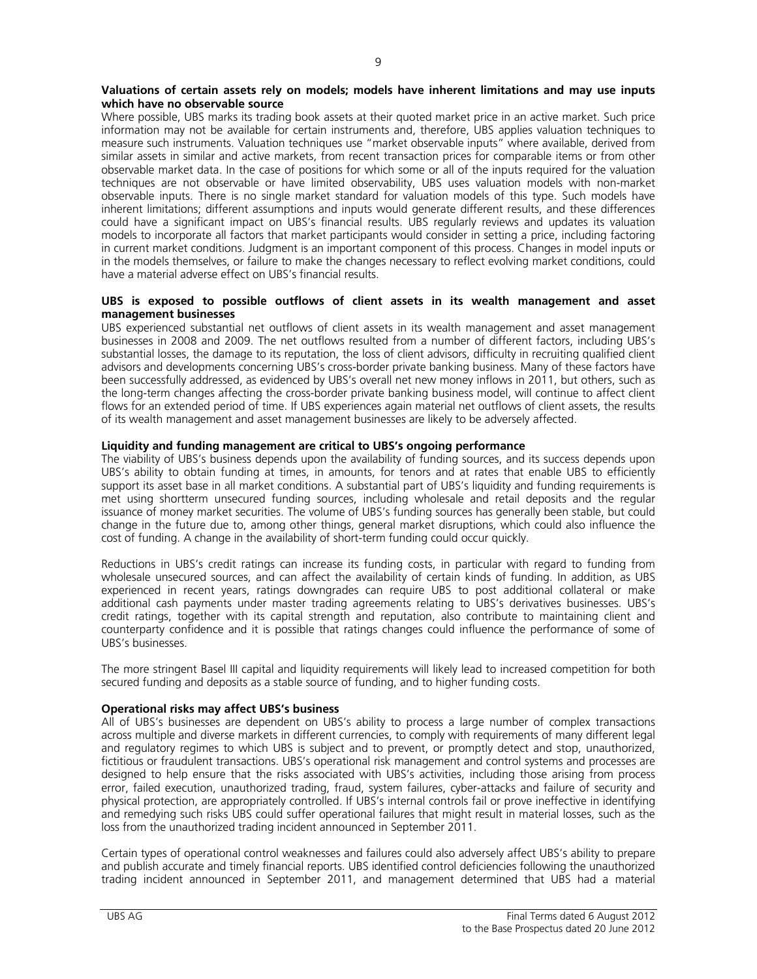#### **Valuations of certain assets rely on models; models have inherent limitations and may use inputs which have no observable source**

Where possible, UBS marks its trading book assets at their quoted market price in an active market. Such price information may not be available for certain instruments and, therefore, UBS applies valuation techniques to measure such instruments. Valuation techniques use "market observable inputs" where available, derived from similar assets in similar and active markets, from recent transaction prices for comparable items or from other observable market data. In the case of positions for which some or all of the inputs required for the valuation techniques are not observable or have limited observability, UBS uses valuation models with non-market observable inputs. There is no single market standard for valuation models of this type. Such models have inherent limitations; different assumptions and inputs would generate different results, and these differences could have a significant impact on UBS's financial results. UBS regularly reviews and updates its valuation models to incorporate all factors that market participants would consider in setting a price, including factoring in current market conditions. Judgment is an important component of this process. Changes in model inputs or in the models themselves, or failure to make the changes necessary to reflect evolving market conditions, could have a material adverse effect on UBS's financial results.

#### **UBS is exposed to possible outflows of client assets in its wealth management and asset management businesses**

UBS experienced substantial net outflows of client assets in its wealth management and asset management businesses in 2008 and 2009. The net outflows resulted from a number of different factors, including UBS's substantial losses, the damage to its reputation, the loss of client advisors, difficulty in recruiting qualified client advisors and developments concerning UBS's cross-border private banking business. Many of these factors have been successfully addressed, as evidenced by UBS's overall net new money inflows in 2011, but others, such as the long-term changes affecting the cross-border private banking business model, will continue to affect client flows for an extended period of time. If UBS experiences again material net outflows of client assets, the results of its wealth management and asset management businesses are likely to be adversely affected.

#### **Liquidity and funding management are critical to UBS's ongoing performance**

The viability of UBS's business depends upon the availability of funding sources, and its success depends upon UBS's ability to obtain funding at times, in amounts, for tenors and at rates that enable UBS to efficiently support its asset base in all market conditions. A substantial part of UBS's liquidity and funding requirements is met using shortterm unsecured funding sources, including wholesale and retail deposits and the regular issuance of money market securities. The volume of UBS's funding sources has generally been stable, but could change in the future due to, among other things, general market disruptions, which could also influence the cost of funding. A change in the availability of short-term funding could occur quickly.

Reductions in UBS's credit ratings can increase its funding costs, in particular with regard to funding from wholesale unsecured sources, and can affect the availability of certain kinds of funding. In addition, as UBS experienced in recent years, ratings downgrades can require UBS to post additional collateral or make additional cash payments under master trading agreements relating to UBS's derivatives businesses. UBS's credit ratings, together with its capital strength and reputation, also contribute to maintaining client and counterparty confidence and it is possible that ratings changes could influence the performance of some of UBS's businesses.

The more stringent Basel III capital and liquidity requirements will likely lead to increased competition for both secured funding and deposits as a stable source of funding, and to higher funding costs.

#### **Operational risks may affect UBS's business**

All of UBS's businesses are dependent on UBS's ability to process a large number of complex transactions across multiple and diverse markets in different currencies, to comply with requirements of many different legal and regulatory regimes to which UBS is subject and to prevent, or promptly detect and stop, unauthorized, fictitious or fraudulent transactions. UBS's operational risk management and control systems and processes are designed to help ensure that the risks associated with UBS's activities, including those arising from process error, failed execution, unauthorized trading, fraud, system failures, cyber-attacks and failure of security and physical protection, are appropriately controlled. If UBS's internal controls fail or prove ineffective in identifying and remedying such risks UBS could suffer operational failures that might result in material losses, such as the loss from the unauthorized trading incident announced in September 2011.

Certain types of operational control weaknesses and failures could also adversely affect UBS's ability to prepare and publish accurate and timely financial reports. UBS identified control deficiencies following the unauthorized trading incident announced in September 2011, and management determined that UBS had a material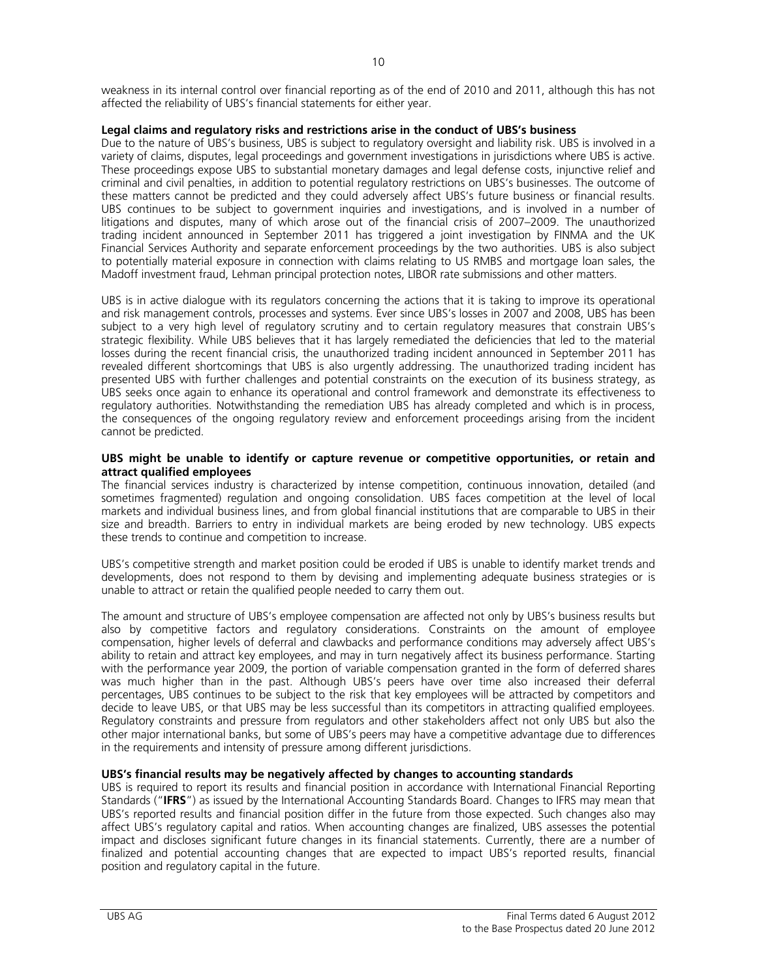weakness in its internal control over financial reporting as of the end of 2010 and 2011, although this has not affected the reliability of UBS's financial statements for either year.

# **Legal claims and regulatory risks and restrictions arise in the conduct of UBS's business**

Due to the nature of UBS's business, UBS is subject to regulatory oversight and liability risk. UBS is involved in a variety of claims, disputes, legal proceedings and government investigations in jurisdictions where UBS is active. These proceedings expose UBS to substantial monetary damages and legal defense costs, injunctive relief and criminal and civil penalties, in addition to potential regulatory restrictions on UBS's businesses. The outcome of these matters cannot be predicted and they could adversely affect UBS's future business or financial results. UBS continues to be subject to government inquiries and investigations, and is involved in a number of litigations and disputes, many of which arose out of the financial crisis of 2007–2009. The unauthorized trading incident announced in September 2011 has triggered a joint investigation by FINMA and the UK Financial Services Authority and separate enforcement proceedings by the two authorities. UBS is also subject to potentially material exposure in connection with claims relating to US RMBS and mortgage loan sales, the Madoff investment fraud, Lehman principal protection notes, LIBOR rate submissions and other matters.

UBS is in active dialogue with its regulators concerning the actions that it is taking to improve its operational and risk management controls, processes and systems. Ever since UBS's losses in 2007 and 2008, UBS has been subject to a very high level of regulatory scrutiny and to certain regulatory measures that constrain UBS's strategic flexibility. While UBS believes that it has largely remediated the deficiencies that led to the material losses during the recent financial crisis, the unauthorized trading incident announced in September 2011 has revealed different shortcomings that UBS is also urgently addressing. The unauthorized trading incident has presented UBS with further challenges and potential constraints on the execution of its business strategy, as UBS seeks once again to enhance its operational and control framework and demonstrate its effectiveness to regulatory authorities. Notwithstanding the remediation UBS has already completed and which is in process, the consequences of the ongoing regulatory review and enforcement proceedings arising from the incident cannot be predicted.

#### **UBS might be unable to identify or capture revenue or competitive opportunities, or retain and attract qualified employees**

The financial services industry is characterized by intense competition, continuous innovation, detailed (and sometimes fragmented) regulation and ongoing consolidation. UBS faces competition at the level of local markets and individual business lines, and from global financial institutions that are comparable to UBS in their size and breadth. Barriers to entry in individual markets are being eroded by new technology. UBS expects these trends to continue and competition to increase.

UBS's competitive strength and market position could be eroded if UBS is unable to identify market trends and developments, does not respond to them by devising and implementing adequate business strategies or is unable to attract or retain the qualified people needed to carry them out.

The amount and structure of UBS's employee compensation are affected not only by UBS's business results but also by competitive factors and regulatory considerations. Constraints on the amount of employee compensation, higher levels of deferral and clawbacks and performance conditions may adversely affect UBS's ability to retain and attract key employees, and may in turn negatively affect its business performance. Starting with the performance year 2009, the portion of variable compensation granted in the form of deferred shares was much higher than in the past. Although UBS's peers have over time also increased their deferral percentages, UBS continues to be subject to the risk that key employees will be attracted by competitors and decide to leave UBS, or that UBS may be less successful than its competitors in attracting qualified employees. Regulatory constraints and pressure from regulators and other stakeholders affect not only UBS but also the other major international banks, but some of UBS's peers may have a competitive advantage due to differences in the requirements and intensity of pressure among different jurisdictions.

# **UBS's financial results may be negatively affected by changes to accounting standards**

UBS is required to report its results and financial position in accordance with International Financial Reporting Standards ("**IFRS**") as issued by the International Accounting Standards Board. Changes to IFRS may mean that UBS's reported results and financial position differ in the future from those expected. Such changes also may affect UBS's regulatory capital and ratios. When accounting changes are finalized, UBS assesses the potential impact and discloses significant future changes in its financial statements. Currently, there are a number of finalized and potential accounting changes that are expected to impact UBS's reported results, financial position and regulatory capital in the future.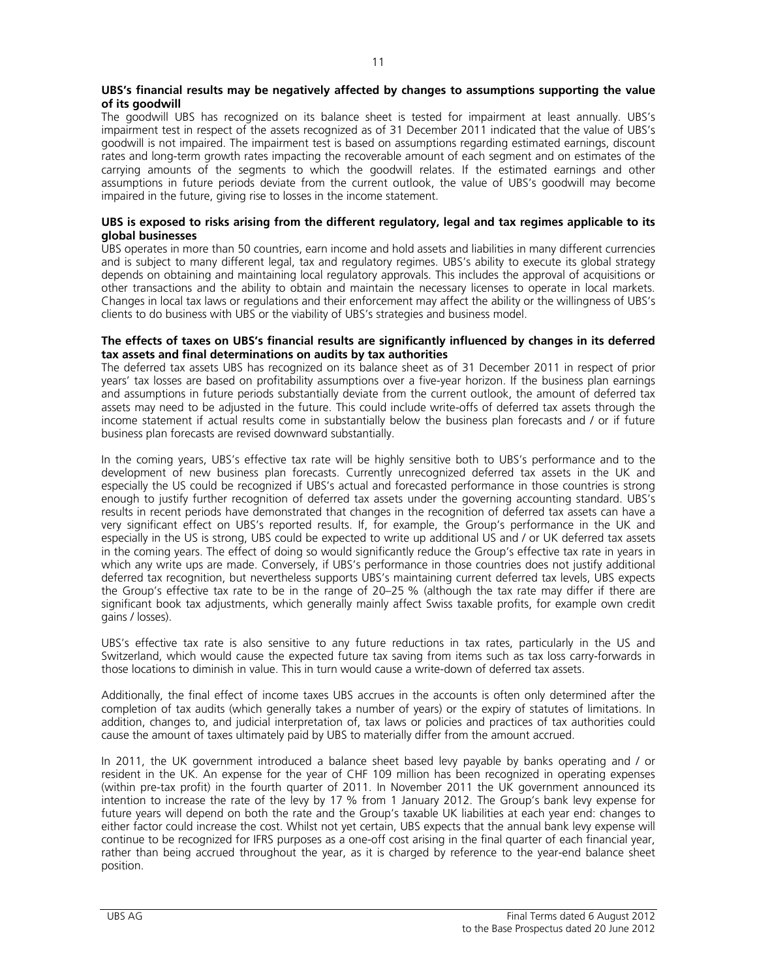#### **UBS's financial results may be negatively affected by changes to assumptions supporting the value of its goodwill**

The goodwill UBS has recognized on its balance sheet is tested for impairment at least annually. UBS's impairment test in respect of the assets recognized as of 31 December 2011 indicated that the value of UBS's goodwill is not impaired. The impairment test is based on assumptions regarding estimated earnings, discount rates and long-term growth rates impacting the recoverable amount of each segment and on estimates of the carrying amounts of the segments to which the goodwill relates. If the estimated earnings and other assumptions in future periods deviate from the current outlook, the value of UBS's goodwill may become impaired in the future, giving rise to losses in the income statement.

#### **UBS is exposed to risks arising from the different regulatory, legal and tax regimes applicable to its global businesses**

UBS operates in more than 50 countries, earn income and hold assets and liabilities in many different currencies and is subject to many different legal, tax and regulatory regimes. UBS's ability to execute its global strategy depends on obtaining and maintaining local regulatory approvals. This includes the approval of acquisitions or other transactions and the ability to obtain and maintain the necessary licenses to operate in local markets. Changes in local tax laws or regulations and their enforcement may affect the ability or the willingness of UBS's clients to do business with UBS or the viability of UBS's strategies and business model.

#### **The effects of taxes on UBS's financial results are significantly influenced by changes in its deferred tax assets and final determinations on audits by tax authorities**

The deferred tax assets UBS has recognized on its balance sheet as of 31 December 2011 in respect of prior years' tax losses are based on profitability assumptions over a five-year horizon. If the business plan earnings and assumptions in future periods substantially deviate from the current outlook, the amount of deferred tax assets may need to be adjusted in the future. This could include write-offs of deferred tax assets through the income statement if actual results come in substantially below the business plan forecasts and / or if future business plan forecasts are revised downward substantially.

In the coming years, UBS's effective tax rate will be highly sensitive both to UBS's performance and to the development of new business plan forecasts. Currently unrecognized deferred tax assets in the UK and especially the US could be recognized if UBS's actual and forecasted performance in those countries is strong enough to justify further recognition of deferred tax assets under the governing accounting standard. UBS's results in recent periods have demonstrated that changes in the recognition of deferred tax assets can have a very significant effect on UBS's reported results. If, for example, the Group's performance in the UK and especially in the US is strong, UBS could be expected to write up additional US and / or UK deferred tax assets in the coming years. The effect of doing so would significantly reduce the Group's effective tax rate in years in which any write ups are made. Conversely, if UBS's performance in those countries does not justify additional deferred tax recognition, but nevertheless supports UBS's maintaining current deferred tax levels, UBS expects the Group's effective tax rate to be in the range of 20–25 % (although the tax rate may differ if there are significant book tax adjustments, which generally mainly affect Swiss taxable profits, for example own credit gains / losses).

UBS's effective tax rate is also sensitive to any future reductions in tax rates, particularly in the US and Switzerland, which would cause the expected future tax saving from items such as tax loss carry-forwards in those locations to diminish in value. This in turn would cause a write-down of deferred tax assets.

Additionally, the final effect of income taxes UBS accrues in the accounts is often only determined after the completion of tax audits (which generally takes a number of years) or the expiry of statutes of limitations. In addition, changes to, and judicial interpretation of, tax laws or policies and practices of tax authorities could cause the amount of taxes ultimately paid by UBS to materially differ from the amount accrued.

In 2011, the UK government introduced a balance sheet based levy payable by banks operating and / or resident in the UK. An expense for the year of CHF 109 million has been recognized in operating expenses (within pre-tax profit) in the fourth quarter of 2011. In November 2011 the UK government announced its intention to increase the rate of the levy by 17 % from 1 January 2012. The Group's bank levy expense for future years will depend on both the rate and the Group's taxable UK liabilities at each year end: changes to either factor could increase the cost. Whilst not yet certain, UBS expects that the annual bank levy expense will continue to be recognized for IFRS purposes as a one-off cost arising in the final quarter of each financial year, rather than being accrued throughout the year, as it is charged by reference to the year-end balance sheet position.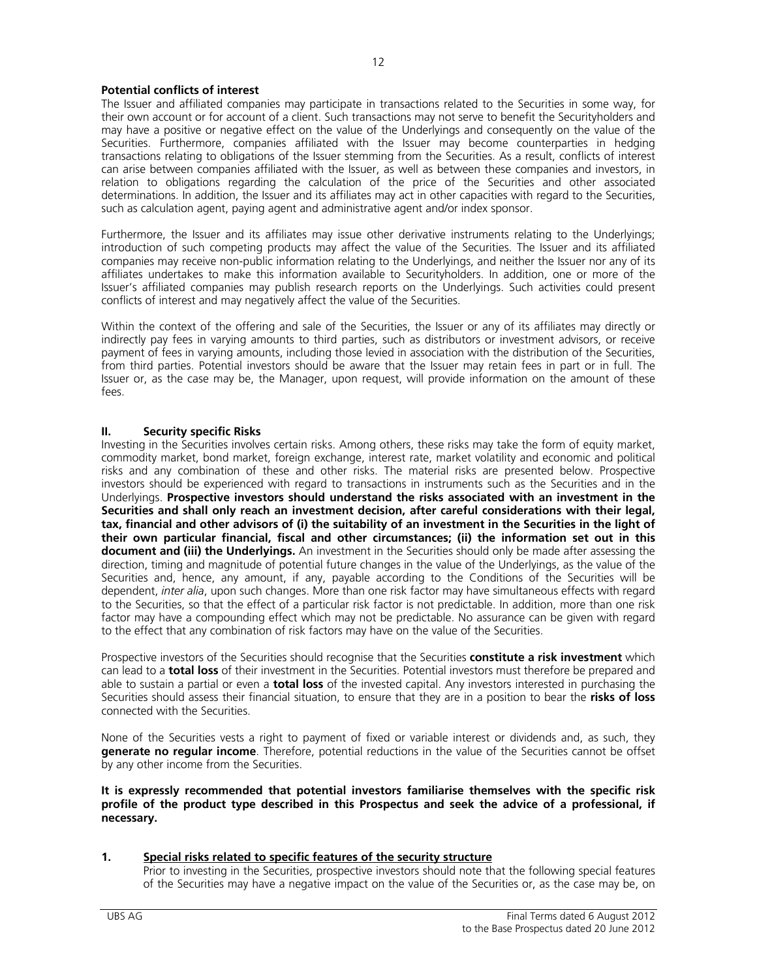# **Potential conflicts of interest**

The Issuer and affiliated companies may participate in transactions related to the Securities in some way, for their own account or for account of a client. Such transactions may not serve to benefit the Securityholders and may have a positive or negative effect on the value of the Underlyings and consequently on the value of the Securities. Furthermore, companies affiliated with the Issuer may become counterparties in hedging transactions relating to obligations of the Issuer stemming from the Securities. As a result, conflicts of interest can arise between companies affiliated with the Issuer, as well as between these companies and investors, in relation to obligations regarding the calculation of the price of the Securities and other associated determinations. In addition, the Issuer and its affiliates may act in other capacities with regard to the Securities, such as calculation agent, paying agent and administrative agent and/or index sponsor.

Furthermore, the Issuer and its affiliates may issue other derivative instruments relating to the Underlyings; introduction of such competing products may affect the value of the Securities. The Issuer and its affiliated companies may receive non-public information relating to the Underlyings, and neither the Issuer nor any of its affiliates undertakes to make this information available to Securityholders. In addition, one or more of the Issuer's affiliated companies may publish research reports on the Underlyings. Such activities could present conflicts of interest and may negatively affect the value of the Securities.

Within the context of the offering and sale of the Securities, the Issuer or any of its affiliates may directly or indirectly pay fees in varying amounts to third parties, such as distributors or investment advisors, or receive payment of fees in varying amounts, including those levied in association with the distribution of the Securities, from third parties. Potential investors should be aware that the Issuer may retain fees in part or in full. The Issuer or, as the case may be, the Manager, upon request, will provide information on the amount of these fees.

#### **II. Security specific Risks**

Investing in the Securities involves certain risks. Among others, these risks may take the form of equity market, commodity market, bond market, foreign exchange, interest rate, market volatility and economic and political risks and any combination of these and other risks. The material risks are presented below. Prospective investors should be experienced with regard to transactions in instruments such as the Securities and in the Underlyings. **Prospective investors should understand the risks associated with an investment in the Securities and shall only reach an investment decision, after careful considerations with their legal, tax, financial and other advisors of (i) the suitability of an investment in the Securities in the light of their own particular financial, fiscal and other circumstances; (ii) the information set out in this document and (iii) the Underlyings.** An investment in the Securities should only be made after assessing the direction, timing and magnitude of potential future changes in the value of the Underlyings, as the value of the Securities and, hence, any amount, if any, payable according to the Conditions of the Securities will be dependent, *inter alia*, upon such changes. More than one risk factor may have simultaneous effects with regard to the Securities, so that the effect of a particular risk factor is not predictable. In addition, more than one risk factor may have a compounding effect which may not be predictable. No assurance can be given with regard to the effect that any combination of risk factors may have on the value of the Securities.

Prospective investors of the Securities should recognise that the Securities **constitute a risk investment** which can lead to a **total loss** of their investment in the Securities. Potential investors must therefore be prepared and able to sustain a partial or even a **total loss** of the invested capital. Any investors interested in purchasing the Securities should assess their financial situation, to ensure that they are in a position to bear the **risks of loss** connected with the Securities.

None of the Securities vests a right to payment of fixed or variable interest or dividends and, as such, they **generate no regular income**. Therefore, potential reductions in the value of the Securities cannot be offset by any other income from the Securities.

**It is expressly recommended that potential investors familiarise themselves with the specific risk profile of the product type described in this Prospectus and seek the advice of a professional, if necessary.** 

# **1. Special risks related to specific features of the security structure**

Prior to investing in the Securities, prospective investors should note that the following special features of the Securities may have a negative impact on the value of the Securities or, as the case may be, on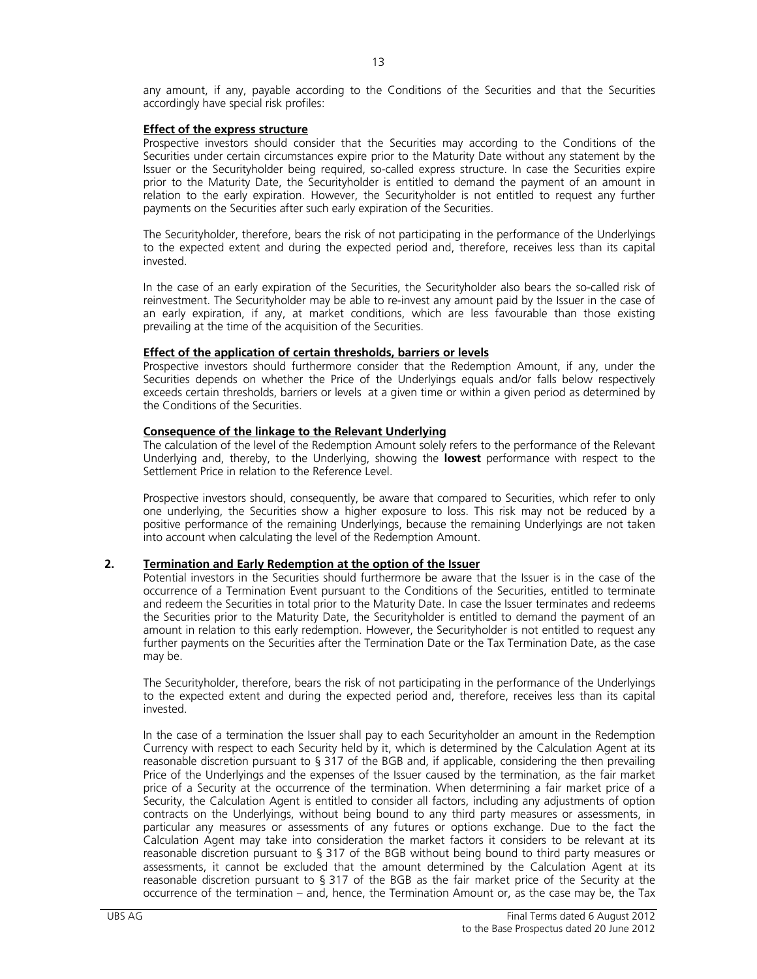any amount, if any, payable according to the Conditions of the Securities and that the Securities accordingly have special risk profiles:

#### **Effect of the express structure**

Prospective investors should consider that the Securities may according to the Conditions of the Securities under certain circumstances expire prior to the Maturity Date without any statement by the Issuer or the Securityholder being required, so-called express structure. In case the Securities expire prior to the Maturity Date, the Securityholder is entitled to demand the payment of an amount in relation to the early expiration. However, the Securityholder is not entitled to request any further payments on the Securities after such early expiration of the Securities.

The Securityholder, therefore, bears the risk of not participating in the performance of the Underlyings to the expected extent and during the expected period and, therefore, receives less than its capital invested.

In the case of an early expiration of the Securities, the Securityholder also bears the so-called risk of reinvestment. The Securityholder may be able to re-invest any amount paid by the Issuer in the case of an early expiration, if any, at market conditions, which are less favourable than those existing prevailing at the time of the acquisition of the Securities.

#### **Effect of the application of certain thresholds, barriers or levels**

 Prospective investors should furthermore consider that the Redemption Amount, if any, under the Securities depends on whether the Price of the Underlyings equals and/or falls below respectively exceeds certain thresholds, barriers or levels at a given time or within a given period as determined by the Conditions of the Securities.

#### **Consequence of the linkage to the Relevant Underlying**

The calculation of the level of the Redemption Amount solely refers to the performance of the Relevant Underlying and, thereby, to the Underlying, showing the **lowest** performance with respect to the Settlement Price in relation to the Reference Level.

Prospective investors should, consequently, be aware that compared to Securities, which refer to only one underlying, the Securities show a higher exposure to loss. This risk may not be reduced by a positive performance of the remaining Underlyings, because the remaining Underlyings are not taken into account when calculating the level of the Redemption Amount.

### **2. Termination and Early Redemption at the option of the Issuer**

Potential investors in the Securities should furthermore be aware that the Issuer is in the case of the occurrence of a Termination Event pursuant to the Conditions of the Securities, entitled to terminate and redeem the Securities in total prior to the Maturity Date. In case the Issuer terminates and redeems the Securities prior to the Maturity Date, the Securityholder is entitled to demand the payment of an amount in relation to this early redemption. However, the Securityholder is not entitled to request any further payments on the Securities after the Termination Date or the Tax Termination Date, as the case may be.

The Securityholder, therefore, bears the risk of not participating in the performance of the Underlyings to the expected extent and during the expected period and, therefore, receives less than its capital invested.

In the case of a termination the Issuer shall pay to each Securityholder an amount in the Redemption Currency with respect to each Security held by it, which is determined by the Calculation Agent at its reasonable discretion pursuant to § 317 of the BGB and, if applicable, considering the then prevailing Price of the Underlyings and the expenses of the Issuer caused by the termination, as the fair market price of a Security at the occurrence of the termination. When determining a fair market price of a Security, the Calculation Agent is entitled to consider all factors, including any adjustments of option contracts on the Underlyings, without being bound to any third party measures or assessments, in particular any measures or assessments of any futures or options exchange. Due to the fact the Calculation Agent may take into consideration the market factors it considers to be relevant at its reasonable discretion pursuant to § 317 of the BGB without being bound to third party measures or assessments, it cannot be excluded that the amount determined by the Calculation Agent at its reasonable discretion pursuant to § 317 of the BGB as the fair market price of the Security at the occurrence of the termination – and, hence, the Termination Amount or, as the case may be, the Tax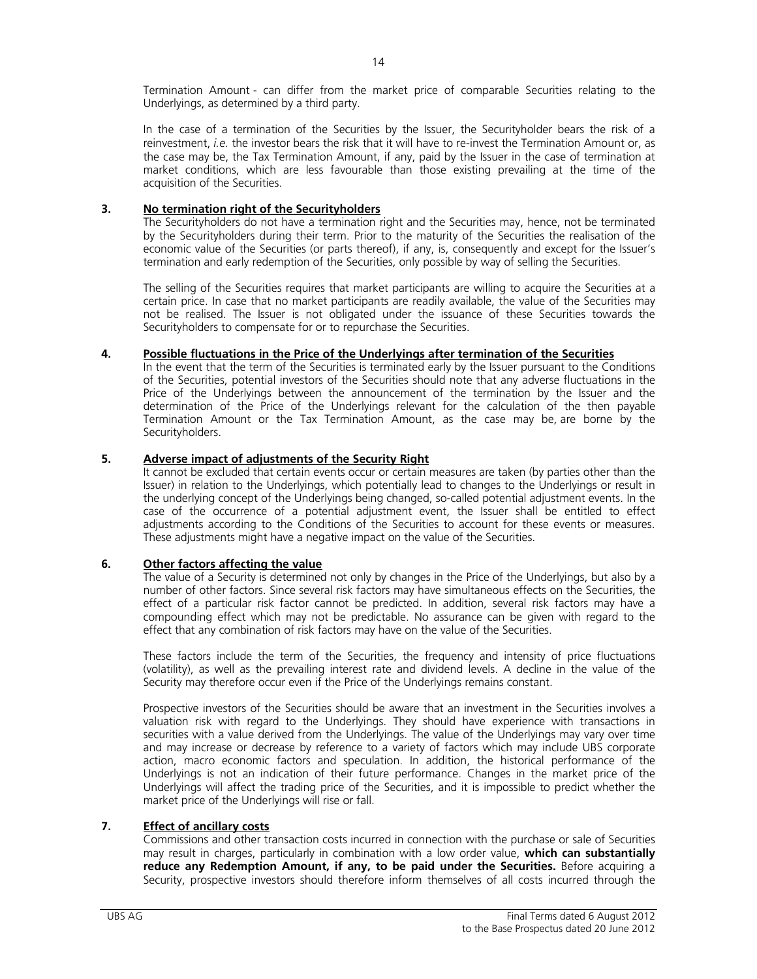Termination Amount - can differ from the market price of comparable Securities relating to the Underlyings, as determined by a third party.

In the case of a termination of the Securities by the Issuer, the Securityholder bears the risk of a reinvestment, *i.e.* the investor bears the risk that it will have to re-invest the Termination Amount or, as the case may be, the Tax Termination Amount, if any, paid by the Issuer in the case of termination at market conditions, which are less favourable than those existing prevailing at the time of the acquisition of the Securities.

# **3. No termination right of the Securityholders**

The Securityholders do not have a termination right and the Securities may, hence, not be terminated by the Securityholders during their term. Prior to the maturity of the Securities the realisation of the economic value of the Securities (or parts thereof), if any, is, consequently and except for the Issuer's termination and early redemption of the Securities, only possible by way of selling the Securities.

The selling of the Securities requires that market participants are willing to acquire the Securities at a certain price. In case that no market participants are readily available, the value of the Securities may not be realised. The Issuer is not obligated under the issuance of these Securities towards the Securityholders to compensate for or to repurchase the Securities.

# **4. Possible fluctuations in the Price of the Underlyings after termination of the Securities**

In the event that the term of the Securities is terminated early by the Issuer pursuant to the Conditions of the Securities, potential investors of the Securities should note that any adverse fluctuations in the Price of the Underlyings between the announcement of the termination by the Issuer and the determination of the Price of the Underlyings relevant for the calculation of the then payable Termination Amount or the Tax Termination Amount, as the case may be, are borne by the Securityholders.

# **5. Adverse impact of adjustments of the Security Right**

It cannot be excluded that certain events occur or certain measures are taken (by parties other than the Issuer) in relation to the Underlyings, which potentially lead to changes to the Underlyings or result in the underlying concept of the Underlyings being changed, so-called potential adjustment events. In the case of the occurrence of a potential adjustment event, the Issuer shall be entitled to effect adjustments according to the Conditions of the Securities to account for these events or measures. These adjustments might have a negative impact on the value of the Securities.

# **6. Other factors affecting the value**

The value of a Security is determined not only by changes in the Price of the Underlyings, but also by a number of other factors. Since several risk factors may have simultaneous effects on the Securities, the effect of a particular risk factor cannot be predicted. In addition, several risk factors may have a compounding effect which may not be predictable. No assurance can be given with regard to the effect that any combination of risk factors may have on the value of the Securities.

These factors include the term of the Securities, the frequency and intensity of price fluctuations (volatility), as well as the prevailing interest rate and dividend levels. A decline in the value of the Security may therefore occur even if the Price of the Underlyings remains constant.

Prospective investors of the Securities should be aware that an investment in the Securities involves a valuation risk with regard to the Underlyings. They should have experience with transactions in securities with a value derived from the Underlyings. The value of the Underlyings may vary over time and may increase or decrease by reference to a variety of factors which may include UBS corporate action, macro economic factors and speculation. In addition, the historical performance of the Underlyings is not an indication of their future performance. Changes in the market price of the Underlyings will affect the trading price of the Securities, and it is impossible to predict whether the market price of the Underlyings will rise or fall.

# **7. Effect of ancillary costs**

Commissions and other transaction costs incurred in connection with the purchase or sale of Securities may result in charges, particularly in combination with a low order value, **which can substantially reduce any Redemption Amount, if any, to be paid under the Securities.** Before acquiring a Security, prospective investors should therefore inform themselves of all costs incurred through the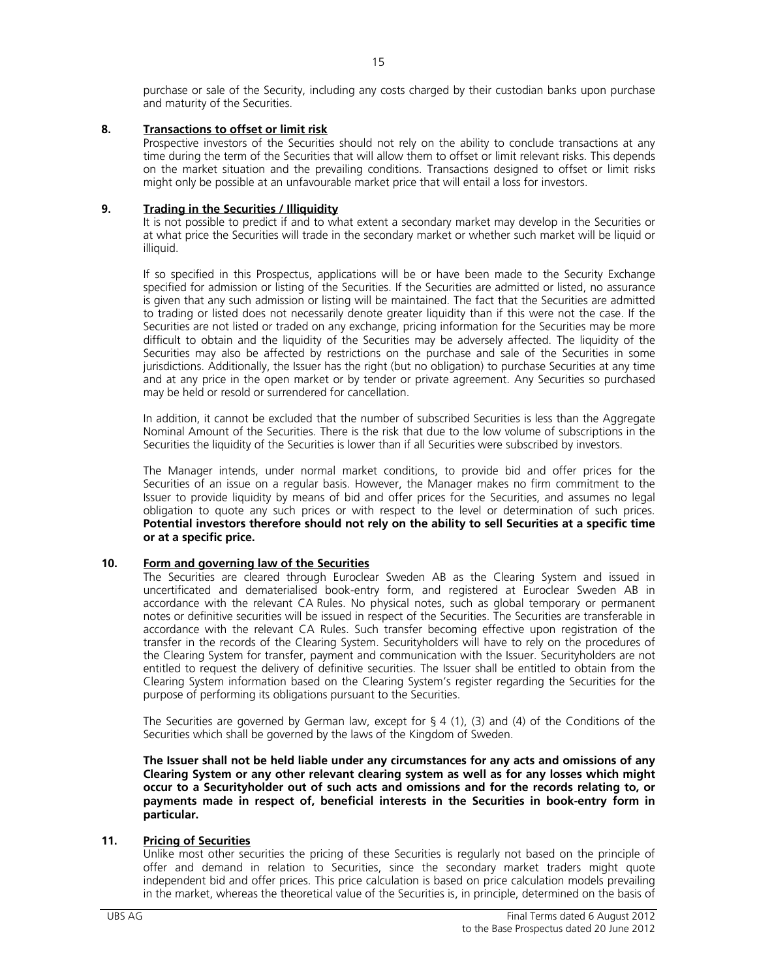purchase or sale of the Security, including any costs charged by their custodian banks upon purchase and maturity of the Securities.

# **8. Transactions to offset or limit risk**

Prospective investors of the Securities should not rely on the ability to conclude transactions at any time during the term of the Securities that will allow them to offset or limit relevant risks. This depends on the market situation and the prevailing conditions. Transactions designed to offset or limit risks might only be possible at an unfavourable market price that will entail a loss for investors.

# **9. Trading in the Securities / Illiquidity**

It is not possible to predict if and to what extent a secondary market may develop in the Securities or at what price the Securities will trade in the secondary market or whether such market will be liquid or illiquid.

If so specified in this Prospectus, applications will be or have been made to the Security Exchange specified for admission or listing of the Securities. If the Securities are admitted or listed, no assurance is given that any such admission or listing will be maintained. The fact that the Securities are admitted to trading or listed does not necessarily denote greater liquidity than if this were not the case. If the Securities are not listed or traded on any exchange, pricing information for the Securities may be more difficult to obtain and the liquidity of the Securities may be adversely affected. The liquidity of the Securities may also be affected by restrictions on the purchase and sale of the Securities in some jurisdictions. Additionally, the Issuer has the right (but no obligation) to purchase Securities at any time and at any price in the open market or by tender or private agreement. Any Securities so purchased may be held or resold or surrendered for cancellation.

In addition, it cannot be excluded that the number of subscribed Securities is less than the Aggregate Nominal Amount of the Securities. There is the risk that due to the low volume of subscriptions in the Securities the liquidity of the Securities is lower than if all Securities were subscribed by investors.

The Manager intends, under normal market conditions, to provide bid and offer prices for the Securities of an issue on a regular basis. However, the Manager makes no firm commitment to the Issuer to provide liquidity by means of bid and offer prices for the Securities, and assumes no legal obligation to quote any such prices or with respect to the level or determination of such prices. **Potential investors therefore should not rely on the ability to sell Securities at a specific time or at a specific price.**

# **10. Form and governing law of the Securities**

The Securities are cleared through Euroclear Sweden AB as the Clearing System and issued in uncertificated and dematerialised book-entry form, and registered at Euroclear Sweden AB in accordance with the relevant CA Rules. No physical notes, such as global temporary or permanent notes or definitive securities will be issued in respect of the Securities. The Securities are transferable in accordance with the relevant CA Rules. Such transfer becoming effective upon registration of the transfer in the records of the Clearing System. Securityholders will have to rely on the procedures of the Clearing System for transfer, payment and communication with the Issuer. Securityholders are not entitled to request the delivery of definitive securities. The Issuer shall be entitled to obtain from the Clearing System information based on the Clearing System's register regarding the Securities for the purpose of performing its obligations pursuant to the Securities.

The Securities are governed by German law, except for  $\S 4$  (1), (3) and (4) of the Conditions of the Securities which shall be governed by the laws of the Kingdom of Sweden.

**The Issuer shall not be held liable under any circumstances for any acts and omissions of any Clearing System or any other relevant clearing system as well as for any losses which might occur to a Securityholder out of such acts and omissions and for the records relating to, or payments made in respect of, beneficial interests in the Securities in book-entry form in particular.** 

# **11. Pricing of Securities**

Unlike most other securities the pricing of these Securities is regularly not based on the principle of offer and demand in relation to Securities, since the secondary market traders might quote independent bid and offer prices. This price calculation is based on price calculation models prevailing in the market, whereas the theoretical value of the Securities is, in principle, determined on the basis of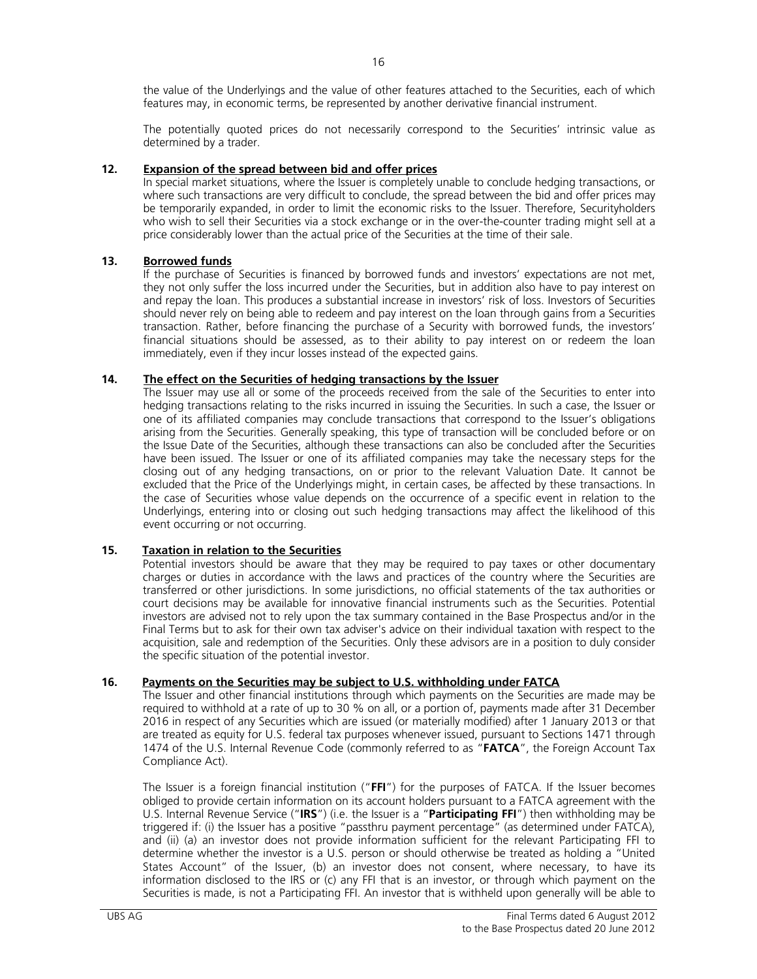the value of the Underlyings and the value of other features attached to the Securities, each of which features may, in economic terms, be represented by another derivative financial instrument.

The potentially quoted prices do not necessarily correspond to the Securities' intrinsic value as determined by a trader.

# **12. Expansion of the spread between bid and offer prices**

In special market situations, where the Issuer is completely unable to conclude hedging transactions, or where such transactions are very difficult to conclude, the spread between the bid and offer prices may be temporarily expanded, in order to limit the economic risks to the Issuer. Therefore, Securityholders who wish to sell their Securities via a stock exchange or in the over-the-counter trading might sell at a price considerably lower than the actual price of the Securities at the time of their sale.

# **13. Borrowed funds**

If the purchase of Securities is financed by borrowed funds and investors' expectations are not met, they not only suffer the loss incurred under the Securities, but in addition also have to pay interest on and repay the loan. This produces a substantial increase in investors' risk of loss. Investors of Securities should never rely on being able to redeem and pay interest on the loan through gains from a Securities transaction. Rather, before financing the purchase of a Security with borrowed funds, the investors' financial situations should be assessed, as to their ability to pay interest on or redeem the loan immediately, even if they incur losses instead of the expected gains.

#### **14. The effect on the Securities of hedging transactions by the Issuer**

The Issuer may use all or some of the proceeds received from the sale of the Securities to enter into hedging transactions relating to the risks incurred in issuing the Securities. In such a case, the Issuer or one of its affiliated companies may conclude transactions that correspond to the Issuer's obligations arising from the Securities. Generally speaking, this type of transaction will be concluded before or on the Issue Date of the Securities, although these transactions can also be concluded after the Securities have been issued. The Issuer or one of its affiliated companies may take the necessary steps for the closing out of any hedging transactions, on or prior to the relevant Valuation Date. It cannot be excluded that the Price of the Underlyings might, in certain cases, be affected by these transactions. In the case of Securities whose value depends on the occurrence of a specific event in relation to the Underlyings, entering into or closing out such hedging transactions may affect the likelihood of this event occurring or not occurring.

# **15. Taxation in relation to the Securities**

Potential investors should be aware that they may be required to pay taxes or other documentary charges or duties in accordance with the laws and practices of the country where the Securities are transferred or other jurisdictions. In some jurisdictions, no official statements of the tax authorities or court decisions may be available for innovative financial instruments such as the Securities. Potential investors are advised not to rely upon the tax summary contained in the Base Prospectus and/or in the Final Terms but to ask for their own tax adviser's advice on their individual taxation with respect to the acquisition, sale and redemption of the Securities. Only these advisors are in a position to duly consider the specific situation of the potential investor.

# **16. Payments on the Securities may be subject to U.S. withholding under FATCA**

The Issuer and other financial institutions through which payments on the Securities are made may be required to withhold at a rate of up to 30 % on all, or a portion of, payments made after 31 December 2016 in respect of any Securities which are issued (or materially modified) after 1 January 2013 or that are treated as equity for U.S. federal tax purposes whenever issued, pursuant to Sections 1471 through 1474 of the U.S. Internal Revenue Code (commonly referred to as "**FATCA**", the Foreign Account Tax Compliance Act).

The Issuer is a foreign financial institution ("**FFI**") for the purposes of FATCA. If the Issuer becomes obliged to provide certain information on its account holders pursuant to a FATCA agreement with the U.S. Internal Revenue Service ("**IRS**") (i.e. the Issuer is a "**Participating FFI**") then withholding may be triggered if: (i) the Issuer has a positive "passthru payment percentage" (as determined under FATCA), and (ii) (a) an investor does not provide information sufficient for the relevant Participating FFI to determine whether the investor is a U.S. person or should otherwise be treated as holding a "United States Account" of the Issuer, (b) an investor does not consent, where necessary, to have its information disclosed to the IRS or (c) any FFI that is an investor, or through which payment on the Securities is made, is not a Participating FFI. An investor that is withheld upon generally will be able to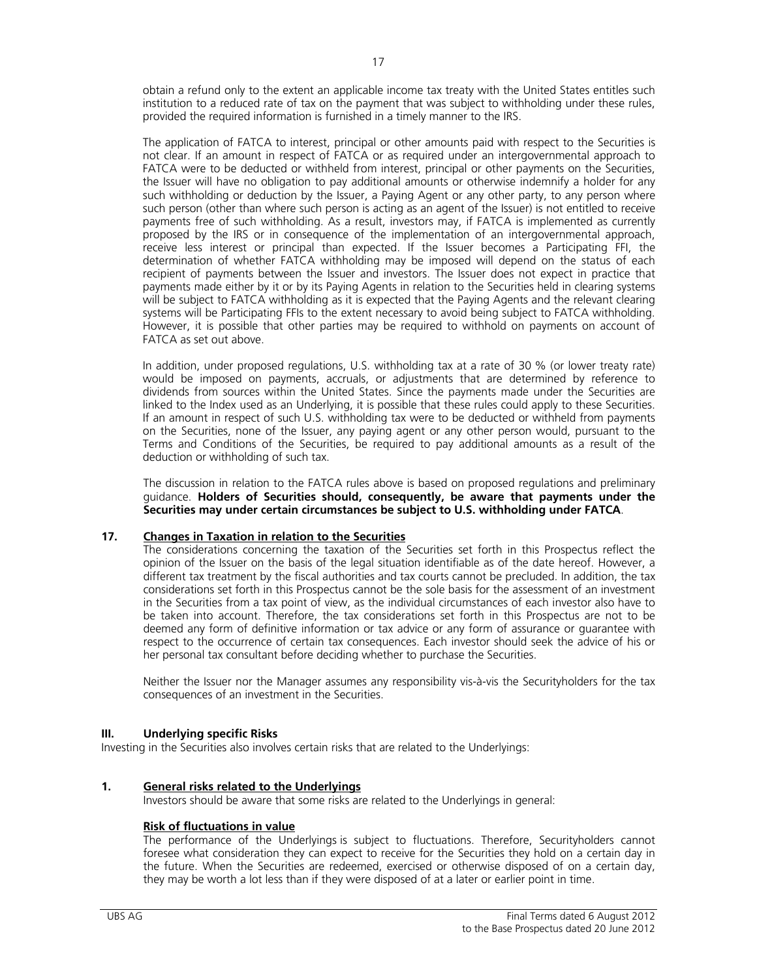obtain a refund only to the extent an applicable income tax treaty with the United States entitles such institution to a reduced rate of tax on the payment that was subject to withholding under these rules, provided the required information is furnished in a timely manner to the IRS.

The application of FATCA to interest, principal or other amounts paid with respect to the Securities is not clear. If an amount in respect of FATCA or as required under an intergovernmental approach to FATCA were to be deducted or withheld from interest, principal or other payments on the Securities, the Issuer will have no obligation to pay additional amounts or otherwise indemnify a holder for any such withholding or deduction by the Issuer, a Paying Agent or any other party, to any person where such person (other than where such person is acting as an agent of the Issuer) is not entitled to receive payments free of such withholding. As a result, investors may, if FATCA is implemented as currently proposed by the IRS or in consequence of the implementation of an intergovernmental approach, receive less interest or principal than expected. If the Issuer becomes a Participating FFI, the determination of whether FATCA withholding may be imposed will depend on the status of each recipient of payments between the Issuer and investors. The Issuer does not expect in practice that payments made either by it or by its Paying Agents in relation to the Securities held in clearing systems will be subject to FATCA withholding as it is expected that the Paying Agents and the relevant clearing systems will be Participating FFIs to the extent necessary to avoid being subject to FATCA withholding. However, it is possible that other parties may be required to withhold on payments on account of FATCA as set out above.

In addition, under proposed regulations, U.S. withholding tax at a rate of 30 % (or lower treaty rate) would be imposed on payments, accruals, or adjustments that are determined by reference to dividends from sources within the United States. Since the payments made under the Securities are linked to the Index used as an Underlying, it is possible that these rules could apply to these Securities. If an amount in respect of such U.S. withholding tax were to be deducted or withheld from payments on the Securities, none of the Issuer, any paying agent or any other person would, pursuant to the Terms and Conditions of the Securities, be required to pay additional amounts as a result of the deduction or withholding of such tax.

The discussion in relation to the FATCA rules above is based on proposed regulations and preliminary guidance. **Holders of Securities should, consequently, be aware that payments under the Securities may under certain circumstances be subject to U.S. withholding under FATCA**.

# **17. Changes in Taxation in relation to the Securities**

The considerations concerning the taxation of the Securities set forth in this Prospectus reflect the opinion of the Issuer on the basis of the legal situation identifiable as of the date hereof. However, a different tax treatment by the fiscal authorities and tax courts cannot be precluded. In addition, the tax considerations set forth in this Prospectus cannot be the sole basis for the assessment of an investment in the Securities from a tax point of view, as the individual circumstances of each investor also have to be taken into account. Therefore, the tax considerations set forth in this Prospectus are not to be deemed any form of definitive information or tax advice or any form of assurance or guarantee with respect to the occurrence of certain tax consequences. Each investor should seek the advice of his or her personal tax consultant before deciding whether to purchase the Securities.

Neither the Issuer nor the Manager assumes any responsibility vis-à-vis the Securityholders for the tax consequences of an investment in the Securities.

#### **III. Underlying specific Risks**

Investing in the Securities also involves certain risks that are related to the Underlyings:

# **1. General risks related to the Underlyings**

Investors should be aware that some risks are related to the Underlyings in general:

# **Risk of fluctuations in value**

The performance of the Underlyings is subject to fluctuations. Therefore, Securityholders cannot foresee what consideration they can expect to receive for the Securities they hold on a certain day in the future. When the Securities are redeemed, exercised or otherwise disposed of on a certain day, they may be worth a lot less than if they were disposed of at a later or earlier point in time.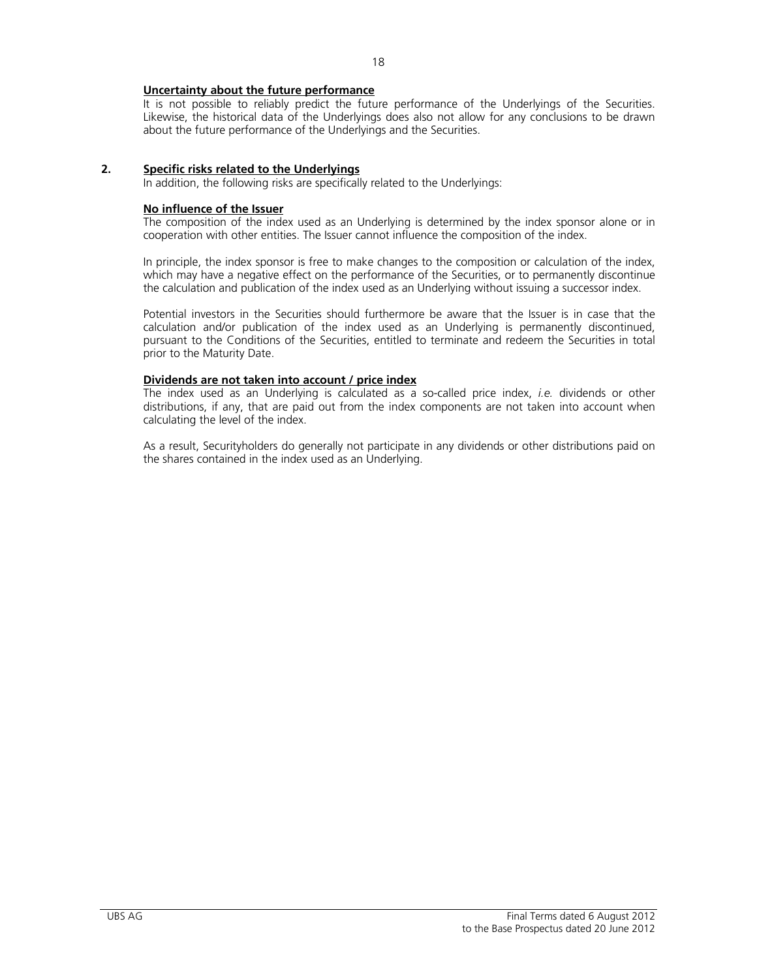### **Uncertainty about the future performance**

It is not possible to reliably predict the future performance of the Underlyings of the Securities. Likewise, the historical data of the Underlyings does also not allow for any conclusions to be drawn about the future performance of the Underlyings and the Securities.

#### **2. Specific risks related to the Underlyings**

In addition, the following risks are specifically related to the Underlyings:

#### **No influence of the Issuer**

The composition of the index used as an Underlying is determined by the index sponsor alone or in cooperation with other entities. The Issuer cannot influence the composition of the index.

In principle, the index sponsor is free to make changes to the composition or calculation of the index, which may have a negative effect on the performance of the Securities, or to permanently discontinue the calculation and publication of the index used as an Underlying without issuing a successor index.

Potential investors in the Securities should furthermore be aware that the Issuer is in case that the calculation and/or publication of the index used as an Underlying is permanently discontinued, pursuant to the Conditions of the Securities, entitled to terminate and redeem the Securities in total prior to the Maturity Date.

#### **Dividends are not taken into account / price index**

The index used as an Underlying is calculated as a so-called price index, *i.e.* dividends or other distributions, if any, that are paid out from the index components are not taken into account when calculating the level of the index.

As a result, Securityholders do generally not participate in any dividends or other distributions paid on the shares contained in the index used as an Underlying.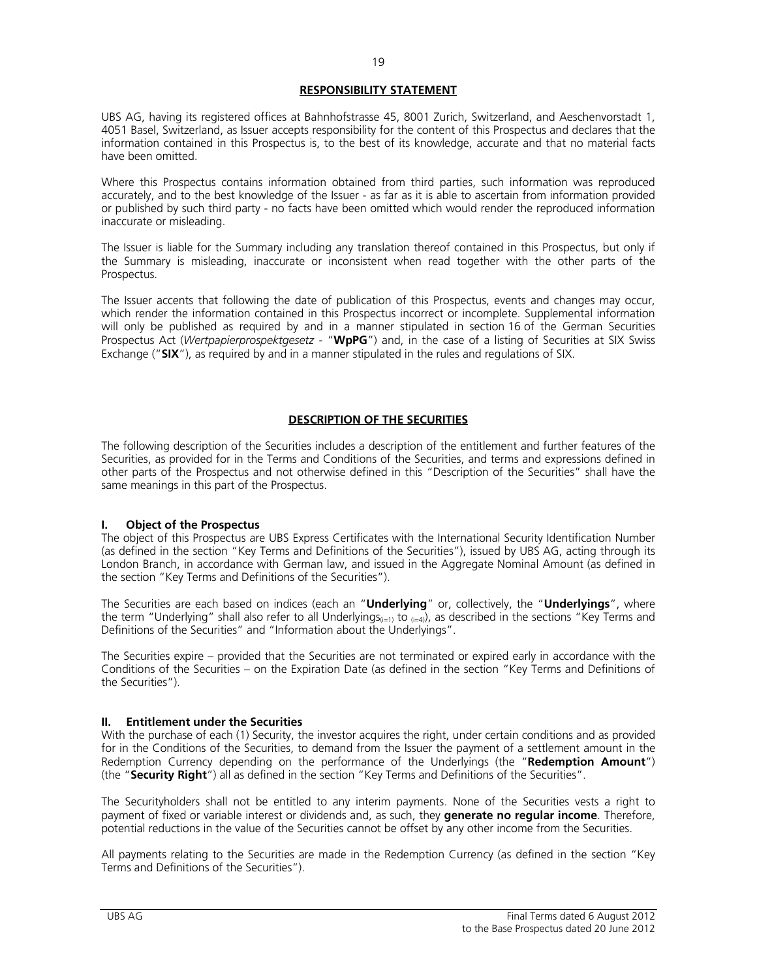# **RESPONSIBILITY STATEMENT**

UBS AG, having its registered offices at Bahnhofstrasse 45, 8001 Zurich, Switzerland, and Aeschenvorstadt 1, 4051 Basel, Switzerland, as Issuer accepts responsibility for the content of this Prospectus and declares that the information contained in this Prospectus is, to the best of its knowledge, accurate and that no material facts have been omitted.

Where this Prospectus contains information obtained from third parties, such information was reproduced accurately, and to the best knowledge of the Issuer - as far as it is able to ascertain from information provided or published by such third party - no facts have been omitted which would render the reproduced information inaccurate or misleading.

The Issuer is liable for the Summary including any translation thereof contained in this Prospectus, but only if the Summary is misleading, inaccurate or inconsistent when read together with the other parts of the Prospectus.

The Issuer accents that following the date of publication of this Prospectus, events and changes may occur, which render the information contained in this Prospectus incorrect or incomplete. Supplemental information will only be published as required by and in a manner stipulated in section 16 of the German Securities Prospectus Act (*Wertpapierprospektgesetz* - "**WpPG**") and, in the case of a listing of Securities at SIX Swiss Exchange ("**SIX**"), as required by and in a manner stipulated in the rules and regulations of SIX.

# **DESCRIPTION OF THE SECURITIES**

The following description of the Securities includes a description of the entitlement and further features of the Securities, as provided for in the Terms and Conditions of the Securities, and terms and expressions defined in other parts of the Prospectus and not otherwise defined in this "Description of the Securities" shall have the same meanings in this part of the Prospectus.

#### **I. Object of the Prospectus**

The object of this Prospectus are UBS Express Certificates with the International Security Identification Number (as defined in the section "Key Terms and Definitions of the Securities"), issued by UBS AG, acting through its London Branch, in accordance with German law, and issued in the Aggregate Nominal Amount (as defined in the section "Key Terms and Definitions of the Securities").

The Securities are each based on indices (each an "**Underlying**" or, collectively, the "**Underlyings**", where the term "Underlying" shall also refer to all Underlyings<sub>(i=1)</sub> to  $_{(i=4)}$ ), as described in the sections "Key Terms and Definitions of the Securities" and "Information about the Underlyings".

The Securities expire – provided that the Securities are not terminated or expired early in accordance with the Conditions of the Securities – on the Expiration Date (as defined in the section "Key Terms and Definitions of the Securities").

# **II. Entitlement under the Securities**

With the purchase of each (1) Security, the investor acquires the right, under certain conditions and as provided for in the Conditions of the Securities, to demand from the Issuer the payment of a settlement amount in the Redemption Currency depending on the performance of the Underlyings (the "**Redemption Amount**") (the "**Security Right**") all as defined in the section "Key Terms and Definitions of the Securities".

The Securityholders shall not be entitled to any interim payments. None of the Securities vests a right to payment of fixed or variable interest or dividends and, as such, they **generate no regular income**. Therefore, potential reductions in the value of the Securities cannot be offset by any other income from the Securities.

All payments relating to the Securities are made in the Redemption Currency (as defined in the section "Key Terms and Definitions of the Securities").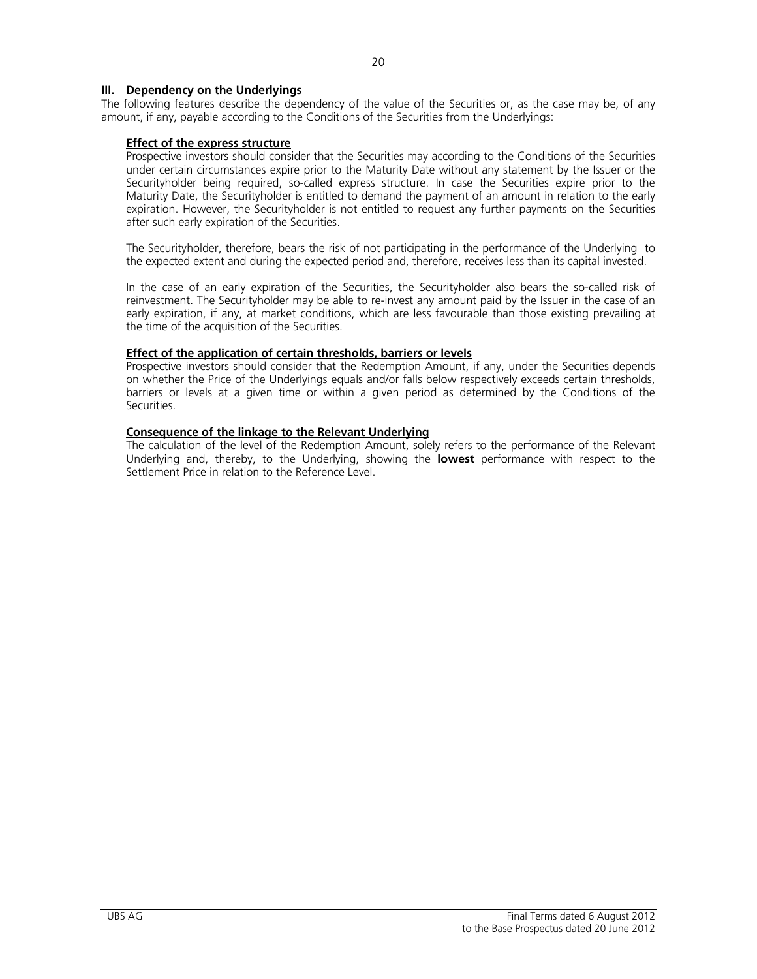### **III. Dependency on the Underlyings**

The following features describe the dependency of the value of the Securities or, as the case may be, of any amount, if any, payable according to the Conditions of the Securities from the Underlyings:

#### **Effect of the express structure**

 Prospective investors should consider that the Securities may according to the Conditions of the Securities under certain circumstances expire prior to the Maturity Date without any statement by the Issuer or the Securityholder being required, so-called express structure. In case the Securities expire prior to the Maturity Date, the Securityholder is entitled to demand the payment of an amount in relation to the early expiration. However, the Securityholder is not entitled to request any further payments on the Securities after such early expiration of the Securities.

The Securityholder, therefore, bears the risk of not participating in the performance of the Underlyingto the expected extent and during the expected period and, therefore, receives less than its capital invested.

 In the case of an early expiration of the Securities, the Securityholder also bears the so-called risk of reinvestment. The Securityholder may be able to re-invest any amount paid by the Issuer in the case of an early expiration, if any, at market conditions, which are less favourable than those existing prevailing at the time of the acquisition of the Securities.

#### **Effect of the application of certain thresholds, barriers or levels**

 Prospective investors should consider that the Redemption Amount, if any, under the Securities depends on whether the Price of the Underlyings equals and/or falls below respectively exceeds certain thresholds, barriers or levels at a given time or within a given period as determined by the Conditions of the Securities.

#### **Consequence of the linkage to the Relevant Underlying**

 The calculation of the level of the Redemption Amount, solely refers to the performance of the Relevant Underlying and, thereby, to the Underlying, showing the **lowest** performance with respect to the Settlement Price in relation to the Reference Level.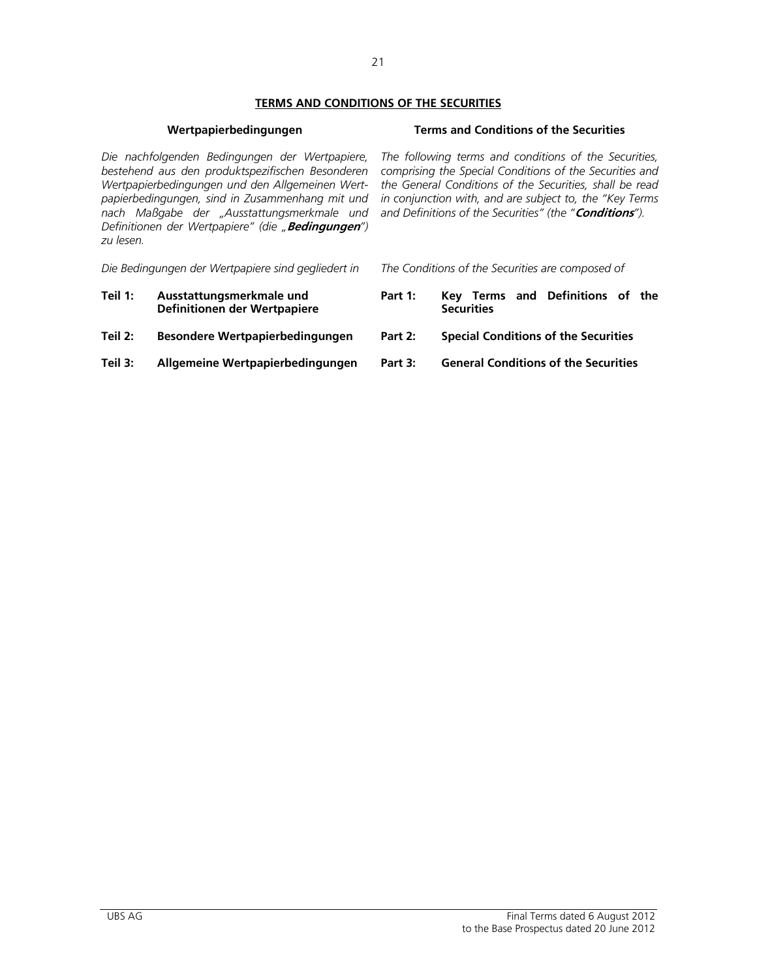# **TERMS AND CONDITIONS OF THE SECURITIES**

# **Wertpapierbedingungen Terms and Conditions of the Securities**

*Die nachfolgenden Bedingungen der Wertpapiere, bestehend aus den produktspezifischen Besonderen Wertpapierbedingungen und den Allgemeinen Wertpapierbedingungen, sind in Zusammenhang mit und nach Maßgabe der "Ausstattungsmerkmale und Definitionen der Wertpapiere" (die "***Bedingungen***") zu lesen.* 

*Die Bedingungen der Wertpapiere sind gegliedert in The Conditions of the Securities are composed of* 

- **Teil 1: Ausstattungsmerkmale und Definitionen der Wertpapiere**
- 
- **Teil 3: Allgemeine Wertpapierbedingungen Part 3: General Conditions of the Securities**

*The following terms and conditions of the Securities, comprising the Special Conditions of the Securities and the General Conditions of the Securities, shall be read in conjunction with, and are subject to, the "Key Terms and Definitions of the Securities" (the "***Conditions***").* 

- 
- **Part 1: Key Terms and Definitions of the Securities**
- **Teil 2: Besondere Wertpapierbedingungen Part 2: Special Conditions of the Securities**
	-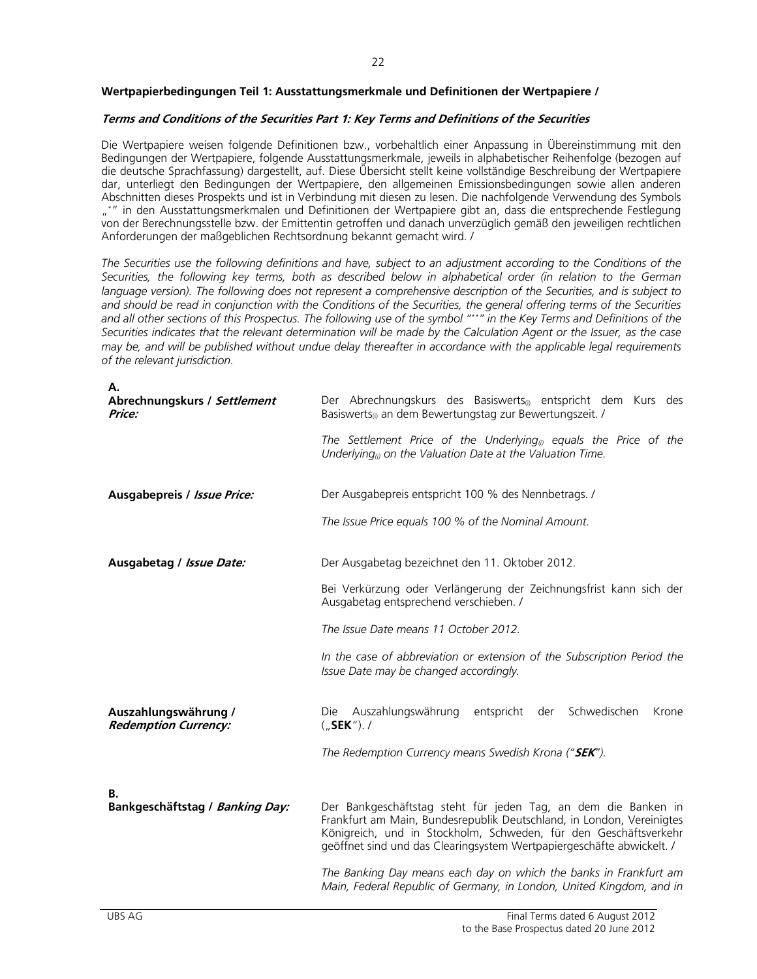# **Wertpapierbedingungen Teil 1: Ausstattungsmerkmale und Definitionen der Wertpapiere /**

# **Terms and Conditions of the Securities Part 1: Key Terms and Definitions of the Securities**

Die Wertpapiere weisen folgende Definitionen bzw., vorbehaltlich einer Anpassung in Übereinstimmung mit den Bedingungen der Wertpapiere, folgende Ausstattungsmerkmale, jeweils in alphabetischer Reihenfolge (bezogen auf die deutsche Sprachfassung) dargestellt, auf. Diese Übersicht stellt keine vollständige Beschreibung der Wertpapiere dar, unterliegt den Bedingungen der Wertpapiere, den allgemeinen Emissionsbedingungen sowie allen anderen Abschnitten dieses Prospekts und ist in Verbindung mit diesen zu lesen. Die nachfolgende Verwendung des Symbols "\*" in den Ausstattungsmerkmalen und Definitionen der Wertpapiere gibt an, dass die entsprechende Festlegung von der Berechnungsstelle bzw. der Emittentin getroffen und danach unverzüglich gemäß den jeweiligen rechtlichen Anforderungen der maßgeblichen Rechtsordnung bekannt gemacht wird. /

*The Securities use the following definitions and have, subject to an adjustment according to the Conditions of the Securities, the following key terms, both as described below in alphabetical order (in relation to the German language version). The following does not represent a comprehensive description of the Securities, and is subject to and should be read in conjunction with the Conditions of the Securities, the general offering terms of the Securities and all other sections of this Prospectus. The following use of the symbol "\*\*" in the Key Terms and Definitions of the Securities indicates that the relevant determination will be made by the Calculation Agent or the Issuer, as the case may be, and will be published without undue delay thereafter in accordance with the applicable legal requirements of the relevant jurisdiction.* 

| А.<br>Abrechnungskurs / Settlement<br>Price:        | Der Abrechnungskurs des Basiswerts <sub>(i)</sub> entspricht dem Kurs des<br>Basiswerts <sub>(i)</sub> an dem Bewertungstag zur Bewertungszeit. /                                                           |
|-----------------------------------------------------|-------------------------------------------------------------------------------------------------------------------------------------------------------------------------------------------------------------|
|                                                     | The Settlement Price of the Underlying <sub>(i)</sub> equals the Price of the<br>Underlying <sub>(i)</sub> on the Valuation Date at the Valuation Time.                                                     |
| Ausgabepreis / Issue Price:                         | Der Ausgabepreis entspricht 100 % des Nennbetrags. /                                                                                                                                                        |
|                                                     | The Issue Price equals 100 % of the Nominal Amount.                                                                                                                                                         |
| Ausgabetag / Issue Date:                            | Der Ausgabetag bezeichnet den 11. Oktober 2012.                                                                                                                                                             |
|                                                     | Bei Verkürzung oder Verlängerung der Zeichnungsfrist kann sich der<br>Ausgabetag entsprechend verschieben. /                                                                                                |
|                                                     | The Issue Date means 11 October 2012.                                                                                                                                                                       |
|                                                     | In the case of abbreviation or extension of the Subscription Period the<br>Issue Date may be changed accordingly.                                                                                           |
| Auszahlungswährung /<br><b>Redemption Currency:</b> | Die Auszahlungswährung entspricht der<br>Schwedischen<br>Krone<br>$($ "SEK"). /                                                                                                                             |
|                                                     | The Redemption Currency means Swedish Krona ("SEK").                                                                                                                                                        |
| В.<br>Bankgeschäftstag / Banking Day:               | Der Bankgeschäftstag steht für jeden Tag, an dem die Banken in<br>Frankfurt am Main, Bundesrepublik Deutschland, in London, Vereinigtes<br>Königreich, und in Stockholm, Schweden, für den Geschäftsverkehr |
|                                                     | geöffnet sind und das Clearingsystem Wertpapiergeschäfte abwickelt. /                                                                                                                                       |
|                                                     | The Banking Day means each day on which the banks in Frankfurt am<br>Main, Federal Republic of Germany, in London, United Kingdom, and in                                                                   |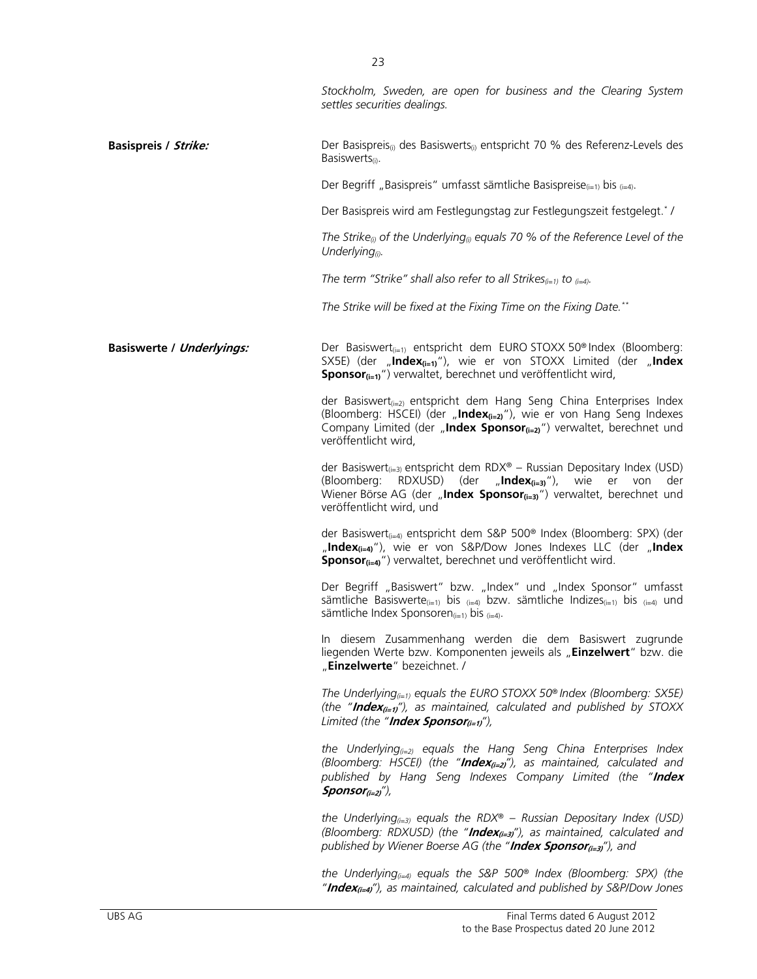|                                  | Stockholm, Sweden, are open for business and the Clearing System<br>settles securities dealings.                                                                                                                                                                                         |
|----------------------------------|------------------------------------------------------------------------------------------------------------------------------------------------------------------------------------------------------------------------------------------------------------------------------------------|
| <b>Basispreis / Strike:</b>      | Der Basispreis <sub>(i)</sub> des Basiswerts <sub>(i)</sub> entspricht 70 % des Referenz-Levels des<br>Basiswerts <sub>(i)</sub> .                                                                                                                                                       |
|                                  | Der Begriff "Basispreis" umfasst sämtliche Basispreise $_{(i=1)}$ bis $_{(i=4)}$ .                                                                                                                                                                                                       |
|                                  | Der Basispreis wird am Festlegungstag zur Festlegungszeit festgelegt.*/                                                                                                                                                                                                                  |
|                                  | The Strike <sub>®</sub> of the Underlying <sub>®</sub> equals 70 % of the Reference Level of the<br>Underlying $\omega$ .                                                                                                                                                                |
|                                  | The term "Strike" shall also refer to all Strikes $_{(i=1)}$ to $_{(i=4)}$ .                                                                                                                                                                                                             |
|                                  | The Strike will be fixed at the Fixing Time on the Fixing Date.**                                                                                                                                                                                                                        |
| <b>Basiswerte / Underlyings:</b> | Der Basiswert <sub>(i=1)</sub> entspricht dem EURO STOXX 50 <sup>®</sup> Index (Bloomberg:<br>SX5E) (der "Index <sub>(i=1)</sub> "), wie er von STOXX Limited (der "Index<br><b>Sponsor</b> $(i=1)$ ") verwaltet, berechnet und veröffentlicht wird,                                     |
|                                  | der Basiswert <sub>(i=2)</sub> entspricht dem Hang Seng China Enterprises Index<br>(Bloomberg: HSCEI) (der "Index $_{(i=2)}$ "), wie er von Hang Seng Indexes<br>Company Limited (der "Index Sponsor(i=2)") verwaltet, berechnet und<br>veröffentlicht wird,                             |
|                                  | der Basiswert <sub>(i=3)</sub> entspricht dem RDX® - Russian Depositary Index (USD)<br>(Bloomberg:<br>RDXUSD) (der<br>$n$ , Index $(i=3)$ "),<br>wie<br>er<br>von<br>der<br>Wiener Börse AG (der "Index Sponsor <sub>(i=3)</sub> ") verwaltet, berechnet und<br>veröffentlicht wird, und |
|                                  | der Basiswert <sub>(i=4)</sub> entspricht dem S&P 500 <sup>®</sup> Index (Bloomberg: SPX) (der<br>"Index $_{(i=4)}$ "), wie er von S&P/Dow Jones Indexes LLC (der "Index<br>Sponsor <sub>(i=4)</sub> ") verwaltet, berechnet und veröffentlicht wird.                                    |
|                                  | Der Begriff "Basiswert" bzw. "Index" und "Index Sponsor" umfasst<br>sämtliche Basiswerte <sub>(i=1)</sub> bis <sub>(i=4)</sub> bzw. sämtliche Indizes <sub>(i=1)</sub> bis <sub>(i=4)</sub> und<br>sämtliche Index Sponsoren $_{(i=1)}$ bis $_{(i=4)}$ .                                 |
|                                  | In diesem Zusammenhang werden die dem Basiswert zugrunde<br>liegenden Werte bzw. Komponenten jeweils als "Einzelwert" bzw. die<br>"Einzelwerte" bezeichnet. /                                                                                                                            |
|                                  | The Underlying <sub><math>(i=1)</math></sub> equals the EURO STOXX 50 <sup>®</sup> Index (Bloomberg: SX5E)<br>(the "Index <sub>(i=1)</sub> "), as maintained, calculated and published by STOXX<br>Limited (the " <b>Index Sponsor</b> <sub><math>(i=1)</math></sub> "),                 |
|                                  | the Underlying <sub><math>(x=2)</math></sub> equals the Hang Seng China Enterprises Index<br>(Bloomberg: HSCEI) (the " <b>Index</b> <sub>(i=2)</sub> "), as maintained, calculated and<br>published by Hang Seng Indexes Company Limited (the "Index<br>$Sponsor_{(i=2)}')$              |
|                                  | the Underlying <sub><math>(i=3)</math></sub> equals the RDX® – Russian Depositary Index (USD)<br>(Bloomberg: RDXUSD) (the "Index <sub>(i=3)</sub> "), as maintained, calculated and<br>published by Wiener Boerse AG (the "Index Sponsor <sub>(i=3)</sub> "), and                        |
|                                  | the Underlying $q_{i=4}$ equals the S&P 500 <sup>®</sup> Index (Bloomberg: SPX) (the                                                                                                                                                                                                     |

*"***Index(i=4)***"), as maintained, calculated and published by S&P/Dow Jones*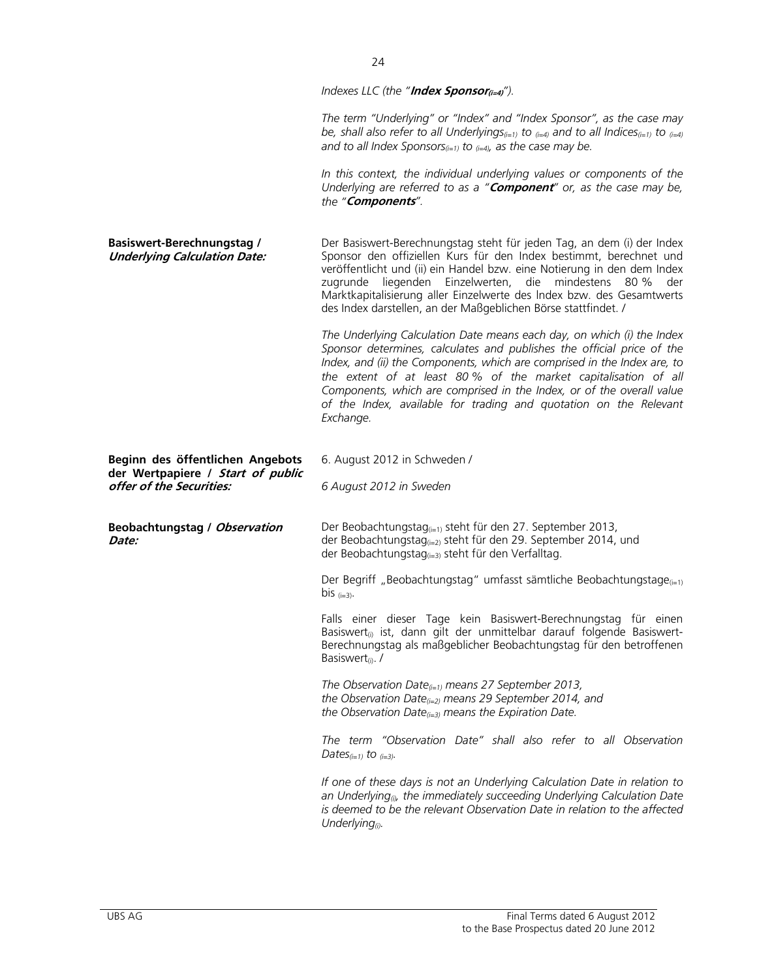*Indexes LLC (the "Index Sponsor(i=4)<sup>"</sup>).* 

*The term "Underlying" or "Index" and "Index Sponsor", as the case may be, shall also refer to all Underlyings(i=1) to (i=4) and to all Indices(i=1) to (i=4)* and to all Index Sponsors $(i=1)$  to  $(i=4)$ , as the case may be.

*In this context, the individual underlying values or components of the Underlying are referred to as a "***Component***" or, as the case may be, the "***Components***".*

| <b>Basiswert-Berechnungstag /</b><br><b>Underlying Calculation Date:</b> | Der Basiswert-Berechnungstag steht für jeden Tag, an dem (i) der Index<br>Sponsor den offiziellen Kurs für den Index bestimmt, berechnet und<br>veröffentlicht und (ii) ein Handel bzw. eine Notierung in den dem Index<br>zugrunde liegenden Einzelwerten, die mindestens 80 %<br>der<br>Marktkapitalisierung aller Einzelwerte des Index bzw. des Gesamtwerts<br>des Index darstellen, an der Maßgeblichen Börse stattfindet. /                         |  |  |
|--------------------------------------------------------------------------|-----------------------------------------------------------------------------------------------------------------------------------------------------------------------------------------------------------------------------------------------------------------------------------------------------------------------------------------------------------------------------------------------------------------------------------------------------------|--|--|
|                                                                          | The Underlying Calculation Date means each day, on which (i) the Index<br>Sponsor determines, calculates and publishes the official price of the<br>Index, and (ii) the Components, which are comprised in the Index are, to<br>the extent of at least 80% of the market capitalisation of all<br>Components, which are comprised in the Index, or of the overall value<br>of the Index, available for trading and quotation on the Relevant<br>Exchange. |  |  |
| Beginn des öffentlichen Angebots                                         | 6. August 2012 in Schweden /                                                                                                                                                                                                                                                                                                                                                                                                                              |  |  |
| der Wertpapiere / Start of public<br>offer of the Securities:            | 6 August 2012 in Sweden                                                                                                                                                                                                                                                                                                                                                                                                                                   |  |  |
| Beobachtungstag / Observation<br>Date:                                   | Der Beobachtungstag <sub>(i=1)</sub> steht für den 27. September 2013,<br>der Beobachtungstag <sub>(i=2)</sub> steht für den 29. September 2014, und<br>der Beobachtungstag(i=3) steht für den Verfalltag.                                                                                                                                                                                                                                                |  |  |
|                                                                          | Der Begriff "Beobachtungstag" umfasst sämtliche Beobachtungstage <sub>(i=1)</sub><br>bis $(i=3)$ .                                                                                                                                                                                                                                                                                                                                                        |  |  |
|                                                                          | Falls einer dieser Tage kein Basiswert-Berechnungstag für einen<br>Basiswert <sub>(i)</sub> ist, dann gilt der unmittelbar darauf folgende Basiswert-<br>Berechnungstag als maßgeblicher Beobachtungstag für den betroffenen<br>Basiswert <sub>(i)</sub> . /                                                                                                                                                                                              |  |  |
|                                                                          | The Observation Date $_{(i=1)}$ means 27 September 2013,<br>the Observation Date $_{(i=2)}$ means 29 September 2014, and<br>the Observation Date $_{(i=3)}$ means the Expiration Date.                                                                                                                                                                                                                                                                    |  |  |
|                                                                          | The term "Observation Date" shall also refer to all Observation<br>Dates $(i=1)$ to $(i=3)$ .                                                                                                                                                                                                                                                                                                                                                             |  |  |
|                                                                          | If one of these days is not an Underlying Calculation Date in relation to<br>an Underlying <sub>®</sub> , the immediately succeeding Underlying Calculation Date<br>is deemed to be the relevant Observation Date in relation to the affected<br>Underlying $_{(i)}$ .                                                                                                                                                                                    |  |  |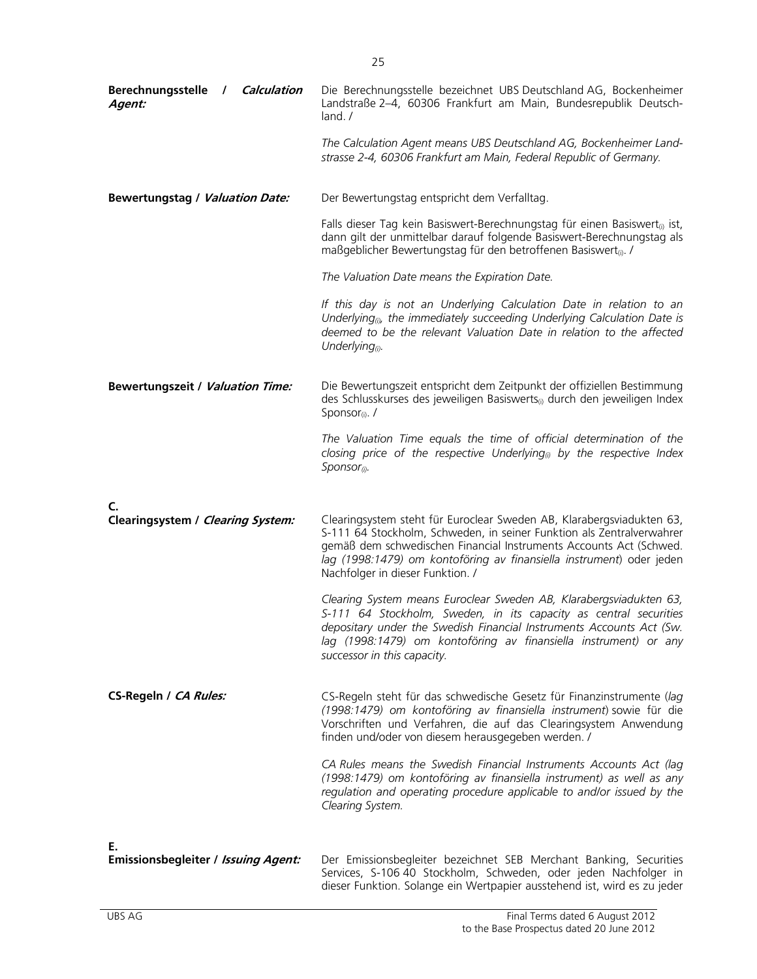| Berechnungsstelle / Calculation<br>Agent: | Die Berechnungsstelle bezeichnet UBS Deutschland AG, Bockenheimer<br>Landstraße 2-4, 60306 Frankfurt am Main, Bundesrepublik Deutsch-<br>land. /                                                                                                                                                                                 |
|-------------------------------------------|----------------------------------------------------------------------------------------------------------------------------------------------------------------------------------------------------------------------------------------------------------------------------------------------------------------------------------|
|                                           | The Calculation Agent means UBS Deutschland AG, Bockenheimer Land-<br>strasse 2-4, 60306 Frankfurt am Main, Federal Republic of Germany.                                                                                                                                                                                         |
| Bewertungstag / Valuation Date:           | Der Bewertungstag entspricht dem Verfalltag.                                                                                                                                                                                                                                                                                     |
|                                           | Falls dieser Tag kein Basiswert-Berechnungstag für einen Basiswert <sub>(i)</sub> ist,<br>dann gilt der unmittelbar darauf folgende Basiswert-Berechnungstag als<br>maßgeblicher Bewertungstag für den betroffenen Basiswert <sub>(i)</sub> . /                                                                                  |
|                                           | The Valuation Date means the Expiration Date.                                                                                                                                                                                                                                                                                    |
|                                           | If this day is not an Underlying Calculation Date in relation to an<br>Underlying <sub>®</sub> , the immediately succeeding Underlying Calculation Date is<br>deemed to be the relevant Valuation Date in relation to the affected<br>Underlying $_{(i)}$ .                                                                      |
| <b>Bewertungszeit / Valuation Time:</b>   | Die Bewertungszeit entspricht dem Zeitpunkt der offiziellen Bestimmung<br>des Schlusskurses des jeweiligen Basiswerts <sub>0</sub> durch den jeweiligen Index<br>Sponsor <sub>(i)</sub> . /                                                                                                                                      |
|                                           | The Valuation Time equals the time of official determination of the<br>closing price of the respective Underlying <sub>(<math>0</math></sub> by the respective Index<br>$S$ ponsor(i).                                                                                                                                           |
| C.                                        |                                                                                                                                                                                                                                                                                                                                  |
| Clearingsystem / Clearing System:         | Clearingsystem steht für Euroclear Sweden AB, Klarabergsviadukten 63,<br>S-111 64 Stockholm, Schweden, in seiner Funktion als Zentralverwahrer<br>gemäß dem schwedischen Financial Instruments Accounts Act (Schwed.<br>lag (1998:1479) om kontoföring av finansiella instrument) oder jeden<br>Nachfolger in dieser Funktion. / |
|                                           | Clearing System means Euroclear Sweden AB, Klarabergsviadukten 63,<br>S-111 64 Stockholm, Sweden, in its capacity as central securities<br>depositary under the Swedish Financial Instruments Accounts Act (Sw.<br>lag (1998:1479) om kontoföring av finansiella instrument) or any<br>successor in this capacity.               |
| CS-Regeln / CA Rules:                     | CS-Regeln steht für das schwedische Gesetz für Finanzinstrumente (lag<br>(1998:1479) om kontoföring av finansiella instrument) sowie für die<br>Vorschriften und Verfahren, die auf das Clearingsystem Anwendung<br>finden und/oder von diesem herausgegeben werden. /                                                           |
|                                           | CA Rules means the Swedish Financial Instruments Accounts Act (lag<br>(1998:1479) om kontoföring av finansiella instrument) as well as any<br>regulation and operating procedure applicable to and/or issued by the<br>Clearing System.                                                                                          |
| Ε.                                        |                                                                                                                                                                                                                                                                                                                                  |
| Emissionsbegleiter / Issuing Agent:       | Der Emissionsbegleiter bezeichnet SEB Merchant Banking, Securities<br>Services, S-106 40 Stockholm, Schweden, oder jeden Nachfolger in                                                                                                                                                                                           |

dieser Funktion. Solange ein Wertpapier ausstehend ist, wird es zu jeder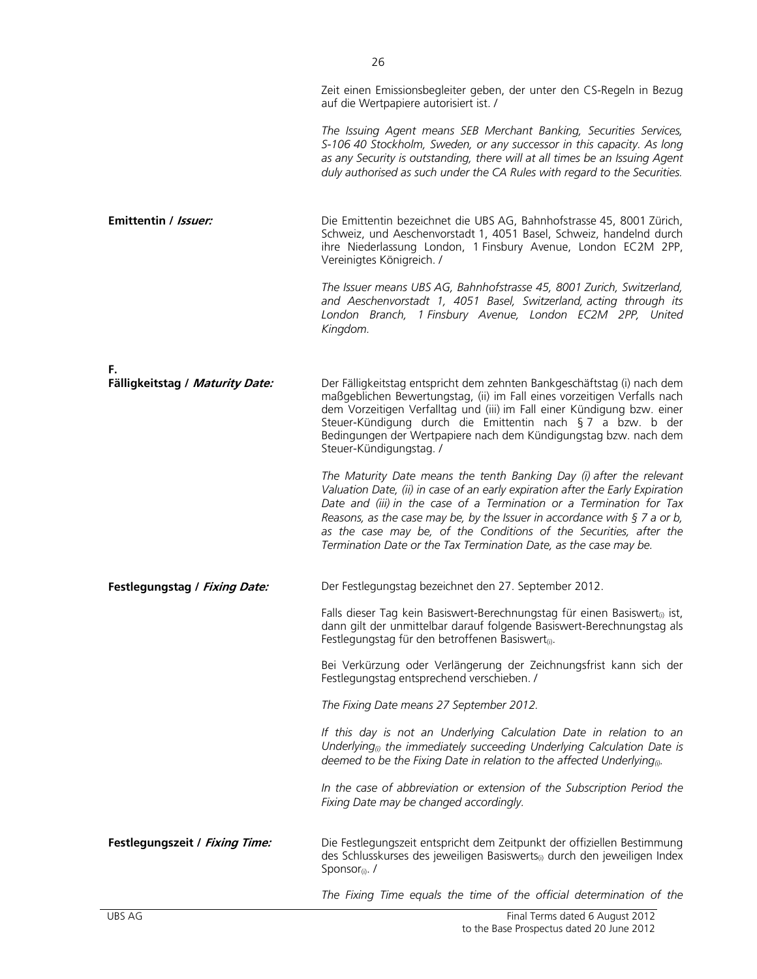*The Issuing Agent means SEB Merchant Banking, Securities Services, S-106 40 Stockholm, Sweden, or any successor in this capacity. As long as any Security is outstanding, there will at all times be an Issuing Agent duly authorised as such under the CA Rules with regard to the Securities.*

**Emittentin / Issuer: Die Emittentin bezeichnet die UBS AG, Bahnhofstrasse 45, 8001 Zürich,** Schweiz, und Aeschenvorstadt 1, 4051 Basel, Schweiz, handelnd durch ihre Niederlassung London, 1 Finsbury Avenue, London EC2M 2PP, Vereinigtes Königreich. /

auf die Wertpapiere autorisiert ist. /

*The Issuer means UBS AG, Bahnhofstrasse 45, 8001 Zurich, Switzerland, and Aeschenvorstadt 1, 4051 Basel, Switzerland, acting through its London Branch, 1 Finsbury Avenue, London EC2M 2PP, United Kingdom.* 

**F.** 

| Fälligkeitstag / Maturity Date: | Der Fälligkeitstag entspricht dem zehnten Bankgeschäftstag (i) nach dem<br>maßgeblichen Bewertungstag, (ii) im Fall eines vorzeitigen Verfalls nach<br>dem Vorzeitigen Verfalltag und (iii) im Fall einer Kündigung bzw. einer<br>Steuer-Kündigung durch die Emittentin nach § 7 a bzw. b der<br>Bedingungen der Wertpapiere nach dem Kündigungstag bzw. nach dem<br>Steuer-Kündigungstag. /                                                              |  |  |  |
|---------------------------------|-----------------------------------------------------------------------------------------------------------------------------------------------------------------------------------------------------------------------------------------------------------------------------------------------------------------------------------------------------------------------------------------------------------------------------------------------------------|--|--|--|
|                                 | The Maturity Date means the tenth Banking Day (i) after the relevant<br>Valuation Date, (ii) in case of an early expiration after the Early Expiration<br>Date and (iii) in the case of a Termination or a Termination for Tax<br>Reasons, as the case may be, by the Issuer in accordance with $\S$ 7 a or b,<br>as the case may be, of the Conditions of the Securities, after the<br>Termination Date or the Tax Termination Date, as the case may be. |  |  |  |
| Festlegungstag / Fixing Date:   | Der Festlegungstag bezeichnet den 27. September 2012.                                                                                                                                                                                                                                                                                                                                                                                                     |  |  |  |
|                                 | Falls dieser Tag kein Basiswert-Berechnungstag für einen Basiswert <sub>(i)</sub> ist,<br>dann gilt der unmittelbar darauf folgende Basiswert-Berechnungstag als<br>Festlegungstag für den betroffenen Basiswert <sub>(i)</sub> .                                                                                                                                                                                                                         |  |  |  |
|                                 | Bei Verkürzung oder Verlängerung der Zeichnungsfrist kann sich der<br>Festlegungstag entsprechend verschieben. /                                                                                                                                                                                                                                                                                                                                          |  |  |  |
|                                 | The Fixing Date means 27 September 2012.                                                                                                                                                                                                                                                                                                                                                                                                                  |  |  |  |
|                                 | If this day is not an Underlying Calculation Date in relation to an<br>Underlying <sub>®</sub> the immediately succeeding Underlying Calculation Date is<br>deemed to be the Fixing Date in relation to the affected Underlying <sub><math>\omega</math></sub> .                                                                                                                                                                                          |  |  |  |
|                                 | In the case of abbreviation or extension of the Subscription Period the<br>Fixing Date may be changed accordingly.                                                                                                                                                                                                                                                                                                                                        |  |  |  |
| Festlegungszeit / Fixing Time:  | Die Festlegungszeit entspricht dem Zeitpunkt der offiziellen Bestimmung<br>des Schlusskurses des jeweiligen Basiswerts <sub>(i)</sub> durch den jeweiligen Index<br>Sponsor <sub>(i)</sub> . /                                                                                                                                                                                                                                                            |  |  |  |
|                                 | The Fixing Time equals the time of the official determination of the                                                                                                                                                                                                                                                                                                                                                                                      |  |  |  |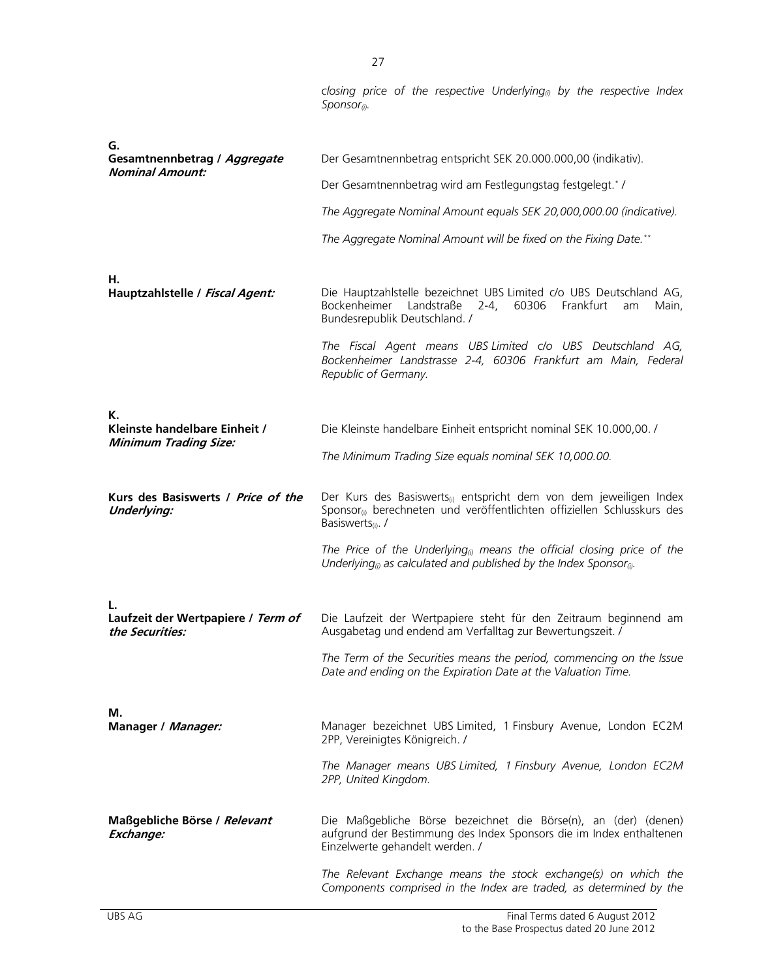*closing price of the respective Underlying(i) by the respective Index Sponsor(i).* 

| G.                                                            |                                                                                                                                                                                                        |  |
|---------------------------------------------------------------|--------------------------------------------------------------------------------------------------------------------------------------------------------------------------------------------------------|--|
| Gesamtnennbetrag / Aggregate<br><b>Nominal Amount:</b>        | Der Gesamtnennbetrag entspricht SEK 20.000.000,00 (indikativ).                                                                                                                                         |  |
|                                                               | Der Gesamtnennbetrag wird am Festlegungstag festgelegt.*/                                                                                                                                              |  |
|                                                               | The Aggregate Nominal Amount equals SEK 20,000,000.00 (indicative).                                                                                                                                    |  |
|                                                               | The Aggregate Nominal Amount will be fixed on the Fixing Date.**                                                                                                                                       |  |
| Н.<br>Hauptzahlstelle / Fiscal Agent:                         | Die Hauptzahlstelle bezeichnet UBS Limited c/o UBS Deutschland AG,<br>Bockenheimer Landstraße<br>$2 - 4$<br>60306<br>Frankfurt<br>Main,<br>am<br>Bundesrepublik Deutschland. /                         |  |
|                                                               | The Fiscal Agent means UBS Limited c/o UBS Deutschland AG,<br>Bockenheimer Landstrasse 2-4, 60306 Frankfurt am Main, Federal<br>Republic of Germany.                                                   |  |
| К.                                                            |                                                                                                                                                                                                        |  |
| Kleinste handelbare Einheit /<br><b>Minimum Trading Size:</b> | Die Kleinste handelbare Einheit entspricht nominal SEK 10.000,00. /                                                                                                                                    |  |
|                                                               | The Minimum Trading Size equals nominal SEK 10,000.00.                                                                                                                                                 |  |
|                                                               |                                                                                                                                                                                                        |  |
| Kurs des Basiswerts / Price of the<br><b>Underlying:</b>      | Der Kurs des Basiswerts <sub>(i)</sub> entspricht dem von dem jeweiligen Index<br>Sponsor <sub>(i)</sub> berechneten und veröffentlichten offiziellen Schlusskurs des<br>Basiswerts <sub>(i)</sub> . / |  |
|                                                               | The Price of the Underlying <sub>(i)</sub> means the official closing price of the<br>Underlying <sub>(i)</sub> as calculated and published by the Index Sponsor <sub>(i)</sub> .                      |  |
|                                                               |                                                                                                                                                                                                        |  |
| Laufzeit der Wertpapiere / Term of<br>the Securities:         | Die Laufzeit der Wertpapiere steht für den Zeitraum beginnend am<br>Ausgabetag und endend am Verfalltag zur Bewertungszeit. /                                                                          |  |
|                                                               | The Term of the Securities means the period, commencing on the Issue<br>Date and ending on the Expiration Date at the Valuation Time.                                                                  |  |
|                                                               |                                                                                                                                                                                                        |  |
| М.<br>Manager / Manager:                                      | Manager bezeichnet UBS Limited, 1 Finsbury Avenue, London EC2M<br>2PP, Vereinigtes Königreich. /                                                                                                       |  |
|                                                               | The Manager means UBS Limited, 1 Finsbury Avenue, London EC2M<br>2PP, United Kingdom.                                                                                                                  |  |
| Maßgebliche Börse / Relevant<br>Exchange:                     | Die Maßgebliche Börse bezeichnet die Börse(n), an (der) (denen)<br>aufgrund der Bestimmung des Index Sponsors die im Index enthaltenen<br>Einzelwerte gehandelt werden. /                              |  |
|                                                               | The Relevant Exchange means the stock exchange(s) on which the<br>Components comprised in the Index are traded, as determined by the                                                                   |  |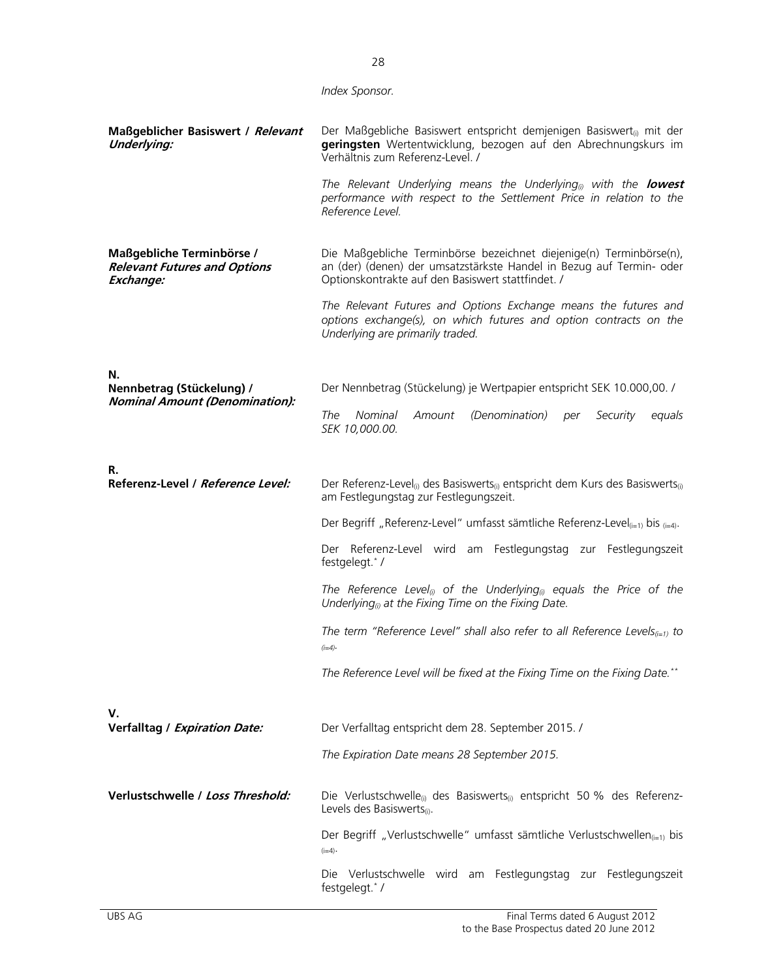|                                                                               | Index Sponsor.                                                                                                                                                                                   |  |  |  |  |
|-------------------------------------------------------------------------------|--------------------------------------------------------------------------------------------------------------------------------------------------------------------------------------------------|--|--|--|--|
| Maßgeblicher Basiswert / Relevant<br><b>Underlying:</b>                       | Der Maßgebliche Basiswert entspricht demjenigen Basiswert <sub>(i)</sub> mit der<br>geringsten Wertentwicklung, bezogen auf den Abrechnungskurs im<br>Verhältnis zum Referenz-Level. /           |  |  |  |  |
|                                                                               | The Relevant Underlying means the Underlying <sub>(i)</sub> with the <b>lowest</b><br>performance with respect to the Settlement Price in relation to the<br>Reference Level.                    |  |  |  |  |
| Maßgebliche Terminbörse /<br><b>Relevant Futures and Options</b><br>Exchange: | Die Maßgebliche Terminbörse bezeichnet diejenige(n) Terminbörse(n),<br>an (der) (denen) der umsatzstärkste Handel in Bezug auf Termin- oder<br>Optionskontrakte auf den Basiswert stattfindet. / |  |  |  |  |
|                                                                               | The Relevant Futures and Options Exchange means the futures and<br>options exchange(s), on which futures and option contracts on the<br>Underlying are primarily traded.                         |  |  |  |  |
| N.<br>Nennbetrag (Stückelung) /                                               | Der Nennbetrag (Stückelung) je Wertpapier entspricht SEK 10.000,00. /                                                                                                                            |  |  |  |  |
| <b>Nominal Amount (Denomination):</b>                                         | <b>Nominal</b><br>Amount<br>(Denomination)<br>The<br>Security<br>equals<br>per<br>SEK 10,000.00.                                                                                                 |  |  |  |  |
| R.                                                                            |                                                                                                                                                                                                  |  |  |  |  |
| Referenz-Level / Reference Level:                                             | Der Referenz-Level <sub>(i)</sub> des Basiswerts <sub>(i)</sub> entspricht dem Kurs des Basiswerts <sub>(i)</sub><br>am Festlegungstag zur Festlegungszeit.                                      |  |  |  |  |
|                                                                               | Der Begriff "Referenz-Level" umfasst sämtliche Referenz-Level $_{(i=1)}$ bis $_{(i=4)}$ .                                                                                                        |  |  |  |  |
|                                                                               | Der Referenz-Level wird am Festlegungstag zur Festlegungszeit<br>festgelegt.*/                                                                                                                   |  |  |  |  |
|                                                                               | The Reference Level <sub>(i)</sub> of the Underlying <sub>(i)</sub> equals the Price of the<br>Underlying <sub>(i)</sub> at the Fixing Time on the Fixing Date.                                  |  |  |  |  |
|                                                                               | The term "Reference Level" shall also refer to all Reference Levels $_{(i=1)}$ to<br>$(i=4)$                                                                                                     |  |  |  |  |
|                                                                               | The Reference Level will be fixed at the Fixing Time on the Fixing Date.**                                                                                                                       |  |  |  |  |
| V.<br>Verfalltag / Expiration Date:                                           | Der Verfalltag entspricht dem 28. September 2015. /                                                                                                                                              |  |  |  |  |
|                                                                               | The Expiration Date means 28 September 2015.                                                                                                                                                     |  |  |  |  |
| Verlustschwelle / Loss Threshold:                                             | Die Verlustschwelle <sub>(i)</sub> des Basiswerts <sub>(i)</sub> entspricht 50 % des Referenz-<br>Levels des Basiswerts(i).                                                                      |  |  |  |  |
|                                                                               | Der Begriff "Verlustschwelle" umfasst sämtliche Verlustschwellen <sub>(i=1)</sub> bis<br>$(i=4)$                                                                                                 |  |  |  |  |
|                                                                               | Die Verlustschwelle wird am Festlegungstag zur Festlegungszeit<br>festgelegt.*/                                                                                                                  |  |  |  |  |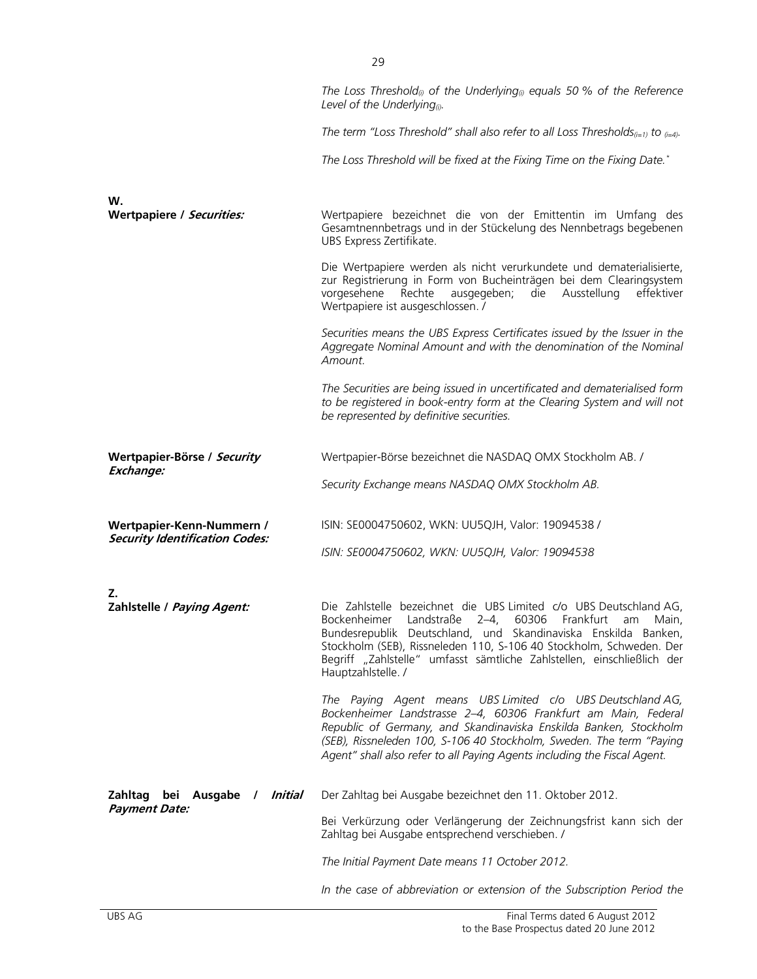|                                          | The Loss Threshold <sub>®</sub> of the Underlying <sub>®</sub> equals 50 % of the Reference<br>Level of the Underlying <sub>(i)</sub> .                                                                                                                                                                                                                             |
|------------------------------------------|---------------------------------------------------------------------------------------------------------------------------------------------------------------------------------------------------------------------------------------------------------------------------------------------------------------------------------------------------------------------|
|                                          | The term "Loss Threshold" shall also refer to all Loss Thresholds <sub>(i=1)</sub> to $_{(i=4)}$ .                                                                                                                                                                                                                                                                  |
|                                          | The Loss Threshold will be fixed at the Fixing Time on the Fixing Date.*                                                                                                                                                                                                                                                                                            |
| W.                                       |                                                                                                                                                                                                                                                                                                                                                                     |
| Wertpapiere / Securities:                | Wertpapiere bezeichnet die von der Emittentin im Umfang des<br>Gesamtnennbetrags und in der Stückelung des Nennbetrags begebenen<br>UBS Express Zertifikate.                                                                                                                                                                                                        |
|                                          | Die Wertpapiere werden als nicht verurkundete und dematerialisierte,<br>zur Registrierung in Form von Bucheinträgen bei dem Clearingsystem<br>vorgesehene<br>Rechte<br>ausgegeben;<br>die<br>Ausstellung<br>effektiver<br>Wertpapiere ist ausgeschlossen. /                                                                                                         |
|                                          | Securities means the UBS Express Certificates issued by the Issuer in the<br>Aggregate Nominal Amount and with the denomination of the Nominal<br>Amount.                                                                                                                                                                                                           |
|                                          | The Securities are being issued in uncertificated and dematerialised form<br>to be registered in book-entry form at the Clearing System and will not<br>be represented by definitive securities.                                                                                                                                                                    |
| Wertpapier-Börse / Security<br>Exchange: | Wertpapier-Börse bezeichnet die NASDAQ OMX Stockholm AB. /                                                                                                                                                                                                                                                                                                          |
|                                          | Security Exchange means NASDAQ OMX Stockholm AB.                                                                                                                                                                                                                                                                                                                    |
| Wertpapier-Kenn-Nummern /                | ISIN: SE0004750602, WKN: UU5QJH, Valor: 19094538 /                                                                                                                                                                                                                                                                                                                  |
| <b>Security Identification Codes:</b>    | ISIN: SE0004750602, WKN: UU5QJH, Valor: 19094538                                                                                                                                                                                                                                                                                                                    |
| Z.                                       |                                                                                                                                                                                                                                                                                                                                                                     |
| Zahlstelle / Paying Agent:               | Die Zahlstelle bezeichnet die UBS Limited c/o UBS Deutschland AG,<br>Bockenheimer Landstraße 2-4, 60306 Frankfurt am Main,<br>Bundesrepublik Deutschland, und Skandinaviska Enskilda Banken,<br>Stockholm (SEB), Rissneleden 110, S-106 40 Stockholm, Schweden. Der<br>Begriff "Zahlstelle" umfasst sämtliche Zahlstellen, einschließlich der<br>Hauptzahlstelle. / |
|                                          | The Paying Agent means UBS Limited c/o UBS Deutschland AG,<br>Bockenheimer Landstrasse 2-4, 60306 Frankfurt am Main, Federal<br>Republic of Germany, and Skandinaviska Enskilda Banken, Stockholm<br>(SEB), Rissneleden 100, S-106 40 Stockholm, Sweden. The term "Paying<br>Agent" shall also refer to all Paying Agents including the Fiscal Agent.               |
| Zahltag bei Ausgabe / Initial            | Der Zahltag bei Ausgabe bezeichnet den 11. Oktober 2012.                                                                                                                                                                                                                                                                                                            |
| <b>Payment Date:</b>                     | Bei Verkürzung oder Verlängerung der Zeichnungsfrist kann sich der<br>Zahltag bei Ausgabe entsprechend verschieben. /                                                                                                                                                                                                                                               |
|                                          | The Initial Payment Date means 11 October 2012.                                                                                                                                                                                                                                                                                                                     |
|                                          | In the case of abbreviation or extension of the Subscription Period the                                                                                                                                                                                                                                                                                             |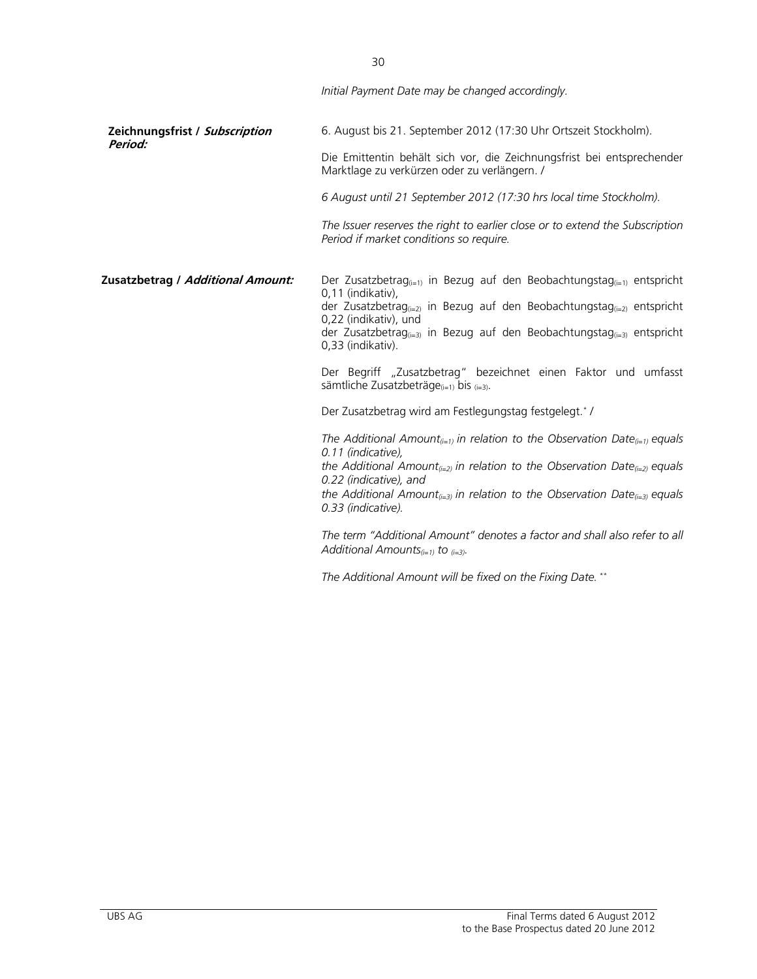|                                   | Initial Payment Date may be changed accordingly.                                                                                                                                                                                                                                                                                                                                                                                                                                                                                                        |
|-----------------------------------|---------------------------------------------------------------------------------------------------------------------------------------------------------------------------------------------------------------------------------------------------------------------------------------------------------------------------------------------------------------------------------------------------------------------------------------------------------------------------------------------------------------------------------------------------------|
| Zeichnungsfrist / Subscription    | 6. August bis 21. September 2012 (17:30 Uhr Ortszeit Stockholm).                                                                                                                                                                                                                                                                                                                                                                                                                                                                                        |
| Period:                           | Die Emittentin behält sich vor, die Zeichnungsfrist bei entsprechender<br>Marktlage zu verkürzen oder zu verlängern. /                                                                                                                                                                                                                                                                                                                                                                                                                                  |
|                                   | 6 August until 21 September 2012 (17:30 hrs local time Stockholm).                                                                                                                                                                                                                                                                                                                                                                                                                                                                                      |
|                                   | The Issuer reserves the right to earlier close or to extend the Subscription<br>Period if market conditions so require.                                                                                                                                                                                                                                                                                                                                                                                                                                 |
| Zusatzbetrag / Additional Amount: | Der Zusatzbetrag <sub>(i=1)</sub> in Bezug auf den Beobachtungstag <sub>(i=1)</sub> entspricht<br>0,11 (indikativ),<br>der Zusatzbetrag <sub>(i=2)</sub> in Bezug auf den Beobachtungstag <sub>(i=2)</sub> entspricht<br>0,22 (indikativ), und<br>der Zusatzbetrag <sub>(i=3)</sub> in Bezug auf den Beobachtungstag <sub>(i=3)</sub> entspricht<br>0,33 (indikativ).<br>Der Begriff "Zusatzbetrag" bezeichnet einen Faktor und umfasst<br>sämtliche Zusatzbeträge $_{(i=1)}$ bis $_{(i=3)}$ .<br>Der Zusatzbetrag wird am Festlegungstag festgelegt.*/ |
|                                   | The Additional Amount <sub>(i=1)</sub> in relation to the Observation Date <sub>(i=1)</sub> equals<br>0.11 (indicative),<br>the Additional Amount <sub>(i=2)</sub> in relation to the Observation Date <sub>(i=2)</sub> equals<br>0.22 (indicative), and<br>the Additional Amount <sub>(i=3)</sub> in relation to the Observation Date <sub>(i=3)</sub> equals<br>0.33 (indicative).                                                                                                                                                                    |
|                                   | The term "Additional Amount" denotes a factor and shall also refer to all<br>Additional Amounts <sub>(i=1)</sub> to $_{(i=3)}$ .                                                                                                                                                                                                                                                                                                                                                                                                                        |
|                                   | The Additional Amount will be fixed on the Fixing Date. **                                                                                                                                                                                                                                                                                                                                                                                                                                                                                              |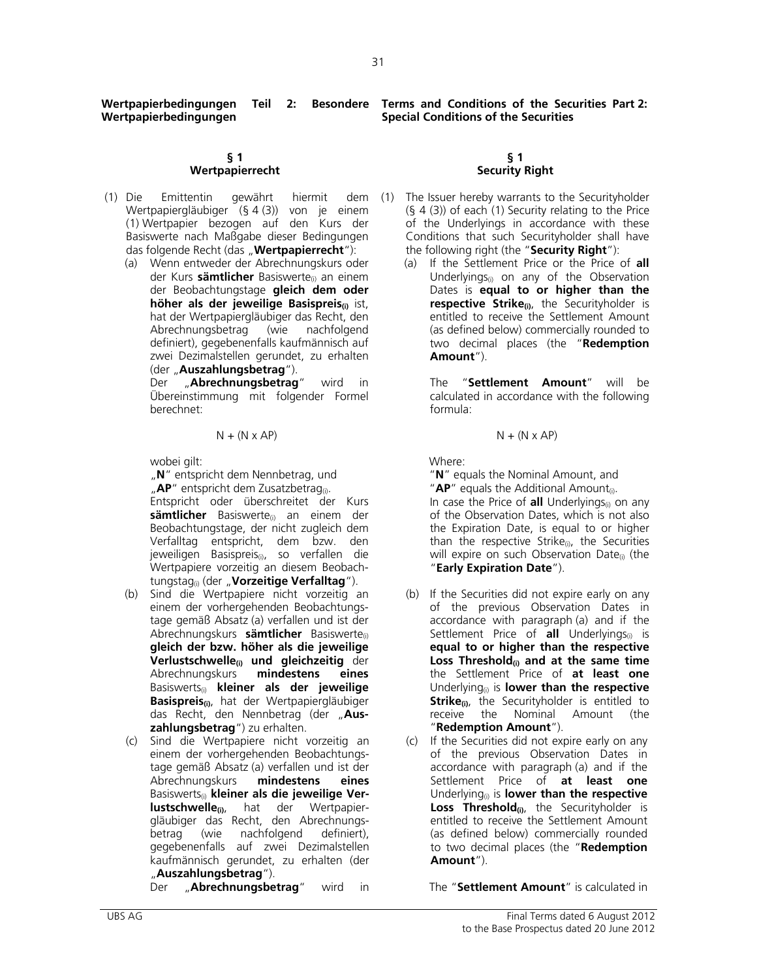**Wertpapierbedingungen** 

#### **§ 1 Wertpapierrecht**

- (1) Die Emittentin gewährt hiermit dem Wertpapiergläubiger (§ 4 (3)) von je einem (1) Wertpapier bezogen auf den Kurs der Basiswerte nach Maßgabe dieser Bedingungen das folgende Recht (das "**Wertpapierrecht**"):
	- (a) Wenn entweder der Abrechnungskurs oder der Kurs **sämtlicher** Basiswerte<sub>(i)</sub> an einem der Beobachtungstage **gleich dem oder höher als der jeweilige Basispreis(i)** ist, hat der Wertpapiergläubiger das Recht, den Abrechnungsbetrag (wie nachfolgend definiert), gegebenenfalls kaufmännisch auf zwei Dezimalstellen gerundet, zu erhalten (der "**Auszahlungsbetrag**").

 Der "**Abrechnungsbetrag**" wird in Übereinstimmung mit folgender Formel berechnet:

$$
N + (N \times AP)
$$

wobei gilt:

"N" entspricht dem Nennbetrag, und "**AP**" entspricht dem Zusatzbetrag<sub>(i)</sub>.

 Entspricht oder überschreitet der Kurs **sämtlicher** Basiswerte(i) an einem der Beobachtungstage, der nicht zugleich dem Verfalltag entspricht, dem bzw. den jeweiligen Basispreis(i), so verfallen die Wertpapiere vorzeitig an diesem Beobachtungstag(i) (der "**Vorzeitige Verfalltag**").

- (b) Sind die Wertpapiere nicht vorzeitig an einem der vorhergehenden Beobachtungstage gemäß Absatz (a) verfallen und ist der Abrechnungskurs **sämtlicher** Basiswerte(i) **gleich der bzw. höher als die jeweilige Verlustschwelle(i) und gleichzeitig** der Abrechnungskurs **mindestens eines**  Basiswerts(i) **kleiner als der jeweilige Basispreis(i)**, hat der Wertpapiergläubiger das Recht, den Nennbetrag (der "**Auszahlungsbetrag**") zu erhalten.
- (c) Sind die Wertpapiere nicht vorzeitig an einem der vorhergehenden Beobachtungstage gemäß Absatz (a) verfallen und ist der Abrechnungskurs **mindestens eines** Basiswerts(i) **kleiner als die jeweilige Verlustschwelle**(i), hat der Wertpapiergläubiger das Recht, den Abrechnungs-<br>betrag (wie nachfolgend definiert), nachfolgend definiert), gegebenenfalls auf zwei Dezimalstellen kaufmännisch gerundet, zu erhalten (der "**Auszahlungsbetrag**").

**Wertpapierbedingungen Teil 2: Besondere Terms and Conditions of the Securities Part 2: Special Conditions of the Securities** 

#### **§ 1 Security Right**

- The Issuer hereby warrants to the Securityholder (§ 4 (3)) of each (1) Security relating to the Price of the Underlyings in accordance with these Conditions that such Securityholder shall have the following right (the "**Security Right**"):
	- (a) If the Settlement Price or the Price of **all** Underlyings $_{(i)}$  on any of the Observation Dates is **equal to or higher than the respective Strike**(i), the Securityholder is entitled to receive the Settlement Amount (as defined below) commercially rounded to two decimal places (the "**Redemption Amount**").

The "**Settlement Amount**" will be calculated in accordance with the following formula:

$$
N + (N \times AP)
$$
  $N + (N \times AP)$ 

Where:

 "**N**" equals the Nominal Amount, and "**AP**" equals the Additional Amount<sub>(i)</sub>. In case the Price of **all** Underlyings<sub>(i)</sub> on any of the Observation Dates, which is not also the Expiration Date, is equal to or higher than the respective Strike<sub>(i)</sub>, the Securities will expire on such Observation Date<sub>(i)</sub> (the "**Early Expiration Date**").

- (b) If the Securities did not expire early on any of the previous Observation Dates in accordance with paragraph (a) and if the Settlement Price of **all** Underlyings<sub>(i)</sub> is **equal to or higher than the respective Loss Threshold(i) and at the same time** the Settlement Price of **at least one** Underlying(i) is **lower than the respective Strike<sub>(i)</sub>**, the Securityholder is entitled to receive the Nominal Amount (the "**Redemption Amount**").
- (c) If the Securities did not expire early on any of the previous Observation Dates in accordance with paragraph (a) and if the Settlement Price of **at least one** Underlying(i) is **lower than the respective**  Loss Threshold<sub>(i)</sub>, the Securityholder is entitled to receive the Settlement Amount (as defined below) commercially rounded to two decimal places (the "**Redemption Amount**").

Der "**Abrechnungsbetrag**" wird in The "**Settlement Amount**" is calculated in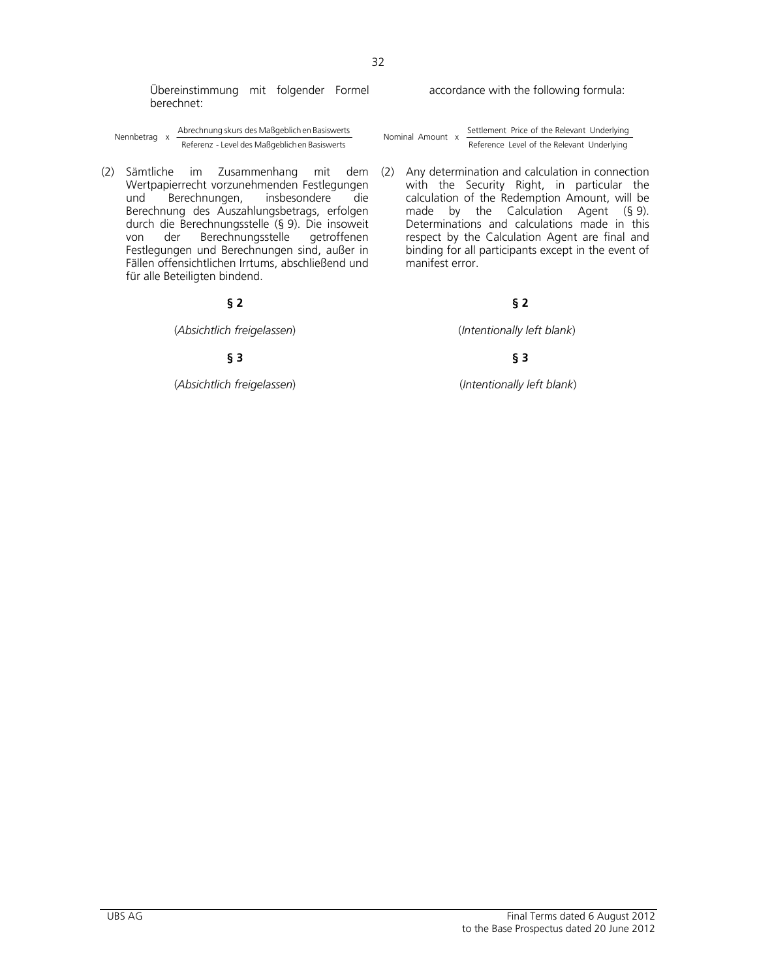Übereinstimmung mit folgender Formel berechnet:

Nennbetrag x Abrechnung skurs des Maßgeblichen Basiswerts Mominal Amount x Settlement Price of the Relevant Underlying<br>Reference Level of the Relevant Underlying (Reference Level of the Relevant Underlying Neterence Level

(2) Sämtliche im Zusammenhang mit dem Wertpapierrecht vorzunehmenden Festlegungen<br>und Berechnungen, insbesondere die und Berechnungen, insbesondere die Berechnung des Auszahlungsbetrags, erfolgen durch die Berechnungsstelle (§ 9). Die insoweit von der Berechnungsstelle Festlegungen und Berechnungen sind, außer in Fällen offensichtlichen Irrtums, abschließend und für alle Beteiligten bindend.

(*Absichtlich freigelassen*)(*Intentionally left blank*)

(*Absichtlich freigelassen*) (*Intentionally left blank*)

accordance with the following formula:

Nominal Amount  $x = \frac{\text{Settlement Price of the Relevant Underlying}}{\text{Reference Level of the Relevant Underlying}}$ 

(2) Any determination and calculation in connection with the Security Right, in particular the calculation of the Redemption Amount, will be made by the Calculation Agent (§ 9). Determinations and calculations made in this respect by the Calculation Agent are final and binding for all participants except in the event of manifest error.

# **§ 2 § 2**

# **§ 3 § 3**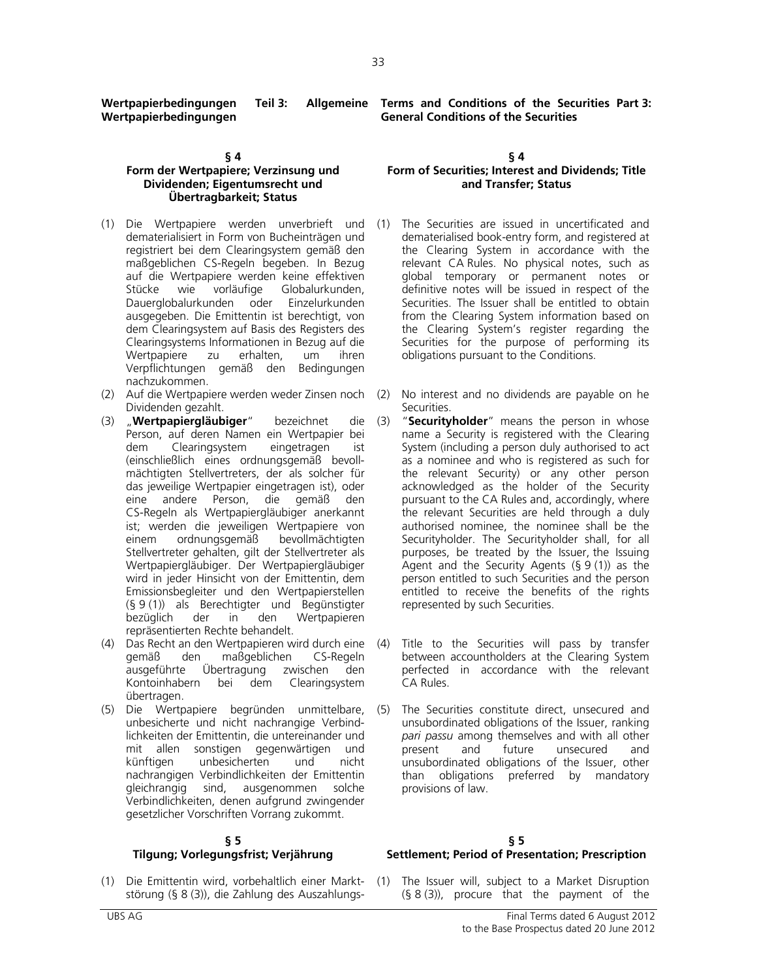**Wertpapierbedingungen Teil 3: Wertpapierbedingungen** 

#### **§ 4**

### **Form der Wertpapiere; Verzinsung und Dividenden; Eigentumsrecht und Übertragbarkeit; Status**

- (1) Die Wertpapiere werden unverbrieft und dematerialisiert in Form von Bucheinträgen und registriert bei dem Clearingsystem gemäß den maßgeblichen CS-Regeln begeben. In Bezug auf die Wertpapiere werden keine effektiven Stücke wie vorläufige Globalurkunden, Dauerglobalurkunden oder Einzelurkunden ausgegeben. Die Emittentin ist berechtigt, von dem Clearingsystem auf Basis des Registers des Clearingsystems Informationen in Bezug auf die Wertpapiere zu erhalten, um ihren Verpflichtungen gemäß den Bedingungen nachzukommen.
- (2) Auf die Wertpapiere werden weder Zinsen noch Dividenden gezahlt.
- (3) "**Wertpapiergläubiger**" bezeichnet die Person, auf deren Namen ein Wertpapier bei<br>dem Clearingsystem eingetragen ist dem Clearingsystem eingetragen ist (einschließlich eines ordnungsgemäß bevollmächtigten Stellvertreters, der als solcher für das jeweilige Wertpapier eingetragen ist), oder eine andere Person, die gemäß den CS-Regeln als Wertpapiergläubiger anerkannt ist; werden die jeweiligen Wertpapiere von<br>einem ordnungsgemäß bevollmächtigten einem ordnungsgemäß bevollmächtigten Stellvertreter gehalten, gilt der Stellvertreter als Wertpapiergläubiger. Der Wertpapiergläubiger wird in jeder Hinsicht von der Emittentin, dem Emissionsbegleiter und den Wertpapierstellen (§ 9 (1)) als Berechtigter und Begünstigter bezüglich der in den Wertpapieren repräsentierten Rechte behandelt.
- (4) Das Recht an den Wertpapieren wird durch eine den maßgeblichen CS-Regeln ausgeführte Übertragung zwischen den Kontoinhabern bei dem Clearingsystem übertragen.
- (5) Die Wertpapiere begründen unmittelbare, unbesicherte und nicht nachrangige Verbindlichkeiten der Emittentin, die untereinander und mit allen sonstigen gegenwärtigen und<br>künftigen unbesicherten und nicht unbesicherten nachrangigen Verbindlichkeiten der Emittentin gleichrangig sind, ausgenommen solche Verbindlichkeiten, denen aufgrund zwingender gesetzlicher Vorschriften Vorrang zukommt.

#### **§ 5 Tilgung; Vorlegungsfrist; Verjährung**

(1) Die Emittentin wird, vorbehaltlich einer Marktstörung (§ 8 (3)), die Zahlung des Auszahlungs-

**Terms and Conditions of the Securities Part 3: General Conditions of the Securities** 

#### **§ 4 Form of Securities; Interest and Dividends; Title and Transfer; Status**

- The Securities are issued in uncertificated and dematerialised book-entry form, and registered at the Clearing System in accordance with the relevant CA Rules. No physical notes, such as global temporary or permanent notes or definitive notes will be issued in respect of the Securities. The Issuer shall be entitled to obtain from the Clearing System information based on the Clearing System's register regarding the Securities for the purpose of performing its obligations pursuant to the Conditions.
- (2) No interest and no dividends are payable on he Securities.
- (3) "**Securityholder**" means the person in whose name a Security is registered with the Clearing System (including a person duly authorised to act as a nominee and who is registered as such for the relevant Security) or any other person acknowledged as the holder of the Security pursuant to the CA Rules and, accordingly, where the relevant Securities are held through a duly authorised nominee, the nominee shall be the Securityholder. The Securityholder shall, for all purposes, be treated by the Issuer, the Issuing Agent and the Security Agents  $(§ 9(1))$  as the person entitled to such Securities and the person entitled to receive the benefits of the rights represented by such Securities.
- Title to the Securities will pass by transfer between accountholders at the Clearing System perfected in accordance with the relevant CA Rules.
- (5) The Securities constitute direct, unsecured and unsubordinated obligations of the Issuer, ranking *pari passu* among themselves and with all other present and future unsecured and unsubordinated obligations of the Issuer, other than obligations preferred by mandatory provisions of law.

#### **§ 5 Settlement; Period of Presentation; Prescription**

The Issuer will, subject to a Market Disruption  $(§ 8 (3))$ , procure that the payment of the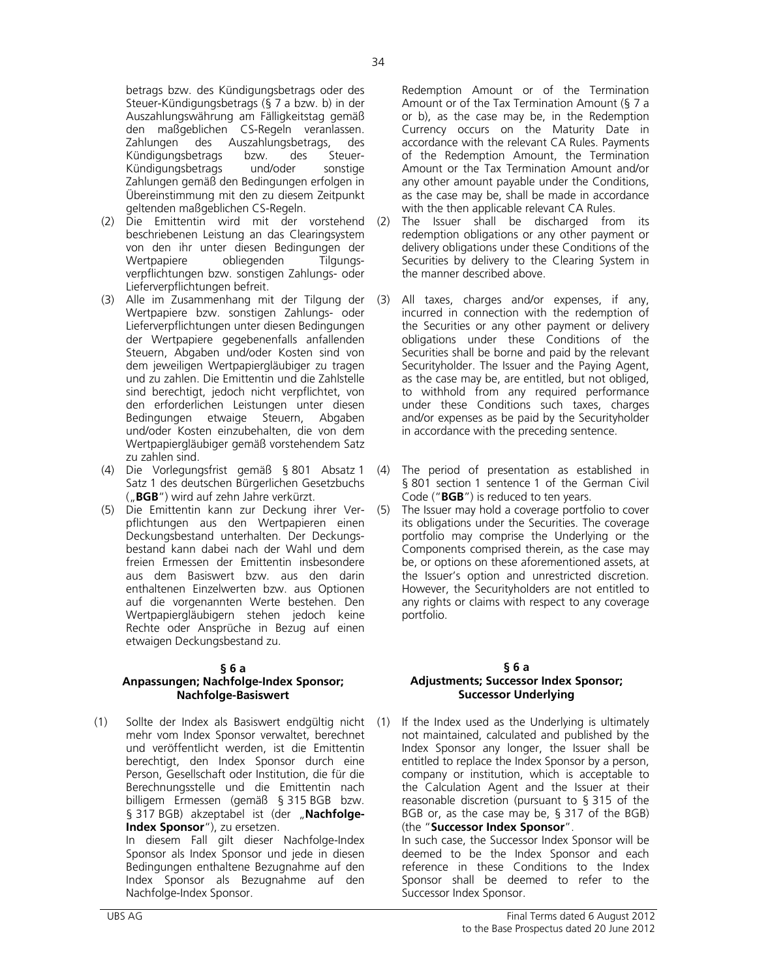betrags bzw. des Kündigungsbetrags oder des Steuer-Kündigungsbetrags (§ 7 a bzw. b) in der Auszahlungswährung am Fälligkeitstag gemäß den maßgeblichen CS-Regeln veranlassen. Zahlungen des Auszahlungsbetrags, des Kündigungsbetrags bzw. des Steuer-Kündigungsbetrags und/oder sonstige Zahlungen gemäß den Bedingungen erfolgen in Übereinstimmung mit den zu diesem Zeitpunkt geltenden maßgeblichen CS-Regeln.

- (2) Die Emittentin wird mit der vorstehend beschriebenen Leistung an das Clearingsystem von den ihr unter diesen Bedingungen der Wertpapiere obliegenden Tilgungsverpflichtungen bzw. sonstigen Zahlungs- oder Lieferverpflichtungen befreit.
- (3) Alle im Zusammenhang mit der Tilgung der Wertpapiere bzw. sonstigen Zahlungs- oder Lieferverpflichtungen unter diesen Bedingungen der Wertpapiere gegebenenfalls anfallenden Steuern, Abgaben und/oder Kosten sind von dem jeweiligen Wertpapiergläubiger zu tragen und zu zahlen. Die Emittentin und die Zahlstelle sind berechtigt, jedoch nicht verpflichtet, von den erforderlichen Leistungen unter diesen Bedingungen etwaige Steuern, Abgaben und/oder Kosten einzubehalten, die von dem Wertpapiergläubiger gemäß vorstehendem Satz zu zahlen sind.
- (4) Die Vorlegungsfrist gemäß § 801 Absatz 1 Satz 1 des deutschen Bürgerlichen Gesetzbuchs ("**BGB**") wird auf zehn Jahre verkürzt.
- (5) Die Emittentin kann zur Deckung ihrer Verpflichtungen aus den Wertpapieren einen Deckungsbestand unterhalten. Der Deckungsbestand kann dabei nach der Wahl und dem freien Ermessen der Emittentin insbesondere aus dem Basiswert bzw. aus den darin enthaltenen Einzelwerten bzw. aus Optionen auf die vorgenannten Werte bestehen. Den Wertpapiergläubigern stehen jedoch keine Rechte oder Ansprüche in Bezug auf einen etwaigen Deckungsbestand zu.

#### **§ 6 a**

#### **Anpassungen; Nachfolge-Index Sponsor; Nachfolge-Basiswert**

(1) Sollte der Index als Basiswert endgültig nicht mehr vom Index Sponsor verwaltet, berechnet und veröffentlicht werden, ist die Emittentin berechtigt, den Index Sponsor durch eine Person, Gesellschaft oder Institution, die für die Berechnungsstelle und die Emittentin nach billigem Ermessen (gemäß § 315 BGB bzw. § 317 BGB) akzeptabel ist (der "Nachfolge-**Index Sponsor**"), zu ersetzen. In diesem Fall gilt dieser Nachfolge-Index

Sponsor als Index Sponsor und jede in diesen Bedingungen enthaltene Bezugnahme auf den Index Sponsor als Bezugnahme auf den Nachfolge-Index Sponsor.

Redemption Amount or of the Termination Amount or of the Tax Termination Amount (§ 7 a or b), as the case may be, in the Redemption Currency occurs on the Maturity Date in accordance with the relevant CA Rules. Payments of the Redemption Amount, the Termination Amount or the Tax Termination Amount and/or any other amount payable under the Conditions, as the case may be, shall be made in accordance with the then applicable relevant CA Rules.

- (2) The Issuer shall be discharged from its redemption obligations or any other payment or delivery obligations under these Conditions of the Securities by delivery to the Clearing System in the manner described above.
- (3) All taxes, charges and/or expenses, if any, incurred in connection with the redemption of the Securities or any other payment or delivery obligations under these Conditions of the Securities shall be borne and paid by the relevant Securityholder. The Issuer and the Paying Agent, as the case may be, are entitled, but not obliged, to withhold from any required performance under these Conditions such taxes, charges and/or expenses as be paid by the Securityholder in accordance with the preceding sentence.
- (4) The period of presentation as established in § 801 section 1 sentence 1 of the German Civil Code ("**BGB**") is reduced to ten years.
- (5) The Issuer may hold a coverage portfolio to cover its obligations under the Securities. The coverage portfolio may comprise the Underlying or the Components comprised therein, as the case may be, or options on these aforementioned assets, at the Issuer's option and unrestricted discretion. However, the Securityholders are not entitled to any rights or claims with respect to any coverage portfolio.

#### **§ 6 a Adjustments; Successor Index Sponsor; Successor Underlying**

If the Index used as the Underlying is ultimately not maintained, calculated and published by the Index Sponsor any longer, the Issuer shall be entitled to replace the Index Sponsor by a person, company or institution, which is acceptable to the Calculation Agent and the Issuer at their reasonable discretion (pursuant to § 315 of the BGB or, as the case may be, § 317 of the BGB) (the "**Successor Index Sponsor**".

 In such case, the Successor Index Sponsor will be deemed to be the Index Sponsor and each reference in these Conditions to the Index Sponsor shall be deemed to refer to the Successor Index Sponsor.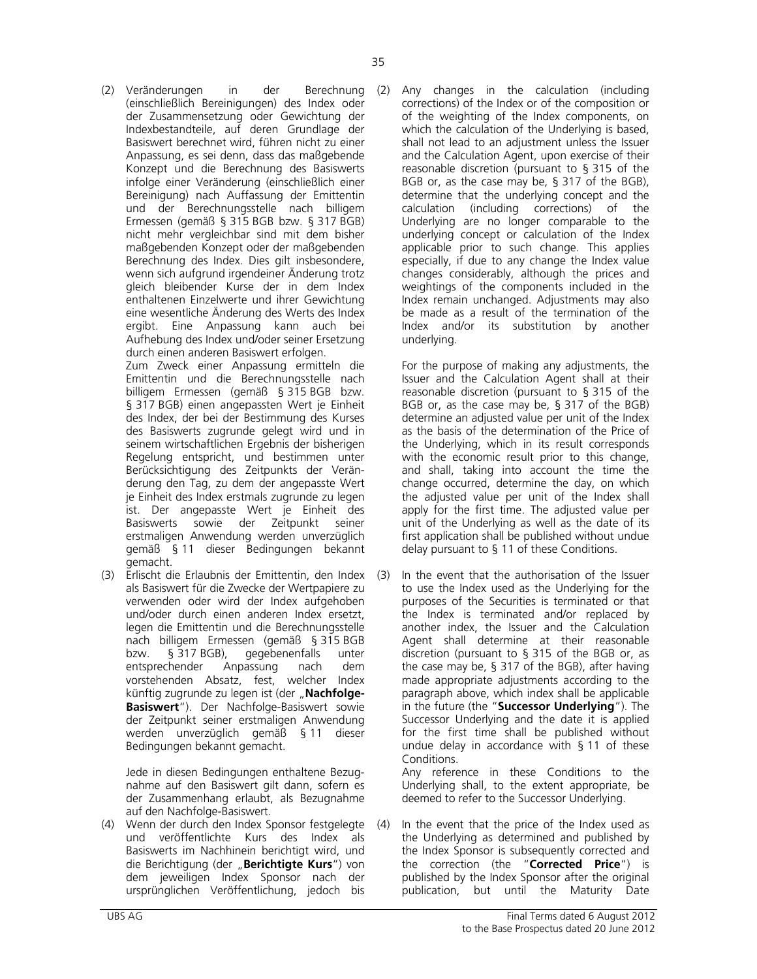(2) Veränderungen in der Berechnung (einschließlich Bereinigungen) des Index oder der Zusammensetzung oder Gewichtung der Indexbestandteile, auf deren Grundlage der Basiswert berechnet wird, führen nicht zu einer Anpassung, es sei denn, dass das maßgebende Konzept und die Berechnung des Basiswerts infolge einer Veränderung (einschließlich einer Bereinigung) nach Auffassung der Emittentin und der Berechnungsstelle nach billigem Ermessen (gemäß § 315 BGB bzw. § 317 BGB) nicht mehr vergleichbar sind mit dem bisher maßgebenden Konzept oder der maßgebenden Berechnung des Index. Dies gilt insbesondere, wenn sich aufgrund irgendeiner Änderung trotz gleich bleibender Kurse der in dem Index enthaltenen Einzelwerte und ihrer Gewichtung eine wesentliche Änderung des Werts des Index ergibt. Eine Anpassung kann auch bei Aufhebung des Index und/oder seiner Ersetzung durch einen anderen Basiswert erfolgen.

 Zum Zweck einer Anpassung ermitteln die Emittentin und die Berechnungsstelle nach billigem Ermessen (gemäß § 315 BGB bzw. § 317 BGB) einen angepassten Wert je Einheit des Index, der bei der Bestimmung des Kurses des Basiswerts zugrunde gelegt wird und in seinem wirtschaftlichen Ergebnis der bisherigen Regelung entspricht, und bestimmen unter Berücksichtigung des Zeitpunkts der Veränderung den Tag, zu dem der angepasste Wert je Einheit des Index erstmals zugrunde zu legen ist. Der angepasste Wert je Einheit des<br>Basiswerts sowie der Zeitpunkt seiner der Zeitpunkt seiner erstmaligen Anwendung werden unverzüglich gemäß § 11 dieser Bedingungen bekannt gemacht.

(3) Erlischt die Erlaubnis der Emittentin, den Index als Basiswert für die Zwecke der Wertpapiere zu verwenden oder wird der Index aufgehoben und/oder durch einen anderen Index ersetzt, legen die Emittentin und die Berechnungsstelle nach billigem Ermessen (gemäß § 315 BGB<br>bzw. § 317 BGB), gegebenenfalls unter bzw. § 317 BGB), gegebenenfalls unter entsprechender Anpassung nach dem vorstehenden Absatz, fest, welcher Index künftig zugrunde zu legen ist (der "Nachfolge-**Basiswert**"). Der Nachfolge-Basiswert sowie der Zeitpunkt seiner erstmaligen Anwendung werden unverzüglich gemäß § 11 dieser Bedingungen bekannt gemacht.

 Jede in diesen Bedingungen enthaltene Bezugnahme auf den Basiswert gilt dann, sofern es der Zusammenhang erlaubt, als Bezugnahme auf den Nachfolge-Basiswert.

(4) Wenn der durch den Index Sponsor festgelegte und veröffentlichte Kurs des Index als Basiswerts im Nachhinein berichtigt wird, und die Berichtigung (der "**Berichtigte Kurs**") von dem jeweiligen Index Sponsor nach der ursprünglichen Veröffentlichung, jedoch bis

Any changes in the calculation (including corrections) of the Index or of the composition or of the weighting of the Index components, on which the calculation of the Underlying is based, shall not lead to an adjustment unless the Issuer and the Calculation Agent, upon exercise of their reasonable discretion (pursuant to § 315 of the BGB or, as the case may be, § 317 of the BGB), determine that the underlying concept and the calculation (including corrections) of the Underlying are no longer comparable to the underlying concept or calculation of the Index applicable prior to such change. This applies especially, if due to any change the Index value changes considerably, although the prices and weightings of the components included in the Index remain unchanged. Adjustments may also be made as a result of the termination of the Index and/or its substitution by another underlying.

 For the purpose of making any adjustments, the Issuer and the Calculation Agent shall at their reasonable discretion (pursuant to § 315 of the BGB or, as the case may be, § 317 of the BGB) determine an adjusted value per unit of the Index as the basis of the determination of the Price of the Underlying, which in its result corresponds with the economic result prior to this change, and shall, taking into account the time the change occurred, determine the day, on which the adjusted value per unit of the Index shall apply for the first time. The adjusted value per unit of the Underlying as well as the date of its first application shall be published without undue delay pursuant to § 11 of these Conditions.

In the event that the authorisation of the Issuer to use the Index used as the Underlying for the purposes of the Securities is terminated or that the Index is terminated and/or replaced by another index, the Issuer and the Calculation Agent shall determine at their reasonable discretion (pursuant to § 315 of the BGB or, as the case may be, § 317 of the BGB), after having made appropriate adjustments according to the paragraph above, which index shall be applicable in the future (the "**Successor Underlying**"). The Successor Underlying and the date it is applied for the first time shall be published without undue delay in accordance with § 11 of these Conditions. Any reference in these Conditions to the

Underlying shall, to the extent appropriate, be deemed to refer to the Successor Underlying.

In the event that the price of the Index used as the Underlying as determined and published by the Index Sponsor is subsequently corrected and the correction (the "**Corrected Price**") is published by the Index Sponsor after the original publication, but until the Maturity Date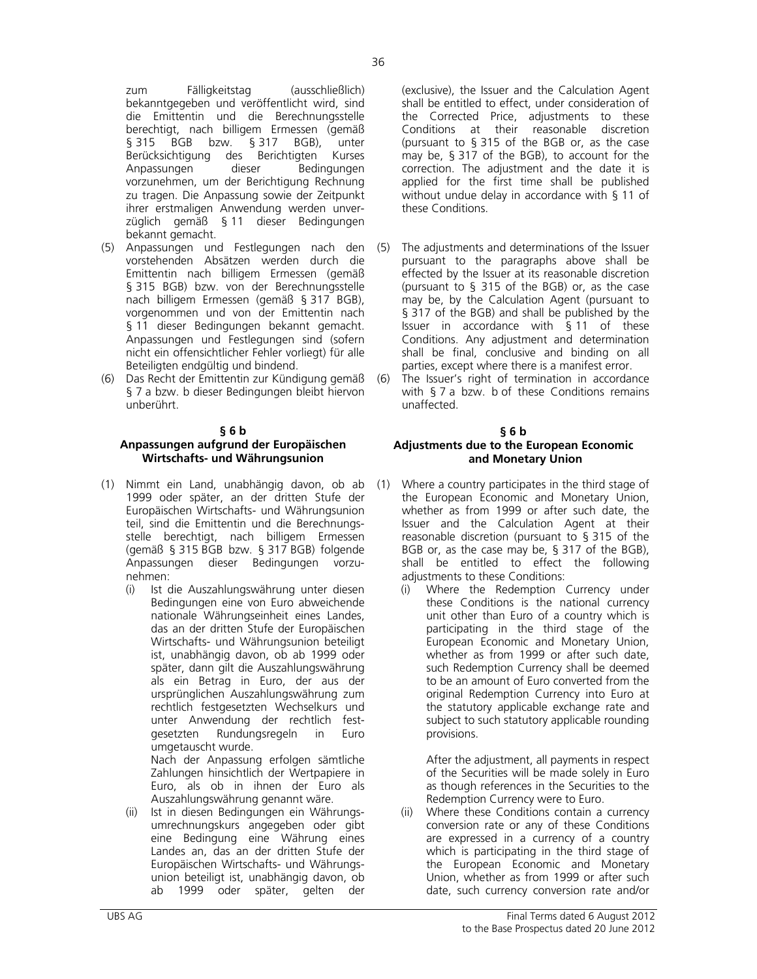zum Fälligkeitstag (ausschließlich) bekanntgegeben und veröffentlicht wird, sind die Emittentin und die Berechnungsstelle berechtigt, nach billigem Ermessen (gemäß<br>§ 315 BGB bzw. § 317 BGB), unter § 315 BGB bzw. § 317 Berücksichtigung des Berichtigten Kurses Anpassungen dieser Bedingungen vorzunehmen, um der Berichtigung Rechnung zu tragen. Die Anpassung sowie der Zeitpunkt ihrer erstmaligen Anwendung werden unverzüglich gemäß § 11 dieser Bedingungen bekannt gemacht.

- (5) Anpassungen und Festlegungen nach den vorstehenden Absätzen werden durch die Emittentin nach billigem Ermessen (gemäß § 315 BGB) bzw. von der Berechnungsstelle nach billigem Ermessen (gemäß § 317 BGB), vorgenommen und von der Emittentin nach § 11 dieser Bedingungen bekannt gemacht. Anpassungen und Festlegungen sind (sofern nicht ein offensichtlicher Fehler vorliegt) für alle Beteiligten endgültig und bindend.
- (6) Das Recht der Emittentin zur Kündigung gemäß § 7 a bzw. b dieser Bedingungen bleibt hiervon unberührt.

#### **§ 6 b**

# **Anpassungen aufgrund der Europäischen Wirtschafts- und Währungsunion**

- (1) Nimmt ein Land, unabhängig davon, ob ab 1999 oder später, an der dritten Stufe der Europäischen Wirtschafts- und Währungsunion teil, sind die Emittentin und die Berechnungsstelle berechtigt, nach billigem Ermessen (gemäß § 315 BGB bzw. § 317 BGB) folgende Anpassungen dieser Bedingungen vorzunehmen:
	- (i) Ist die Auszahlungswährung unter diesen Bedingungen eine von Euro abweichende nationale Währungseinheit eines Landes, das an der dritten Stufe der Europäischen Wirtschafts- und Währungsunion beteiligt ist, unabhängig davon, ob ab 1999 oder später, dann gilt die Auszahlungswährung als ein Betrag in Euro, der aus der ursprünglichen Auszahlungswährung zum rechtlich festgesetzten Wechselkurs und unter Anwendung der rechtlich festgesetzten Rundungsregeln in Euro umgetauscht wurde.

Nach der Anpassung erfolgen sämtliche Zahlungen hinsichtlich der Wertpapiere in Euro, als ob in ihnen der Euro als Auszahlungswährung genannt wäre.

(ii) Ist in diesen Bedingungen ein Währungsumrechnungskurs angegeben oder gibt eine Bedingung eine Währung eines Landes an, das an der dritten Stufe der Europäischen Wirtschafts- und Währungsunion beteiligt ist, unabhängig davon, ob ab 1999 oder später, gelten der

(exclusive), the Issuer and the Calculation Agent shall be entitled to effect, under consideration of the Corrected Price, adjustments to these Conditions at their reasonable discretion (pursuant to § 315 of the BGB or, as the case may be, § 317 of the BGB), to account for the correction. The adjustment and the date it is applied for the first time shall be published without undue delay in accordance with § 11 of these Conditions.

- (5) The adjustments and determinations of the Issuer pursuant to the paragraphs above shall be effected by the Issuer at its reasonable discretion (pursuant to § 315 of the BGB) or, as the case may be, by the Calculation Agent (pursuant to § 317 of the BGB) and shall be published by the Issuer in accordance with § 11 of these Conditions. Any adjustment and determination shall be final, conclusive and binding on all parties, except where there is a manifest error.
- (6) The Issuer's right of termination in accordance with § 7 a bzw. b of these Conditions remains unaffected.

#### **§ 6 b Adjustments due to the European Economic and Monetary Union**

- (1) Where a country participates in the third stage of the European Economic and Monetary Union, whether as from 1999 or after such date, the Issuer and the Calculation Agent at their reasonable discretion (pursuant to § 315 of the BGB or, as the case may be, § 317 of the BGB), shall be entitled to effect the following adjustments to these Conditions:
	- (i) Where the Redemption Currency under these Conditions is the national currency unit other than Euro of a country which is participating in the third stage of the European Economic and Monetary Union, whether as from 1999 or after such date, such Redemption Currency shall be deemed to be an amount of Euro converted from the original Redemption Currency into Euro at the statutory applicable exchange rate and subject to such statutory applicable rounding provisions.

After the adjustment, all payments in respect of the Securities will be made solely in Euro as though references in the Securities to the Redemption Currency were to Euro.

(ii) Where these Conditions contain a currency conversion rate or any of these Conditions are expressed in a currency of a country which is participating in the third stage of the European Economic and Monetary Union, whether as from 1999 or after such date, such currency conversion rate and/or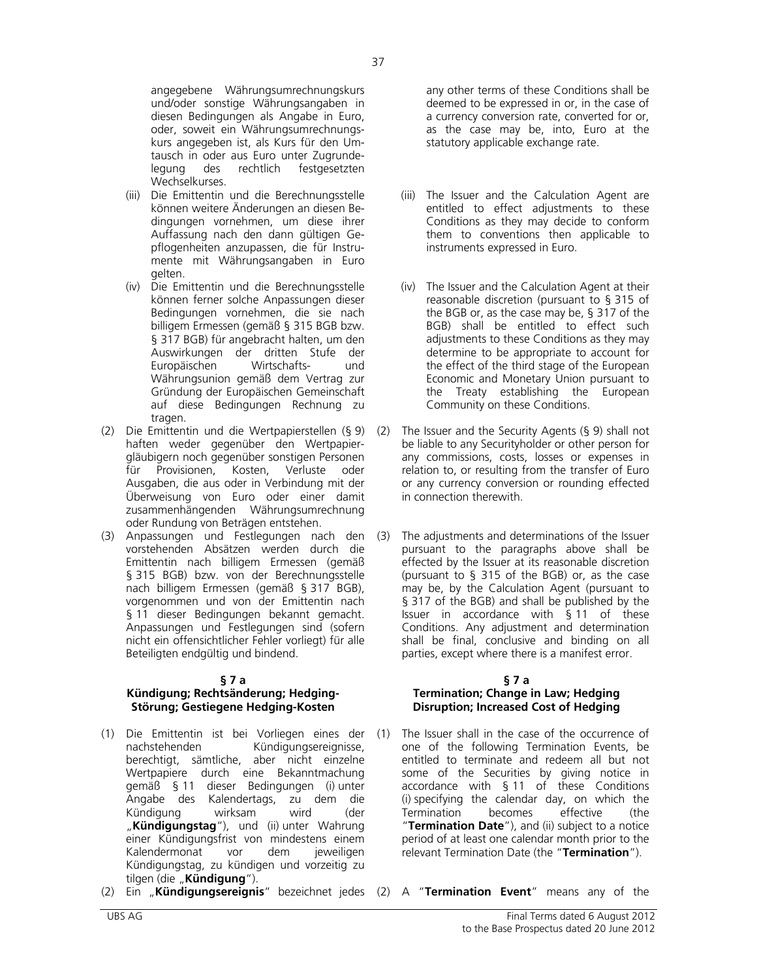angegebene Währungsumrechnungskurs und/oder sonstige Währungsangaben in diesen Bedingungen als Angabe in Euro, oder, soweit ein Währungsumrechnungskurs angegeben ist, als Kurs für den Umtausch in oder aus Euro unter Zugrundelegung des rechtlich festgesetzten Wechselkurses.

- (iii) Die Emittentin und die Berechnungsstelle können weitere Änderungen an diesen Bedingungen vornehmen, um diese ihrer Auffassung nach den dann gültigen Gepflogenheiten anzupassen, die für Instrumente mit Währungsangaben in Euro gelten.
- (iv) Die Emittentin und die Berechnungsstelle können ferner solche Anpassungen dieser Bedingungen vornehmen, die sie nach billigem Ermessen (gemäß § 315 BGB bzw. § 317 BGB) für angebracht halten, um den Auswirkungen der dritten Stufe der Europäischen Wirtschafts- und Währungsunion gemäß dem Vertrag zur Gründung der Europäischen Gemeinschaft auf diese Bedingungen Rechnung zu tragen.
- (2) Die Emittentin und die Wertpapierstellen (§ 9) haften weder gegenüber den Wertpapiergläubigern noch gegenüber sonstigen Personen für Provisionen, Kosten, Verluste oder Ausgaben, die aus oder in Verbindung mit der Überweisung von Euro oder einer damit zusammenhängenden Währungsumrechnung oder Rundung von Beträgen entstehen.
- (3) Anpassungen und Festlegungen nach den vorstehenden Absätzen werden durch die Emittentin nach billigem Ermessen (gemäß § 315 BGB) bzw. von der Berechnungsstelle nach billigem Ermessen (gemäß § 317 BGB), vorgenommen und von der Emittentin nach § 11 dieser Bedingungen bekannt gemacht. Anpassungen und Festlegungen sind (sofern nicht ein offensichtlicher Fehler vorliegt) für alle Beteiligten endgültig und bindend.

#### **§ 7 a**

#### **Kündigung; Rechtsänderung; Hedging-Störung; Gestiegene Hedging-Kosten**

- (1) Die Emittentin ist bei Vorliegen eines der nachstehenden Kündigungsereignisse, berechtigt, sämtliche, aber nicht einzelne Wertpapiere durch eine Bekanntmachung gemäß § 11 dieser Bedingungen (i) unter Angabe des Kalendertags, zu dem die Kündigung wirksam wird (der "**Kündigungstag**"), und (ii) unter Wahrung einer Kündigungsfrist von mindestens einem Kalendermonat vor dem jeweiligen Kündigungstag, zu kündigen und vorzeitig zu tilgen (die "**Kündigung**").
- (2) Ein "**Kündigungsereignis**" bezeichnet jedes (2) A "**Termination Event**" means any of the

any other terms of these Conditions shall be deemed to be expressed in or, in the case of a currency conversion rate, converted for or, as the case may be, into, Euro at the statutory applicable exchange rate.

- (iii) The Issuer and the Calculation Agent are entitled to effect adjustments to these Conditions as they may decide to conform them to conventions then applicable to instruments expressed in Euro.
- (iv) The Issuer and the Calculation Agent at their reasonable discretion (pursuant to § 315 of the BGB or, as the case may be, § 317 of the BGB) shall be entitled to effect such adjustments to these Conditions as they may determine to be appropriate to account for the effect of the third stage of the European Economic and Monetary Union pursuant to the Treaty establishing the European Community on these Conditions.
- (2) The Issuer and the Security Agents (§ 9) shall not be liable to any Securityholder or other person for any commissions, costs, losses or expenses in relation to, or resulting from the transfer of Euro or any currency conversion or rounding effected in connection therewith.
- The adjustments and determinations of the Issuer pursuant to the paragraphs above shall be effected by the Issuer at its reasonable discretion (pursuant to § 315 of the BGB) or, as the case may be, by the Calculation Agent (pursuant to § 317 of the BGB) and shall be published by the Issuer in accordance with § 11 of these Conditions. Any adjustment and determination shall be final, conclusive and binding on all parties, except where there is a manifest error.

#### **§ 7 a Termination; Change in Law; Hedging Disruption; Increased Cost of Hedging**

(1) The Issuer shall in the case of the occurrence of one of the following Termination Events, be entitled to terminate and redeem all but not some of the Securities by giving notice in accordance with § 11 of these Conditions (i) specifying the calendar day, on which the Termination becomes effective (the "**Termination Date**"), and (ii) subject to a notice period of at least one calendar month prior to the relevant Termination Date (the "**Termination**").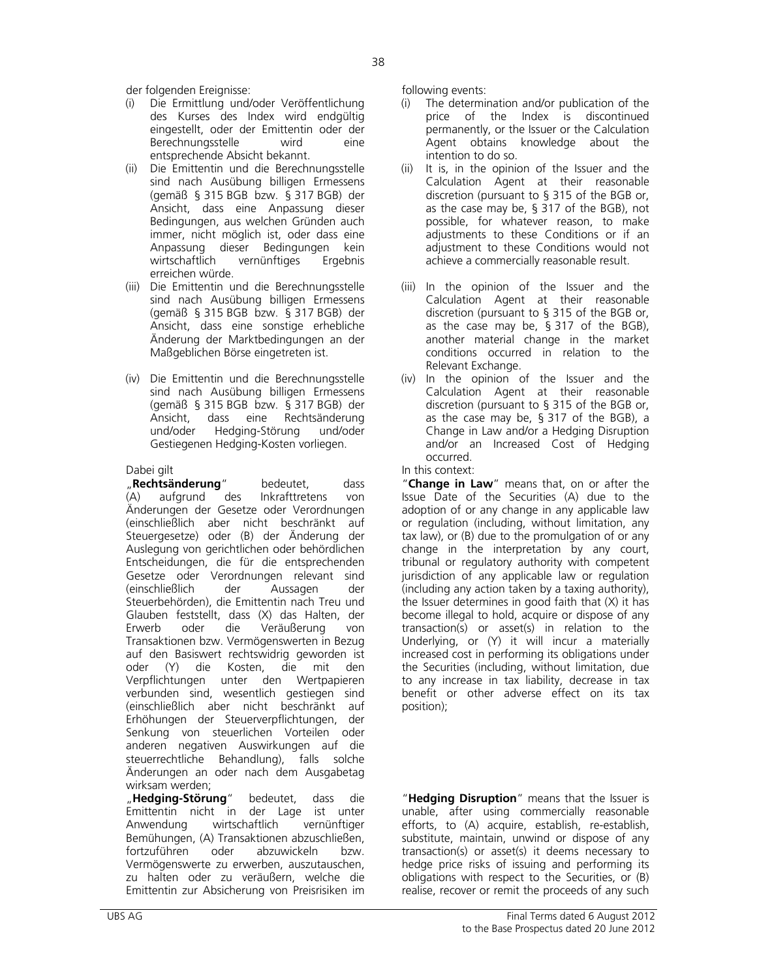der folgenden Ereignisse: following events:

- (i) Die Ermittlung und/oder Veröffentlichung des Kurses des Index wird endgültig eingestellt, oder der Emittentin oder der Berechnungsstelle wird eine entsprechende Absicht bekannt.
- (ii) Die Emittentin und die Berechnungsstelle sind nach Ausübung billigen Ermessens (gemäß § 315 BGB bzw. § 317 BGB) der Ansicht, dass eine Anpassung dieser Bedingungen, aus welchen Gründen auch immer, nicht möglich ist, oder dass eine Anpassung dieser Bedingungen kein wirtschaftlich vernünftiges Ergebnis erreichen würde.
- (iii) Die Emittentin und die Berechnungsstelle sind nach Ausübung billigen Ermessens (gemäß § 315 BGB bzw. § 317 BGB) der Ansicht, dass eine sonstige erhebliche Änderung der Marktbedingungen an der Maßgeblichen Börse eingetreten ist.
- (iv) Die Emittentin und die Berechnungsstelle sind nach Ausübung billigen Ermessens (gemäß § 315 BGB bzw. § 317 BGB) der Ansicht, dass eine Rechtsänderung und/oder Hedging-Störung und/oder Gestiegenen Hedging-Kosten vorliegen.

**Rechtsänderung**" bedeutet, dass<br>(A) aufgrund des Inkrafttretens von (A) aufgrund des Inkrafttretens von Änderungen der Gesetze oder Verordnungen (einschließlich aber nicht beschränkt auf Steuergesetze) oder (B) der Änderung der Auslegung von gerichtlichen oder behördlichen Entscheidungen, die für die entsprechenden Gesetze oder Verordnungen relevant sind (einschließlich der Aussagen der Steuerbehörden), die Emittentin nach Treu und Glauben feststellt, dass (X) das Halten, der Erwerb oder die Veräußerung von Transaktionen bzw. Vermögenswerten in Bezug auf den Basiswert rechtswidrig geworden ist oder (Y) die Kosten, die mit den Verpflichtungen unter den Wertpapieren verbunden sind, wesentlich gestiegen sind (einschließlich aber nicht beschränkt auf Erhöhungen der Steuerverpflichtungen, der Senkung von steuerlichen Vorteilen oder anderen negativen Auswirkungen auf die steuerrechtliche Behandlung), falls solche Änderungen an oder nach dem Ausgabetag wirksam werden;

 "**Hedging-Störung**" bedeutet, dass die Emittentin nicht in der Lage ist unter Anwendung wirtschaftlich vernünftiger Bemühungen, (A) Transaktionen abzuschließen, fortzuführen oder abzuwickeln bzw. Vermögenswerte zu erwerben, auszutauschen, zu halten oder zu veräußern, welche die Emittentin zur Absicherung von Preisrisiken im

- (i) The determination and/or publication of the price of the Index is discontinued permanently, or the Issuer or the Calculation Agent obtains knowledge about the intention to do so.
- (ii) It is, in the opinion of the Issuer and the Calculation Agent at their reasonable discretion (pursuant to § 315 of the BGB or, as the case may be, § 317 of the BGB), not possible, for whatever reason, to make adjustments to these Conditions or if an adjustment to these Conditions would not achieve a commercially reasonable result.
- (iii) In the opinion of the Issuer and the Calculation Agent at their reasonable discretion (pursuant to § 315 of the BGB or, as the case may be, § 317 of the BGB), another material change in the market conditions occurred in relation to the Relevant Exchange.
- (iv) In the opinion of the Issuer and the Calculation Agent at their reasonable discretion (pursuant to § 315 of the BGB or, as the case may be, § 317 of the BGB), a Change in Law and/or a Hedging Disruption and/or an Increased Cost of Hedging occurred.

# Dabei gilt **In this context:**

 "**Change in Law**" means that, on or after the Issue Date of the Securities (A) due to the adoption of or any change in any applicable law or regulation (including, without limitation, any tax law), or (B) due to the promulgation of or any change in the interpretation by any court, tribunal or regulatory authority with competent jurisdiction of any applicable law or regulation (including any action taken by a taxing authority), the Issuer determines in good faith that (X) it has become illegal to hold, acquire or dispose of any transaction(s) or asset(s) in relation to the Underlying, or (Y) it will incur a materially increased cost in performing its obligations under the Securities (including, without limitation, due to any increase in tax liability, decrease in tax benefit or other adverse effect on its tax position);

 "**Hedging Disruption**" means that the Issuer is unable, after using commercially reasonable efforts, to (A) acquire, establish, re-establish, substitute, maintain, unwind or dispose of any transaction(s) or asset(s) it deems necessary to hedge price risks of issuing and performing its obligations with respect to the Securities, or (B) realise, recover or remit the proceeds of any such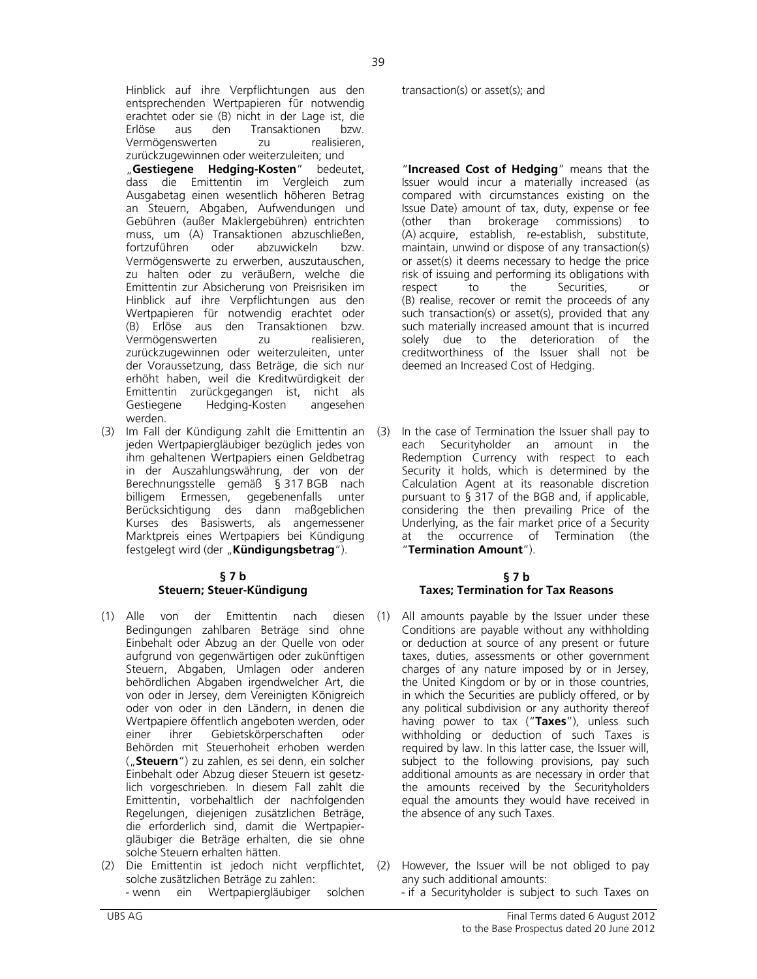Hinblick auf ihre Verpflichtungen aus den entsprechenden Wertpapieren für notwendig erachtet oder sie (B) nicht in der Lage ist, die Erlöse aus den Transaktionen bzw. Vermögenswerten zu realisieren, zurückzugewinnen oder weiterzuleiten; und "Gestiegene Hedging-Kosten" bedeutet, dass die Emittentin im Vergleich zum Ausgabetag einen wesentlich höheren Betrag an Steuern, Abgaben, Aufwendungen und Gebühren (außer Maklergebühren) entrichten muss, um (A) Transaktionen abzuschließen, fortzuführen oder abzuwickeln bzw. Vermögenswerte zu erwerben, auszutauschen, zu halten oder zu veräußern, welche die Emittentin zur Absicherung von Preisrisiken im Hinblick auf ihre Verpflichtungen aus den Wertpapieren für notwendig erachtet oder (B) Erlöse aus den Transaktionen bzw. Vermögenswerten zu realisieren, zurückzugewinnen oder weiterzuleiten, unter der Voraussetzung, dass Beträge, die sich nur erhöht haben, weil die Kreditwürdigkeit der Emittentin zurückgegangen ist, nicht als Gestiegene Hedging-Kosten angesehen werden.

(3) Im Fall der Kündigung zahlt die Emittentin an jeden Wertpapiergläubiger bezüglich jedes von ihm gehaltenen Wertpapiers einen Geldbetrag in der Auszahlungswährung, der von der Berechnungsstelle gemäß § 317 BGB nach billigem Ermessen, gegebenenfalls unter Berücksichtigung des dann maßgeblichen Kurses des Basiswerts, als angemessener Marktpreis eines Wertpapiers bei Kündigung festgelegt wird (der "**Kündigungsbetrag**").

#### **§ 7 b Steuern; Steuer-Kündigung**

- (1) Alle von der Emittentin nach Bedingungen zahlbaren Beträge sind ohne Einbehalt oder Abzug an der Quelle von oder aufgrund von gegenwärtigen oder zukünftigen Steuern, Abgaben, Umlagen oder anderen behördlichen Abgaben irgendwelcher Art, die von oder in Jersey, dem Vereinigten Königreich oder von oder in den Ländern, in denen die Wertpapiere öffentlich angeboten werden, oder einer ihrer Gebietskörperschaften oder Behörden mit Steuerhoheit erhoben werden ("**Steuern**") zu zahlen, es sei denn, ein solcher Einbehalt oder Abzug dieser Steuern ist gesetzlich vorgeschrieben. In diesem Fall zahlt die Emittentin, vorbehaltlich der nachfolgenden Regelungen, diejenigen zusätzlichen Beträge, die erforderlich sind, damit die Wertpapiergläubiger die Beträge erhalten, die sie ohne solche Steuern erhalten hätten.
- (2) Die Emittentin ist jedoch nicht verpflichtet, solche zusätzlichen Beträge zu zahlen:

transaction(s) or asset(s); and

 "**Increased Cost of Hedging**" means that the Issuer would incur a materially increased (as compared with circumstances existing on the Issue Date) amount of tax, duty, expense or fee (other than brokerage commissions) to (A) acquire, establish, re-establish, substitute, maintain, unwind or dispose of any transaction(s) or asset(s) it deems necessary to hedge the price risk of issuing and performing its obligations with respect to the Securities, or (B) realise, recover or remit the proceeds of any such transaction(s) or asset(s), provided that any such materially increased amount that is incurred solely due to the deterioration of the creditworthiness of the Issuer shall not be deemed an Increased Cost of Hedging.

In the case of Termination the Issuer shall pay to each Securityholder an amount in the Redemption Currency with respect to each Security it holds, which is determined by the Calculation Agent at its reasonable discretion pursuant to § 317 of the BGB and, if applicable, considering the then prevailing Price of the Underlying, as the fair market price of a Security at the occurrence of Termination (the "**Termination Amount**").

#### **§ 7 b Taxes; Termination for Tax Reasons**

- diesen (1) All amounts payable by the Issuer under these Conditions are payable without any withholding or deduction at source of any present or future taxes, duties, assessments or other government charges of any nature imposed by or in Jersey, the United Kingdom or by or in those countries, in which the Securities are publicly offered, or by any political subdivision or any authority thereof having power to tax ("**Taxes**"), unless such withholding or deduction of such Taxes is required by law. In this latter case, the Issuer will, subject to the following provisions, pay such additional amounts as are necessary in order that the amounts received by the Securityholders equal the amounts they would have received in the absence of any such Taxes.
	- (2) However, the Issuer will be not obliged to pay any such additional amounts:
- wenn ein Wertpapiergläubiger solchen if a Securityholder is subject to such Taxes on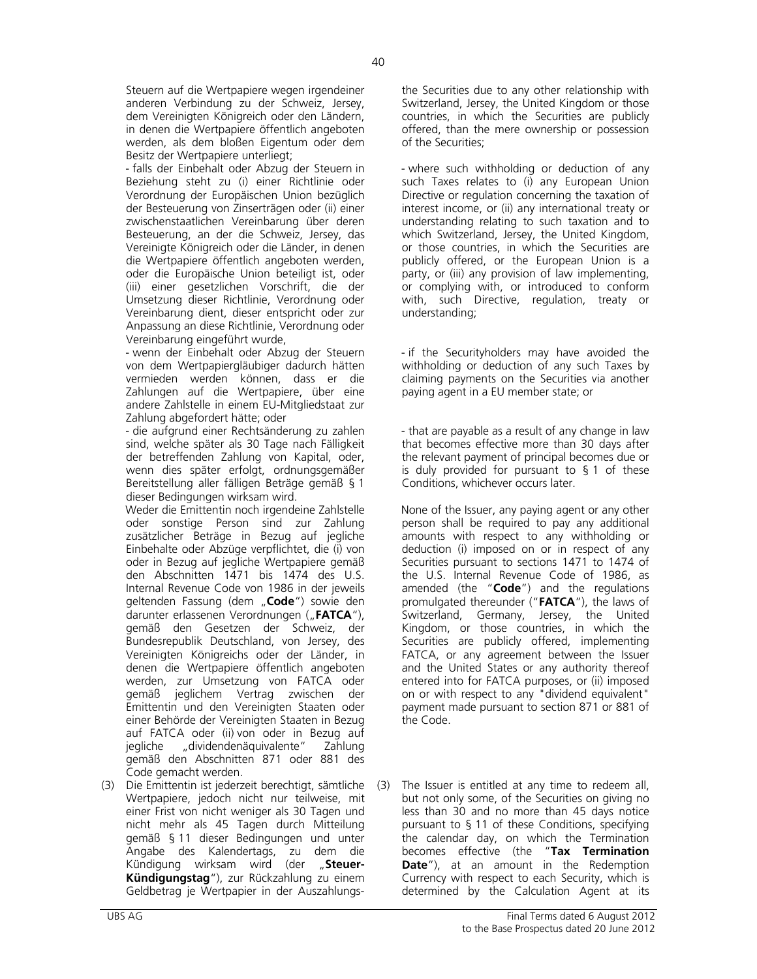Steuern auf die Wertpapiere wegen irgendeiner anderen Verbindung zu der Schweiz, Jersey, dem Vereinigten Königreich oder den Ländern, in denen die Wertpapiere öffentlich angeboten werden, als dem bloßen Eigentum oder dem Besitz der Wertpapiere unterliegt;

- falls der Einbehalt oder Abzug der Steuern in Beziehung steht zu (i) einer Richtlinie oder Verordnung der Europäischen Union bezüglich der Besteuerung von Zinserträgen oder (ii) einer zwischenstaatlichen Vereinbarung über deren Besteuerung, an der die Schweiz, Jersey, das Vereinigte Königreich oder die Länder, in denen die Wertpapiere öffentlich angeboten werden, oder die Europäische Union beteiligt ist, oder (iii) einer gesetzlichen Vorschrift, die der Umsetzung dieser Richtlinie, Verordnung oder Vereinbarung dient, dieser entspricht oder zur Anpassung an diese Richtlinie, Verordnung oder Vereinbarung eingeführt wurde,

- wenn der Einbehalt oder Abzug der Steuern von dem Wertpapiergläubiger dadurch hätten vermieden werden können, dass er die Zahlungen auf die Wertpapiere, über eine andere Zahlstelle in einem EU-Mitgliedstaat zur Zahlung abgefordert hätte; oder

- die aufgrund einer Rechtsänderung zu zahlen sind, welche später als 30 Tage nach Fälligkeit der betreffenden Zahlung von Kapital, oder, wenn dies später erfolgt, ordnungsgemäßer Bereitstellung aller fälligen Beträge gemäß § 1 dieser Bedingungen wirksam wird.

Weder die Emittentin noch irgendeine Zahlstelle oder sonstige Person sind zur Zahlung zusätzlicher Beträge in Bezug auf jegliche Einbehalte oder Abzüge verpflichtet, die (i) von oder in Bezug auf jegliche Wertpapiere gemäß den Abschnitten 1471 bis 1474 des U.S. Internal Revenue Code von 1986 in der jeweils geltenden Fassung (dem "Code") sowie den darunter erlassenen Verordnungen ("**FATCA**"), gemäß den Gesetzen der Schweiz, der Bundesrepublik Deutschland, von Jersey, des Vereinigten Königreichs oder der Länder, in denen die Wertpapiere öffentlich angeboten werden, zur Umsetzung von FATCA oder gemäß jeglichem Vertrag zwischen der Emittentin und den Vereinigten Staaten oder einer Behörde der Vereinigten Staaten in Bezug auf FATCA oder (ii) von oder in Bezug auf jegliche "dividendenäquivalente" Zahlung gemäß den Abschnitten 871 oder 881 des Code gemacht werden.

(3) Die Emittentin ist jederzeit berechtigt, sämtliche Wertpapiere, jedoch nicht nur teilweise, mit einer Frist von nicht weniger als 30 Tagen und nicht mehr als 45 Tagen durch Mitteilung gemäß § 11 dieser Bedingungen und unter Angabe des Kalendertags, zu dem die Kündigung wirksam wird (der "**Steuer-Kündigungstag**"), zur Rückzahlung zu einem Geldbetrag je Wertpapier in der Auszahlungsthe Securities due to any other relationship with Switzerland, Jersey, the United Kingdom or those countries, in which the Securities are publicly offered, than the mere ownership or possession of the Securities;

- where such withholding or deduction of any such Taxes relates to (i) any European Union Directive or regulation concerning the taxation of interest income, or (ii) any international treaty or understanding relating to such taxation and to which Switzerland, Jersey, the United Kingdom, or those countries, in which the Securities are publicly offered, or the European Union is a party, or (iii) any provision of law implementing, or complying with, or introduced to conform with, such Directive, regulation, treaty or understanding;

- if the Securityholders may have avoided the withholding or deduction of any such Taxes by claiming payments on the Securities via another paying agent in a EU member state; or

- that are payable as a result of any change in law that becomes effective more than 30 days after the relevant payment of principal becomes due or is duly provided for pursuant to § 1 of these Conditions, whichever occurs later.

None of the Issuer, any paying agent or any other person shall be required to pay any additional amounts with respect to any withholding or deduction (i) imposed on or in respect of any Securities pursuant to sections 1471 to 1474 of the U.S. Internal Revenue Code of 1986, as amended (the "**Code**") and the regulations promulgated thereunder ("**FATCA**"), the laws of Switzerland, Germany, Jersey, the United Kingdom, or those countries, in which the Securities are publicly offered, implementing FATCA, or any agreement between the Issuer and the United States or any authority thereof entered into for FATCA purposes, or (ii) imposed on or with respect to any "dividend equivalent" payment made pursuant to section 871 or 881 of the Code.

(3) The Issuer is entitled at any time to redeem all, but not only some, of the Securities on giving no less than 30 and no more than 45 days notice pursuant to § 11 of these Conditions, specifying the calendar day, on which the Termination becomes effective (the "**Tax Termination Date**"), at an amount in the Redemption Currency with respect to each Security, which is determined by the Calculation Agent at its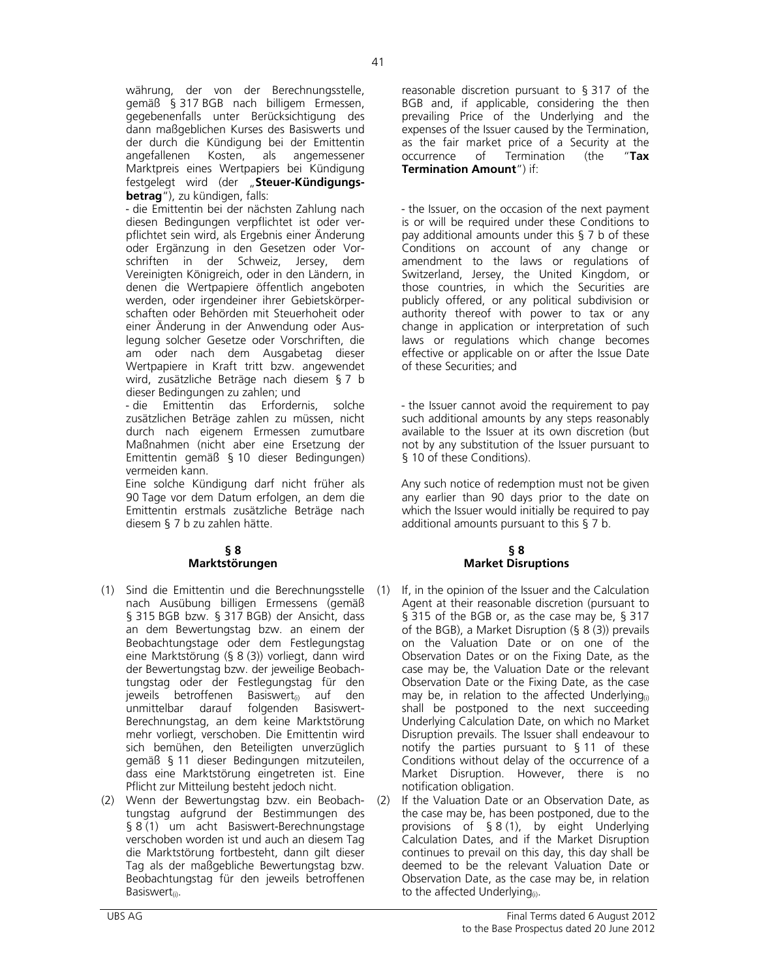währung, der von der Berechnungsstelle, gemäß § 317 BGB nach billigem Ermessen, gegebenenfalls unter Berücksichtigung des dann maßgeblichen Kurses des Basiswerts und der durch die Kündigung bei der Emittentin angefallenen Kosten, als angemessener Marktpreis eines Wertpapiers bei Kündigung festgelegt wird (der "Steuer-Kündigungs**betrag**"), zu kündigen, falls:

- die Emittentin bei der nächsten Zahlung nach diesen Bedingungen verpflichtet ist oder verpflichtet sein wird, als Ergebnis einer Änderung oder Ergänzung in den Gesetzen oder Vorschriften in der Schweiz, Jersey, dem Vereinigten Königreich, oder in den Ländern, in denen die Wertpapiere öffentlich angeboten werden, oder irgendeiner ihrer Gebietskörperschaften oder Behörden mit Steuerhoheit oder einer Änderung in der Anwendung oder Auslegung solcher Gesetze oder Vorschriften, die am oder nach dem Ausgabetag dieser Wertpapiere in Kraft tritt bzw. angewendet wird, zusätzliche Beträge nach diesem § 7 b dieser Bedingungen zu zahlen; und

- die Emittentin das Erfordernis, solche zusätzlichen Beträge zahlen zu müssen, nicht durch nach eigenem Ermessen zumutbare Maßnahmen (nicht aber eine Ersetzung der Emittentin gemäß § 10 dieser Bedingungen) vermeiden kann.

Eine solche Kündigung darf nicht früher als 90 Tage vor dem Datum erfolgen, an dem die Emittentin erstmals zusätzliche Beträge nach diesem § 7 b zu zahlen hätte.

# **§ 8 Marktstörungen**

- (1) Sind die Emittentin und die Berechnungsstelle nach Ausübung billigen Ermessens (gemäß § 315 BGB bzw. § 317 BGB) der Ansicht, dass an dem Bewertungstag bzw. an einem der Beobachtungstage oder dem Festlegungstag eine Marktstörung (§ 8 (3)) vorliegt, dann wird der Bewertungstag bzw. der jeweilige Beobachtungstag oder der Festlegungstag für den jeweils betroffenen Basiswert $_{\text{ii}}$  auf den unmittelbar darauf folgenden Basiswert-Berechnungstag, an dem keine Marktstörung mehr vorliegt, verschoben. Die Emittentin wird sich bemühen, den Beteiligten unverzüglich gemäß § 11 dieser Bedingungen mitzuteilen, dass eine Marktstörung eingetreten ist. Eine Pflicht zur Mitteilung besteht jedoch nicht.
- (2) Wenn der Bewertungstag bzw. ein Beobachtungstag aufgrund der Bestimmungen des § 8 (1) um acht Basiswert-Berechnungstage verschoben worden ist und auch an diesem Tag die Marktstörung fortbesteht, dann gilt dieser Tag als der maßgebliche Bewertungstag bzw. Beobachtungstag für den jeweils betroffenen Basiswert<sub>(i)</sub>.

reasonable discretion pursuant to § 317 of the BGB and, if applicable, considering the then prevailing Price of the Underlying and the expenses of the Issuer caused by the Termination, as the fair market price of a Security at the occurrence of Termination (the "**Tax Termination Amount**") if:

- the Issuer, on the occasion of the next payment is or will be required under these Conditions to pay additional amounts under this  $\S$  7 b of these Conditions on account of any change or amendment to the laws or regulations of Switzerland, Jersey, the United Kingdom, or those countries, in which the Securities are publicly offered, or any political subdivision or authority thereof with power to tax or any change in application or interpretation of such laws or regulations which change becomes effective or applicable on or after the Issue Date of these Securities; and

- the Issuer cannot avoid the requirement to pay such additional amounts by any steps reasonably available to the Issuer at its own discretion (but not by any substitution of the Issuer pursuant to § 10 of these Conditions).

Any such notice of redemption must not be given any earlier than 90 days prior to the date on which the Issuer would initially be required to pay additional amounts pursuant to this § 7 b.

# **§ 8 Market Disruptions**

- If, in the opinion of the Issuer and the Calculation Agent at their reasonable discretion (pursuant to § 315 of the BGB or, as the case may be, § 317 of the BGB), a Market Disruption (§ 8 (3)) prevails on the Valuation Date or on one of the Observation Dates or on the Fixing Date, as the case may be, the Valuation Date or the relevant Observation Date or the Fixing Date, as the case may be, in relation to the affected Underlying $_{(i)}$ shall be postponed to the next succeeding Underlying Calculation Date, on which no Market Disruption prevails. The Issuer shall endeavour to notify the parties pursuant to § 11 of these Conditions without delay of the occurrence of a Market Disruption. However, there is no notification obligation.
- (2) If the Valuation Date or an Observation Date, as the case may be, has been postponed, due to the provisions of § 8 (1), by eight Underlying Calculation Dates, and if the Market Disruption continues to prevail on this day, this day shall be deemed to be the relevant Valuation Date or Observation Date, as the case may be, in relation to the affected Underlying $_{(i)}$ .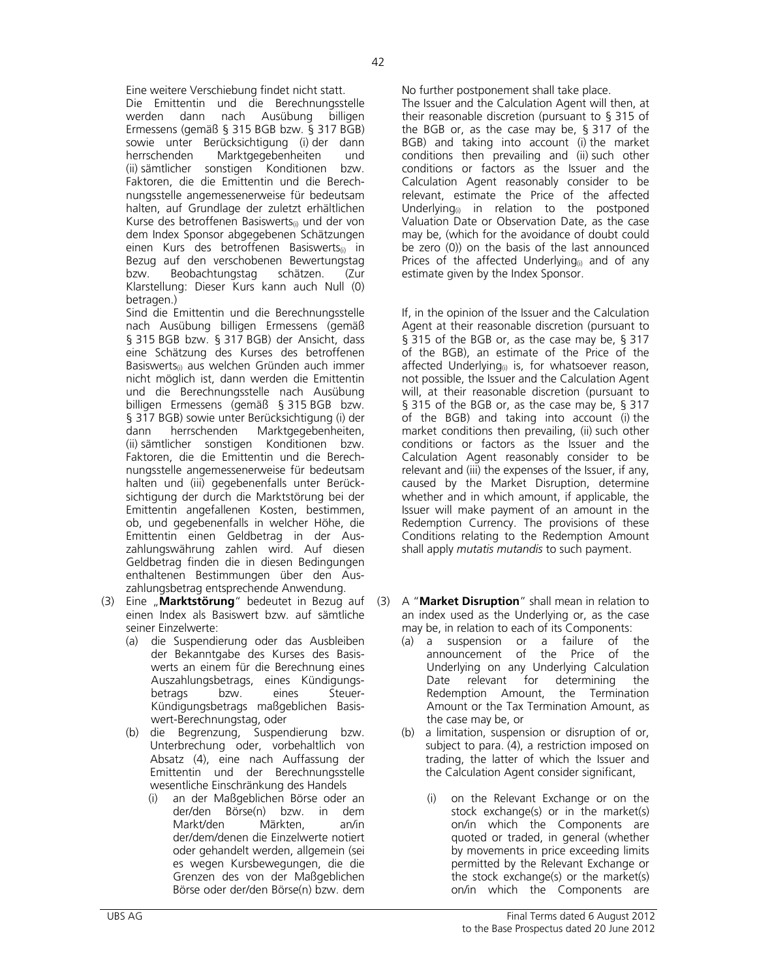Eine weitere Verschiebung findet nicht statt. No further postponement shall take place.

 Die Emittentin und die Berechnungsstelle werden dann nach Ausübung billigen Ermessens (gemäß § 315 BGB bzw. § 317 BGB) sowie unter Berücksichtigung (i)-der dann<br>herrschenden Marktgegebenheiten und Marktgegebenheiten und (ii) sämtlicher sonstigen Konditionen bzw. Faktoren, die die Emittentin und die Berechnungsstelle angemessenerweise für bedeutsam halten, auf Grundlage der zuletzt erhältlichen Kurse des betroffenen Basiswerts<sub>(i)</sub> und der von dem Index Sponsor abgegebenen Schätzungen einen Kurs des betroffenen Basiswerts<sub>(i)</sub> in Bezug auf den verschobenen Bewertungstag bzw. Beobachtungstag schätzen. (Zur Klarstellung: Dieser Kurs kann auch Null (0) betragen.)

 Sind die Emittentin und die Berechnungsstelle nach Ausübung billigen Ermessens (gemäß § 315 BGB bzw. § 317 BGB) der Ansicht, dass eine Schätzung des Kurses des betroffenen Basiswerts<sub>(i)</sub> aus welchen Gründen auch immer nicht möglich ist, dann werden die Emittentin und die Berechnungsstelle nach Ausübung billigen Ermessens (gemäß § 315 BGB bzw. § 317 BGB) sowie unter Berücksichtigung (i) der dann herrschenden Marktgegebenheiten, (ii) sämtlicher sonstigen Konditionen bzw. Faktoren, die die Emittentin und die Berechnungsstelle angemessenerweise für bedeutsam halten und (iii) gegebenenfalls unter Berücksichtigung der durch die Marktstörung bei der Emittentin angefallenen Kosten, bestimmen, ob, und gegebenenfalls in welcher Höhe, die Emittentin einen Geldbetrag in der Auszahlungswährung zahlen wird. Auf diesen Geldbetrag finden die in diesen Bedingungen enthaltenen Bestimmungen über den Auszahlungsbetrag entsprechende Anwendung.

- (3) Eine "**Marktstörung**" bedeutet in Bezug auf (3) einen Index als Basiswert bzw. auf sämtliche seiner Einzelwerte:
	- (a) die Suspendierung oder das Ausbleiben der Bekanntgabe des Kurses des Basiswerts an einem für die Berechnung eines Auszahlungsbetrags, eines Kündigungsbetrags Kündigungsbetrags maßgeblichen Basiswert-Berechnungstag, oder
	- (b) die Begrenzung, Suspendierung bzw. Unterbrechung oder, vorbehaltlich von Absatz (4), eine nach Auffassung der Emittentin und der Berechnungsstelle wesentliche Einschränkung des Handels
		- (i) an der Maßgeblichen Börse oder an der/den Börse(n) bzw. in dem Markt/den Märkten, an/in der/dem/denen die Einzelwerte notiert oder gehandelt werden, allgemein (sei es wegen Kursbewegungen, die die Grenzen des von der Maßgeblichen Börse oder der/den Börse(n) bzw. dem

 The Issuer and the Calculation Agent will then, at their reasonable discretion (pursuant to § 315 of the BGB or, as the case may be, § 317 of the BGB) and taking into account (i) the market conditions then prevailing and (ii) such other conditions or factors as the Issuer and the Calculation Agent reasonably consider to be relevant, estimate the Price of the affected Underlying $_{(i)}$  in relation to the postponed Valuation Date or Observation Date, as the case may be, (which for the avoidance of doubt could be zero (0)) on the basis of the last announced Prices of the affected Underlying $_{(i)}$  and of any estimate given by the Index Sponsor.

 If, in the opinion of the Issuer and the Calculation Agent at their reasonable discretion (pursuant to § 315 of the BGB or, as the case may be, § 317 of the BGB), an estimate of the Price of the affected Underlying $_{(i)}$  is, for whatsoever reason, not possible, the Issuer and the Calculation Agent will, at their reasonable discretion (pursuant to § 315 of the BGB or, as the case may be, § 317 of the BGB) and taking into account (i) the market conditions then prevailing, (ii) such other conditions or factors as the Issuer and the Calculation Agent reasonably consider to be relevant and (iii) the expenses of the Issuer, if any, caused by the Market Disruption, determine whether and in which amount, if applicable, the Issuer will make payment of an amount in the Redemption Currency. The provisions of these Conditions relating to the Redemption Amount shall apply *mutatis mutandis* to such payment.

- (3) A "**Market Disruption**" shall mean in relation to an index used as the Underlying or, as the case may be, in relation to each of its Components:
	- (a) a suspension or a failure of the announcement of the Price of the Underlying on any Underlying Calculation Date relevant for determining the Redemption Amount, the Termination Amount or the Tax Termination Amount, as the case may be, or
	- (b) a limitation, suspension or disruption of or, subject to para. (4), a restriction imposed on trading, the latter of which the Issuer and the Calculation Agent consider significant,
		- on the Relevant Exchange or on the stock exchange(s) or in the market(s) on/in which the Components are quoted or traded, in general (whether by movements in price exceeding limits permitted by the Relevant Exchange or the stock exchange(s) or the market(s) on/in which the Components are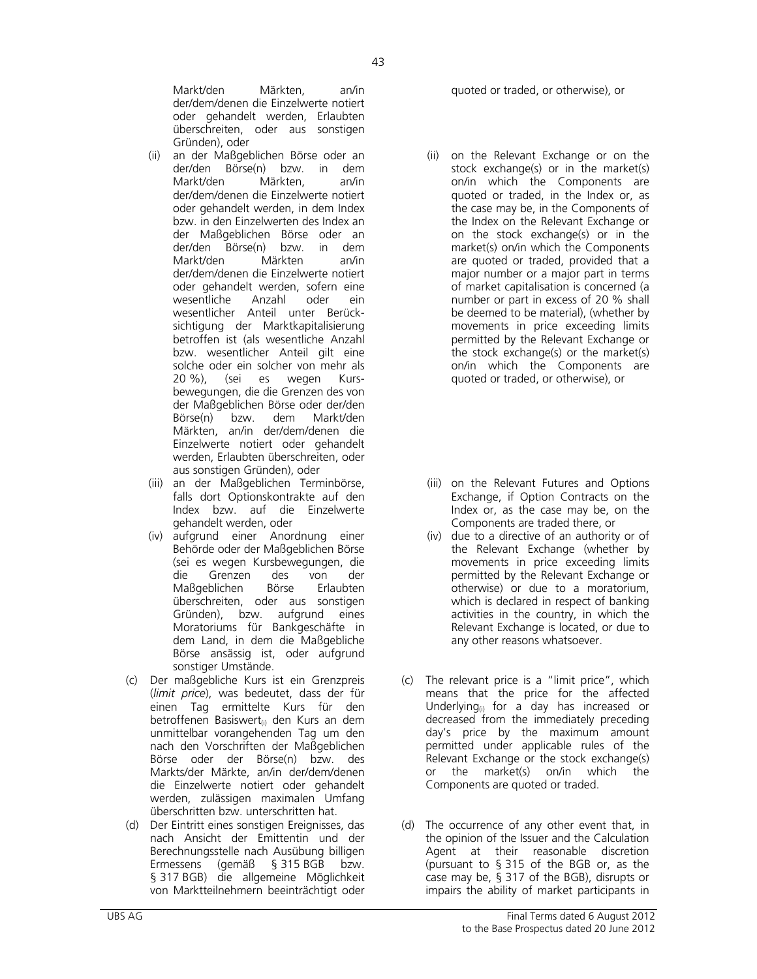Markt/den Märkten, an/in der/dem/denen die Einzelwerte notiert oder gehandelt werden, Erlaubten überschreiten, oder aus sonstigen Gründen), oder

- (ii) an der Maßgeblichen Börse oder an der/den Börse(n) bzw. in dem Markt/den Märkten, an/in der/dem/denen die Einzelwerte notiert oder gehandelt werden, in dem Index bzw. in den Einzelwerten des Index an der Maßgeblichen Börse oder an der/den Börse(n) bzw. in dem Markt/den Märkten an/in der/dem/denen die Einzelwerte notiert oder gehandelt werden, sofern eine wesentliche Anzahl oder ein wesentlicher Anteil unter Berücksichtigung der Marktkapitalisierung betroffen ist (als wesentliche Anzahl bzw. wesentlicher Anteil gilt eine solche oder ein solcher von mehr als 20 %), (sei es wegen Kursbewegungen, die die Grenzen des von der Maßgeblichen Börse oder der/den Börse(n) bzw. dem Markt/den Märkten, an/in der/dem/denen die Einzelwerte notiert oder gehandelt werden, Erlaubten überschreiten, oder aus sonstigen Gründen), oder
- (iii) an der Maßgeblichen Terminbörse, falls dort Optionskontrakte auf den Index bzw. auf die Einzelwerte gehandelt werden, oder
- (iv) aufgrund einer Anordnung einer Behörde oder der Maßgeblichen Börse (sei es wegen Kursbewegungen, die die Grenzen des von der Maßgeblichen Börse Erlaubten überschreiten, oder aus sonstigen Gründen), bzw. aufgrund eines Moratoriums für Bankgeschäfte in dem Land, in dem die Maßgebliche Börse ansässig ist, oder aufgrund sonstiger Umstände.
- (c) Der maßgebliche Kurs ist ein Grenzpreis (*limit price*), was bedeutet, dass der für einen Tag ermittelte Kurs für den betroffenen Basiswert<sub>(i)</sub> den Kurs an dem unmittelbar vorangehenden Tag um den nach den Vorschriften der Maßgeblichen Börse oder der Börse(n) bzw. des Markts/der Märkte, an/in der/dem/denen die Einzelwerte notiert oder gehandelt werden, zulässigen maximalen Umfang überschritten bzw. unterschritten hat.
- (d) Der Eintritt eines sonstigen Ereignisses, das nach Ansicht der Emittentin und der Berechnungsstelle nach Ausübung billigen Ermessens (gemäß § 315 BGB bzw. § 317 BGB) die allgemeine Möglichkeit von Marktteilnehmern beeinträchtigt oder

quoted or traded, or otherwise), or

- (ii) on the Relevant Exchange or on the stock exchange(s) or in the market(s) on/in which the Components are quoted or traded, in the Index or, as the case may be, in the Components of the Index on the Relevant Exchange or on the stock exchange(s) or in the market(s) on/in which the Components are quoted or traded, provided that a major number or a major part in terms of market capitalisation is concerned (a number or part in excess of 20 % shall be deemed to be material), (whether by movements in price exceeding limits permitted by the Relevant Exchange or the stock exchange(s) or the market(s) on/in which the Components are quoted or traded, or otherwise), or
- (iii) on the Relevant Futures and Options Exchange, if Option Contracts on the Index or, as the case may be, on the Components are traded there, or
- (iv) due to a directive of an authority or of the Relevant Exchange (whether by movements in price exceeding limits permitted by the Relevant Exchange or otherwise) or due to a moratorium, which is declared in respect of banking activities in the country, in which the Relevant Exchange is located, or due to any other reasons whatsoever.
- (c) The relevant price is a "limit price", which means that the price for the affected Underlying $_{(i)}$  for a day has increased or decreased from the immediately preceding day's price by the maximum amount permitted under applicable rules of the Relevant Exchange or the stock exchange(s) or the market(s) on/in which the Components are quoted or traded.
- (d) The occurrence of any other event that, in the opinion of the Issuer and the Calculation Agent at their reasonable discretion (pursuant to § 315 of the BGB or, as the case may be, § 317 of the BGB), disrupts or impairs the ability of market participants in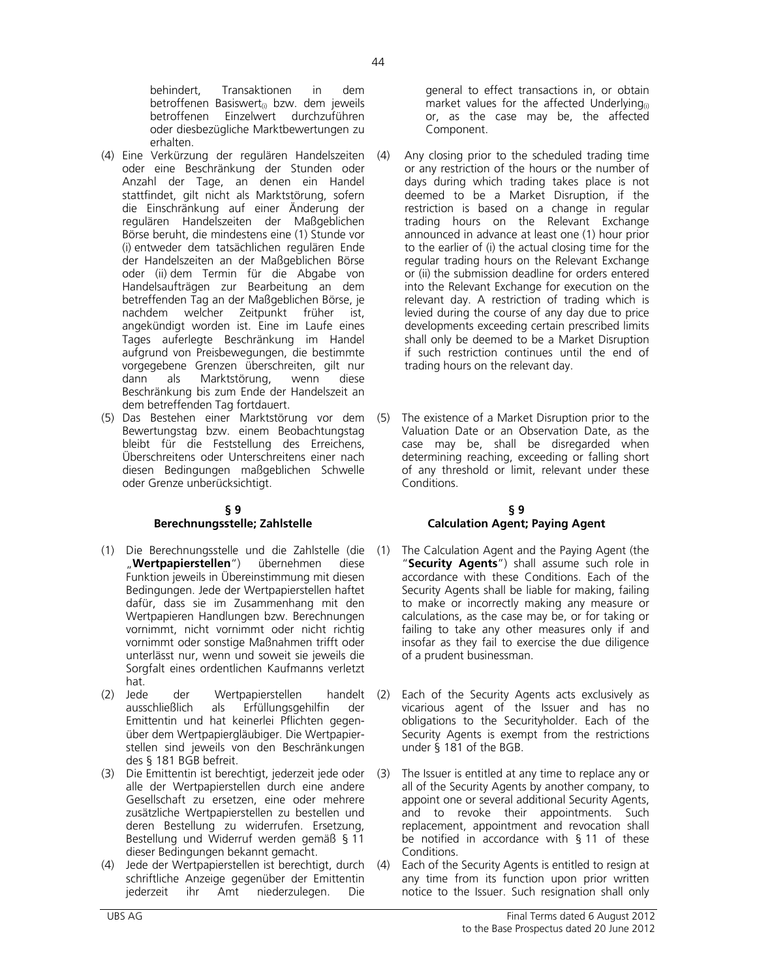behindert, Transaktionen in dem betroffenen Basiswert<sub>(i)</sub> bzw. dem jeweils betroffenen Einzelwert durchzuführen oder diesbezügliche Marktbewertungen zu erhalten.

- (4) Eine Verkürzung der regulären Handelszeiten oder eine Beschränkung der Stunden oder Anzahl der Tage, an denen ein Handel stattfindet, gilt nicht als Marktstörung, sofern die Einschränkung auf einer Änderung der regulären Handelszeiten der Maßgeblichen Börse beruht, die mindestens eine (1) Stunde vor (i) entweder dem tatsächlichen regulären Ende der Handelszeiten an der Maßgeblichen Börse oder (ii) dem Termin für die Abgabe von Handelsaufträgen zur Bearbeitung an dem betreffenden Tag an der Maßgeblichen Börse, je nachdem welcher Zeitpunkt früher ist, angekündigt worden ist. Eine im Laufe eines Tages auferlegte Beschränkung im Handel aufgrund von Preisbewegungen, die bestimmte vorgegebene Grenzen überschreiten, gilt nur dann als Marktstörung, wenn diese Beschränkung bis zum Ende der Handelszeit an dem betreffenden Tag fortdauert.
- (5) Das Bestehen einer Marktstörung vor dem Bewertungstag bzw. einem Beobachtungstag bleibt für die Feststellung des Erreichens, Überschreitens oder Unterschreitens einer nach diesen Bedingungen maßgeblichen Schwelle oder Grenze unberücksichtigt.

#### **§ 9 Berechnungsstelle; Zahlstelle**

- (1) Die Berechnungsstelle und die Zahlstelle (die (1)<br>"**Wertpapierstellen**") übernehmen diese "**Wertpapierstellen**") übernehmen diese Funktion jeweils in Übereinstimmung mit diesen Bedingungen. Jede der Wertpapierstellen haftet dafür, dass sie im Zusammenhang mit den Wertpapieren Handlungen bzw. Berechnungen vornimmt, nicht vornimmt oder nicht richtig vornimmt oder sonstige Maßnahmen trifft oder unterlässt nur, wenn und soweit sie jeweils die Sorgfalt eines ordentlichen Kaufmanns verletzt hat.
- (2) Jede der Wertpapierstellen handelt (2)<br>ausschließlich als Erfüllungsgehilfin der als Erfüllungsgehilfin der Emittentin und hat keinerlei Pflichten gegenüber dem Wertpapiergläubiger. Die Wertpapierstellen sind jeweils von den Beschränkungen des § 181 BGB befreit.
- (3) Die Emittentin ist berechtigt, jederzeit jede oder alle der Wertpapierstellen durch eine andere Gesellschaft zu ersetzen, eine oder mehrere zusätzliche Wertpapierstellen zu bestellen und deren Bestellung zu widerrufen. Ersetzung, Bestellung und Widerruf werden gemäß § 11 dieser Bedingungen bekannt gemacht.
- (4) Jede der Wertpapierstellen ist berechtigt, durch schriftliche Anzeige gegenüber der Emittentin<br>iederzeit ihr Amt niederzulegen. Die jederzeit ihr Amt niederzulegen. Die

general to effect transactions in, or obtain market values for the affected Underlying $_{(i)}$ or, as the case may be, the affected Component.

- Any closing prior to the scheduled trading time or any restriction of the hours or the number of days during which trading takes place is not deemed to be a Market Disruption, if the restriction is based on a change in regular trading hours on the Relevant Exchange announced in advance at least one (1) hour prior to the earlier of (i) the actual closing time for the regular trading hours on the Relevant Exchange or (ii) the submission deadline for orders entered into the Relevant Exchange for execution on the relevant day. A restriction of trading which is levied during the course of any day due to price developments exceeding certain prescribed limits shall only be deemed to be a Market Disruption if such restriction continues until the end of trading hours on the relevant day.
- (5) The existence of a Market Disruption prior to the Valuation Date or an Observation Date, as the case may be, shall be disregarded when determining reaching, exceeding or falling short of any threshold or limit, relevant under these Conditions.

#### **§ 9 Calculation Agent; Paying Agent**

- The Calculation Agent and the Paying Agent (the "**Security Agents**") shall assume such role in accordance with these Conditions. Each of the Security Agents shall be liable for making, failing to make or incorrectly making any measure or calculations, as the case may be, or for taking or failing to take any other measures only if and insofar as they fail to exercise the due diligence of a prudent businessman.
- Each of the Security Agents acts exclusively as vicarious agent of the Issuer and has no obligations to the Securityholder. Each of the Security Agents is exempt from the restrictions under § 181 of the BGB.
- The Issuer is entitled at any time to replace any or all of the Security Agents by another company, to appoint one or several additional Security Agents, and to revoke their appointments. Such replacement, appointment and revocation shall be notified in accordance with § 11 of these Conditions.
- (4) Each of the Security Agents is entitled to resign at any time from its function upon prior written notice to the Issuer. Such resignation shall only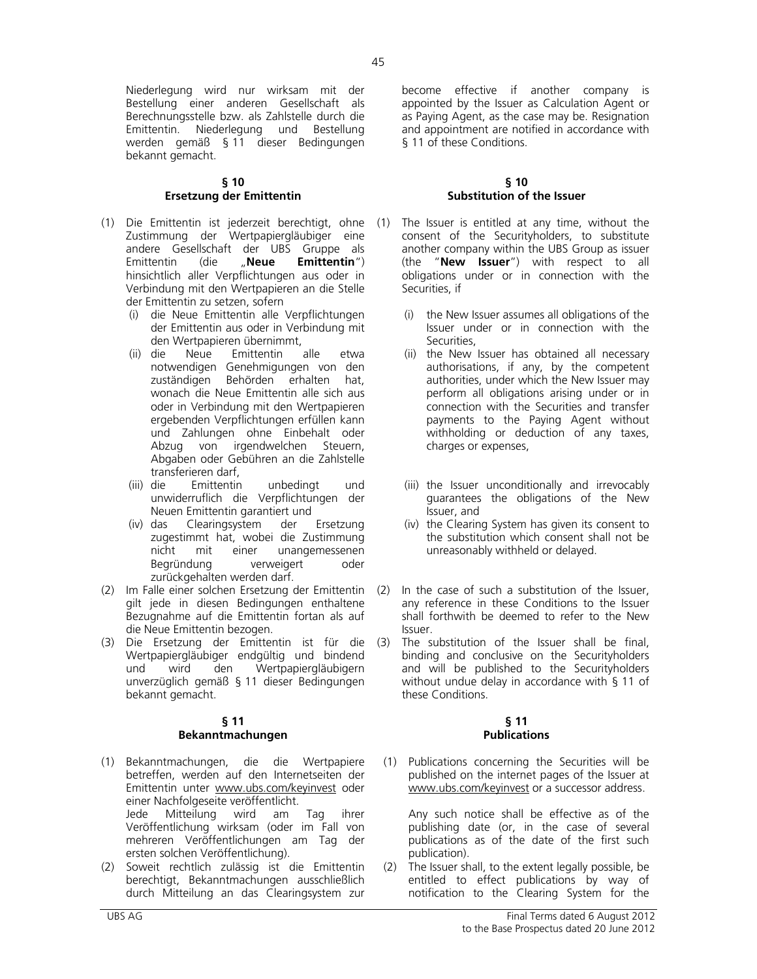Niederlegung wird nur wirksam mit der Bestellung einer anderen Gesellschaft als Berechnungsstelle bzw. als Zahlstelle durch die Emittentin. Niederlegung und Bestellung werden gemäß § 11 dieser Bedingungen bekannt gemacht.

### **§ 10 Ersetzung der Emittentin**

- (1) Die Emittentin ist jederzeit berechtigt, ohne Zustimmung der Wertpapiergläubiger eine andere Gesellschaft der UBS Gruppe als Emittentin (die "**Neue Emittentin**") hinsichtlich aller Verpflichtungen aus oder in Verbindung mit den Wertpapieren an die Stelle der Emittentin zu setzen, sofern
	- (i) die Neue Emittentin alle Verpflichtungen der Emittentin aus oder in Verbindung mit den Wertpapieren übernimmt,<br>die Neue Emittentin alle
	- (ii) die Neue Emittentin alle etwa notwendigen Genehmigungen von den zuständigen Behörden erhalten hat, wonach die Neue Emittentin alle sich aus oder in Verbindung mit den Wertpapieren ergebenden Verpflichtungen erfüllen kann und Zahlungen ohne Einbehalt oder Abzug von irgendwelchen Steuern, Abgaben oder Gebühren an die Zahlstelle transferieren darf,
	- (iii) die Emittentin unbedingt und unwiderruflich die Verpflichtungen der Neuen Emittentin garantiert und
	- (iv) das Clearingsystem der Ersetzung zugestimmt hat, wobei die Zustimmung<br>nicht mit einer unangemessenen mit einer unangemessenen Begründung verweigert oder zurückgehalten werden darf.
- (2) Im Falle einer solchen Ersetzung der Emittentin gilt jede in diesen Bedingungen enthaltene Bezugnahme auf die Emittentin fortan als auf die Neue Emittentin bezogen.
- (3) Die Ersetzung der Emittentin ist für die Wertpapiergläubiger endgültig und bindend und wird den Wertpapiergläubigern unverzüglich gemäß § 11 dieser Bedingungen bekannt gemacht.

#### **§ 11 Bekanntmachungen**

- (1) Bekanntmachungen, die die Wertpapiere betreffen, werden auf den Internetseiten der Emittentin unter www.ubs.com/keyinvest oder einer Nachfolgeseite veröffentlicht. Jede Mitteilung wird am Tag ihrer Veröffentlichung wirksam (oder im Fall von mehreren Veröffentlichungen am Tag der ersten solchen Veröffentlichung).
- (2) Soweit rechtlich zulässig ist die Emittentin berechtigt, Bekanntmachungen ausschließlich durch Mitteilung an das Clearingsystem zur

become effective if another company is appointed by the Issuer as Calculation Agent or as Paying Agent, as the case may be. Resignation and appointment are notified in accordance with § 11 of these Conditions.

#### **§ 10 Substitution of the Issuer**

- The Issuer is entitled at any time, without the consent of the Securityholders, to substitute another company within the UBS Group as issuer (the "**New Issuer**") with respect to all obligations under or in connection with the Securities, if
	- (i) the New Issuer assumes all obligations of the Issuer under or in connection with the Securities,
	- (ii) the New Issuer has obtained all necessary authorisations, if any, by the competent authorities, under which the New Issuer may perform all obligations arising under or in connection with the Securities and transfer payments to the Paying Agent without withholding or deduction of any taxes, charges or expenses,
	- (iii) the Issuer unconditionally and irrevocably guarantees the obligations of the New Issuer, and
	- (iv) the Clearing System has given its consent to the substitution which consent shall not be unreasonably withheld or delayed.
- In the case of such a substitution of the Issuer, any reference in these Conditions to the Issuer shall forthwith be deemed to refer to the New Issuer.
- The substitution of the Issuer shall be final, binding and conclusive on the Securityholders and will be published to the Securityholders without undue delay in accordance with § 11 of these Conditions.

#### **§ 11 Publications**

(1) Publications concerning the Securities will be published on the internet pages of the Issuer at www.ubs.com/keyinvest or a successor address.

 Any such notice shall be effective as of the publishing date (or, in the case of several publications as of the date of the first such publication).

(2) The Issuer shall, to the extent legally possible, be entitled to effect publications by way of notification to the Clearing System for the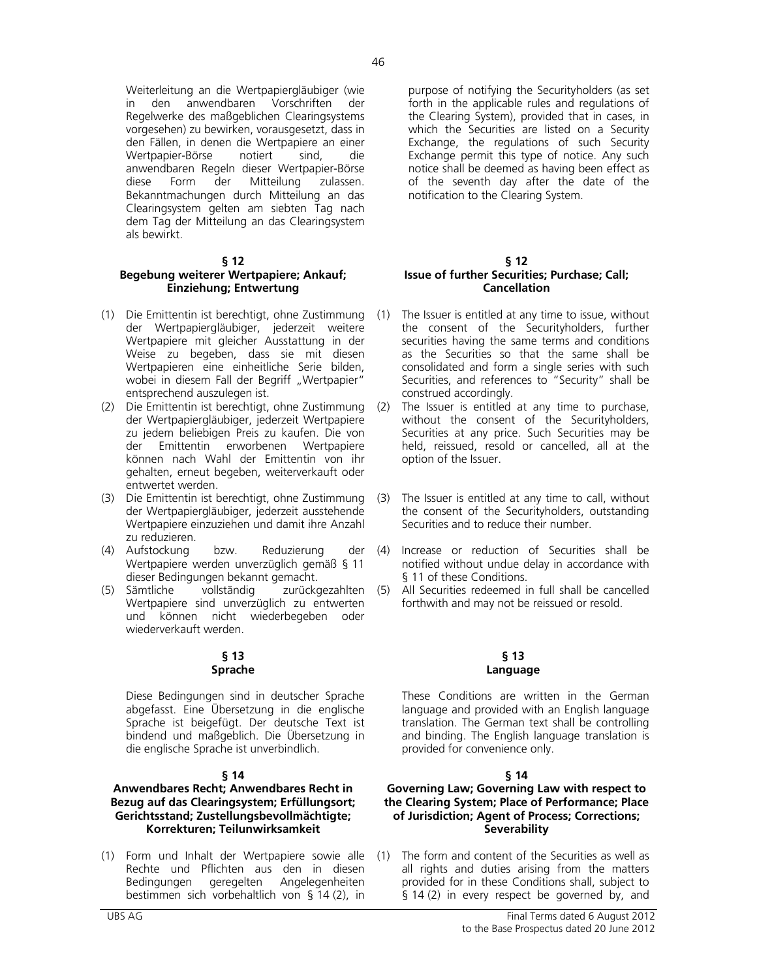Weiterleitung an die Wertpapiergläubiger (wie in den anwendbaren Vorschriften der Regelwerke des maßgeblichen Clearingsystems vorgesehen) zu bewirken, vorausgesetzt, dass in den Fällen, in denen die Wertpapiere an einer Wertpapier-Börse notiert sind, die anwendbaren Regeln dieser Wertpapier-Börse diese Form der Mitteilung zulassen. Bekanntmachungen durch Mitteilung an das Clearingsystem gelten am siebten Tag nach dem Tag der Mitteilung an das Clearingsystem als bewirkt.

#### **§ 12**

# **Begebung weiterer Wertpapiere; Ankauf; Einziehung; Entwertung**

- (1) Die Emittentin ist berechtigt, ohne Zustimmung der Wertpapiergläubiger, jederzeit weitere Wertpapiere mit gleicher Ausstattung in der Weise zu begeben, dass sie mit diesen Wertpapieren eine einheitliche Serie bilden, wobei in diesem Fall der Begriff "Wertpapier" entsprechend auszulegen ist.
- (2) Die Emittentin ist berechtigt, ohne Zustimmung der Wertpapiergläubiger, jederzeit Wertpapiere zu jedem beliebigen Preis zu kaufen. Die von der Emittentin erworbenen Wertpapiere können nach Wahl der Emittentin von ihr gehalten, erneut begeben, weiterverkauft oder entwertet werden.
- (3) Die Emittentin ist berechtigt, ohne Zustimmung der Wertpapiergläubiger, jederzeit ausstehende Wertpapiere einzuziehen und damit ihre Anzahl zu reduzieren.
- (4) Aufstockung bzw. Reduzierung der Wertpapiere werden unverzüglich gemäß § 11 dieser Bedingungen bekannt gemacht.<br>Sämtliche vollständig zurücko
- (5) Sämtliche vollständig zurückgezahlten Wertpapiere sind unverzüglich zu entwerten und können nicht wiederbegeben oder wiederverkauft werden.

#### **§ 13 Sprache**

 Diese Bedingungen sind in deutscher Sprache abgefasst. Eine Übersetzung in die englische Sprache ist beigefügt. Der deutsche Text ist bindend und maßgeblich. Die Übersetzung in die englische Sprache ist unverbindlich.

#### **§ 14**

# **Anwendbares Recht; Anwendbares Recht in Bezug auf das Clearingsystem; Erfüllungsort; Gerichtsstand; Zustellungsbevollmächtigte; Korrekturen; Teilunwirksamkeit**

(1) Form und Inhalt der Wertpapiere sowie alle Rechte und Pflichten aus den in diesen Bedingungen geregelten Angelegenheiten bestimmen sich vorbehaltlich von § 14 (2), in

purpose of notifying the Securityholders (as set forth in the applicable rules and regulations of the Clearing System), provided that in cases, in which the Securities are listed on a Security Exchange, the regulations of such Security Exchange permit this type of notice. Any such notice shall be deemed as having been effect as of the seventh day after the date of the notification to the Clearing System.

#### **§ 12 Issue of further Securities; Purchase; Call; Cancellation**

- The Issuer is entitled at any time to issue, without the consent of the Securityholders, further securities having the same terms and conditions as the Securities so that the same shall be consolidated and form a single series with such Securities, and references to "Security" shall be construed accordingly.
- The Issuer is entitled at any time to purchase, without the consent of the Securityholders, Securities at any price. Such Securities may be held, reissued, resold or cancelled, all at the option of the Issuer.
- The Issuer is entitled at any time to call, without the consent of the Securityholders, outstanding Securities and to reduce their number.
- (4) Increase or reduction of Securities shall be notified without undue delay in accordance with § 11 of these Conditions.
- (5) All Securities redeemed in full shall be cancelled forthwith and may not be reissued or resold.

# **§ 13 Language**

 These Conditions are written in the German language and provided with an English language translation. The German text shall be controlling and binding. The English language translation is provided for convenience only.

# **§ 14**

#### **Governing Law; Governing Law with respect to the Clearing System; Place of Performance; Place of Jurisdiction; Agent of Process; Corrections; Severability**

The form and content of the Securities as well as all rights and duties arising from the matters provided for in these Conditions shall, subject to § 14 (2) in every respect be governed by, and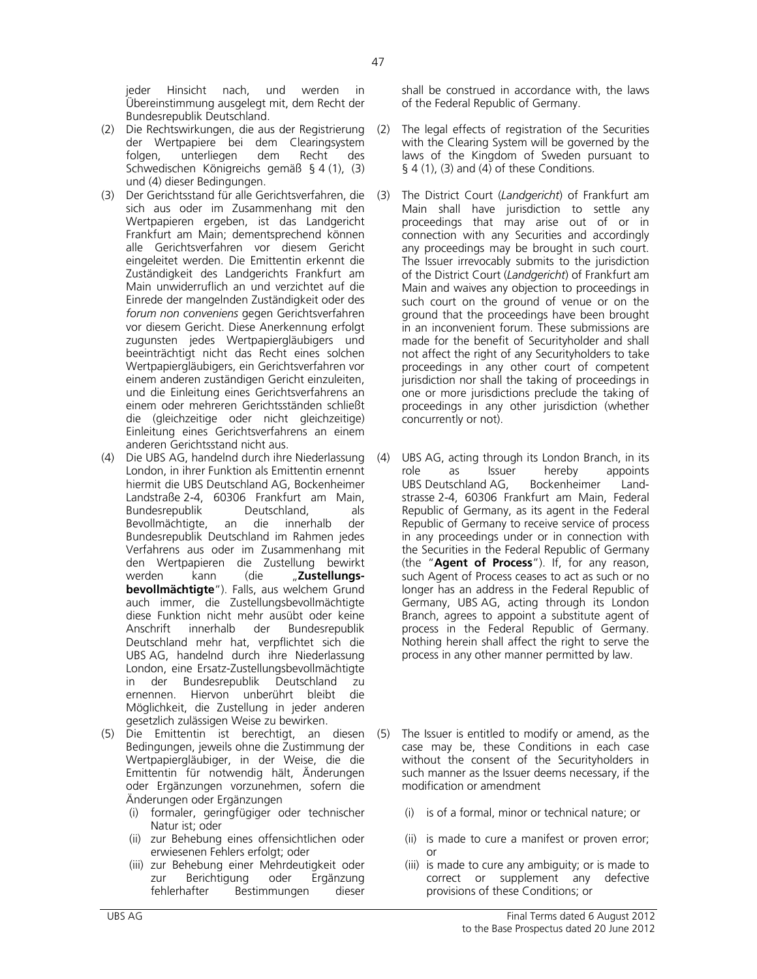jeder Hinsicht nach, und werden in Übereinstimmung ausgelegt mit, dem Recht der Bundesrepublik Deutschland.

- (2) Die Rechtswirkungen, die aus der Registrierung der Wertpapiere bei dem Clearingsystem<br>folgen, unterliegen dem Recht des folgen, unterliegen dem Recht des Schwedischen Königreichs gemäß § 4 (1), (3) und (4) dieser Bedingungen.
- (3) Der Gerichtsstand für alle Gerichtsverfahren, die sich aus oder im Zusammenhang mit den Wertpapieren ergeben, ist das Landgericht Frankfurt am Main; dementsprechend können alle Gerichtsverfahren vor diesem Gericht eingeleitet werden. Die Emittentin erkennt die Zuständigkeit des Landgerichts Frankfurt am Main unwiderruflich an und verzichtet auf die Einrede der mangelnden Zuständigkeit oder des *forum non conveniens* gegen Gerichtsverfahren vor diesem Gericht. Diese Anerkennung erfolgt zugunsten jedes Wertpapiergläubigers und beeinträchtigt nicht das Recht eines solchen Wertpapiergläubigers, ein Gerichtsverfahren vor einem anderen zuständigen Gericht einzuleiten, und die Einleitung eines Gerichtsverfahrens an einem oder mehreren Gerichtsständen schließt die (gleichzeitige oder nicht gleichzeitige) Einleitung eines Gerichtsverfahrens an einem anderen Gerichtsstand nicht aus.
- (4) Die UBS AG, handelnd durch ihre Niederlassung London, in ihrer Funktion als Emittentin ernennt hiermit die UBS Deutschland AG, Bockenheimer Landstraße 2-4, 60306 Frankfurt am Main, Bundesrepublik Deutschland, als<br>Bevollmächtigte, an die innerhalb der Bevollmächtigte, an die innerhalb der Bundesrepublik Deutschland im Rahmen jedes Verfahrens aus oder im Zusammenhang mit den Wertpapieren die Zustellung bewirkt werden kann (die "**Zustellungsbevollmächtigte**"). Falls, aus welchem Grund auch immer, die Zustellungsbevollmächtigte diese Funktion nicht mehr ausübt oder keine Anschrift innerhalb der Bundesrepublik Deutschland mehr hat, verpflichtet sich die UBS AG, handelnd durch ihre Niederlassung London, eine Ersatz-Zustellungsbevollmächtigte in der Bundesrepublik Deutschland zu ernennen. Hiervon unberührt bleibt die Möglichkeit, die Zustellung in jeder anderen gesetzlich zulässigen Weise zu bewirken.
- (5) Die Emittentin ist berechtigt, an diesen Bedingungen, jeweils ohne die Zustimmung der Wertpapiergläubiger, in der Weise, die die Emittentin für notwendig hält, Änderungen oder Ergänzungen vorzunehmen, sofern die Änderungen oder Ergänzungen
	- (i) formaler, geringfügiger oder technischer Natur ist; oder
	- (ii) zur Behebung eines offensichtlichen oder erwiesenen Fehlers erfolgt; oder
	- (iii) zur Behebung einer Mehrdeutigkeit oder zur Berichtigung oder Ergänzung fehlerhafter Bestimmungen dieser

shall be construed in accordance with, the laws of the Federal Republic of Germany.

- (2) The legal effects of registration of the Securities with the Clearing System will be governed by the laws of the Kingdom of Sweden pursuant to  $\S$  4 (1), (3) and (4) of these Conditions.
- (3) The District Court (*Landgericht*) of Frankfurt am Main shall have jurisdiction to settle any proceedings that may arise out of or in connection with any Securities and accordingly any proceedings may be brought in such court. The Issuer irrevocably submits to the jurisdiction of the District Court (*Landgericht*) of Frankfurt am Main and waives any objection to proceedings in such court on the ground of venue or on the ground that the proceedings have been brought in an inconvenient forum. These submissions are made for the benefit of Securityholder and shall not affect the right of any Securityholders to take proceedings in any other court of competent jurisdiction nor shall the taking of proceedings in one or more jurisdictions preclude the taking of proceedings in any other jurisdiction (whether concurrently or not).
- UBS AG, acting through its London Branch, in its role as Issuer hereby appoints UBS Deutschland AG, Bockenheimer Landstrasse 2-4, 60306 Frankfurt am Main, Federal Republic of Germany, as its agent in the Federal Republic of Germany to receive service of process in any proceedings under or in connection with the Securities in the Federal Republic of Germany (the "**Agent of Process**"). If, for any reason, such Agent of Process ceases to act as such or no longer has an address in the Federal Republic of Germany, UBS AG, acting through its London Branch, agrees to appoint a substitute agent of process in the Federal Republic of Germany. Nothing herein shall affect the right to serve the process in any other manner permitted by law.
- (5) The Issuer is entitled to modify or amend, as the case may be, these Conditions in each case without the consent of the Securityholders in such manner as the Issuer deems necessary, if the modification or amendment
	- (i) is of a formal, minor or technical nature; or
	- (ii) is made to cure a manifest or proven error; or
	- (iii) is made to cure any ambiguity; or is made to correct or supplement any defective provisions of these Conditions; or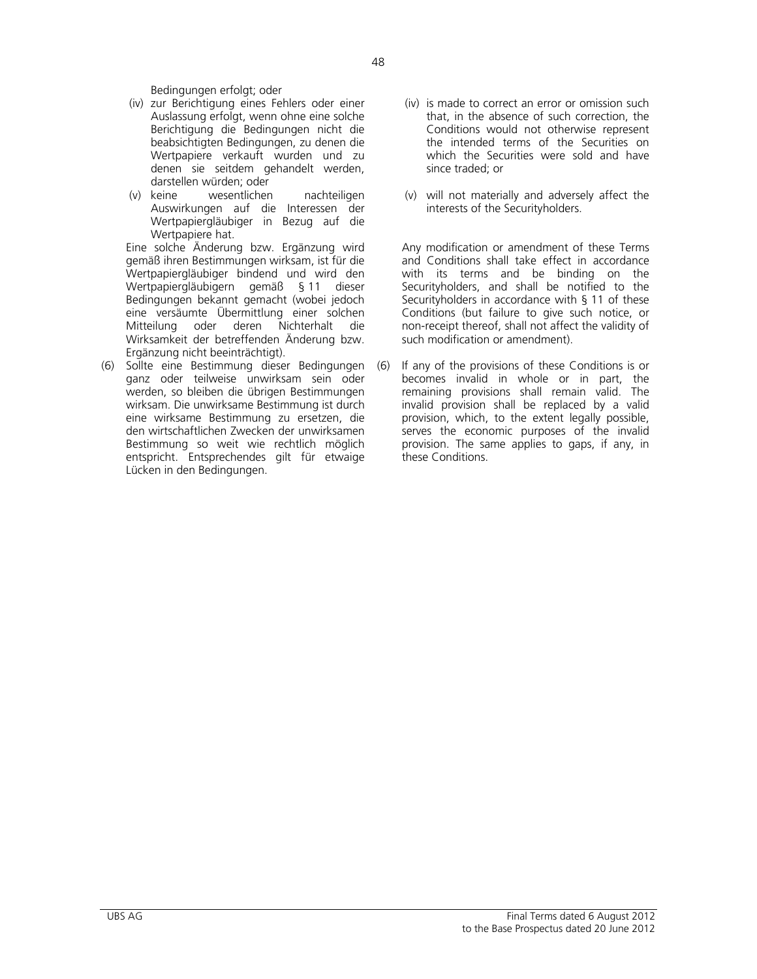Bedingungen erfolgt; oder

- (iv) zur Berichtigung eines Fehlers oder einer Auslassung erfolgt, wenn ohne eine solche Berichtigung die Bedingungen nicht die beabsichtigten Bedingungen, zu denen die Wertpapiere verkauft wurden und zu denen sie seitdem gehandelt werden, darstellen würden; oder
- (v) keine wesentlichen nachteiligen Auswirkungen auf die Interessen der Wertpapiergläubiger in Bezug auf die Wertpapiere hat.

 Eine solche Änderung bzw. Ergänzung wird gemäß ihren Bestimmungen wirksam, ist für die Wertpapiergläubiger bindend und wird den Wertpapiergläubigern gemäß § 11 dieser Bedingungen bekannt gemacht (wobei jedoch eine versäumte Übermittlung einer solchen Mitteilung oder deren Nichterhalt die Wirksamkeit der betreffenden Änderung bzw. Ergänzung nicht beeinträchtigt).

(6) Sollte eine Bestimmung dieser Bedingungen ganz oder teilweise unwirksam sein oder werden, so bleiben die übrigen Bestimmungen wirksam. Die unwirksame Bestimmung ist durch eine wirksame Bestimmung zu ersetzen, die den wirtschaftlichen Zwecken der unwirksamen Bestimmung so weit wie rechtlich möglich entspricht. Entsprechendes gilt für etwaige Lücken in den Bedingungen.

- (iv) is made to correct an error or omission such that, in the absence of such correction, the Conditions would not otherwise represent the intended terms of the Securities on which the Securities were sold and have since traded; or
- (v) will not materially and adversely affect the interests of the Securityholders.

 Any modification or amendment of these Terms and Conditions shall take effect in accordance with its terms and be binding on the Securityholders, and shall be notified to the Securityholders in accordance with § 11 of these Conditions (but failure to give such notice, or non-receipt thereof, shall not affect the validity of such modification or amendment).

(6) If any of the provisions of these Conditions is or becomes invalid in whole or in part, the remaining provisions shall remain valid. The invalid provision shall be replaced by a valid provision, which, to the extent legally possible, serves the economic purposes of the invalid provision. The same applies to gaps, if any, in these Conditions.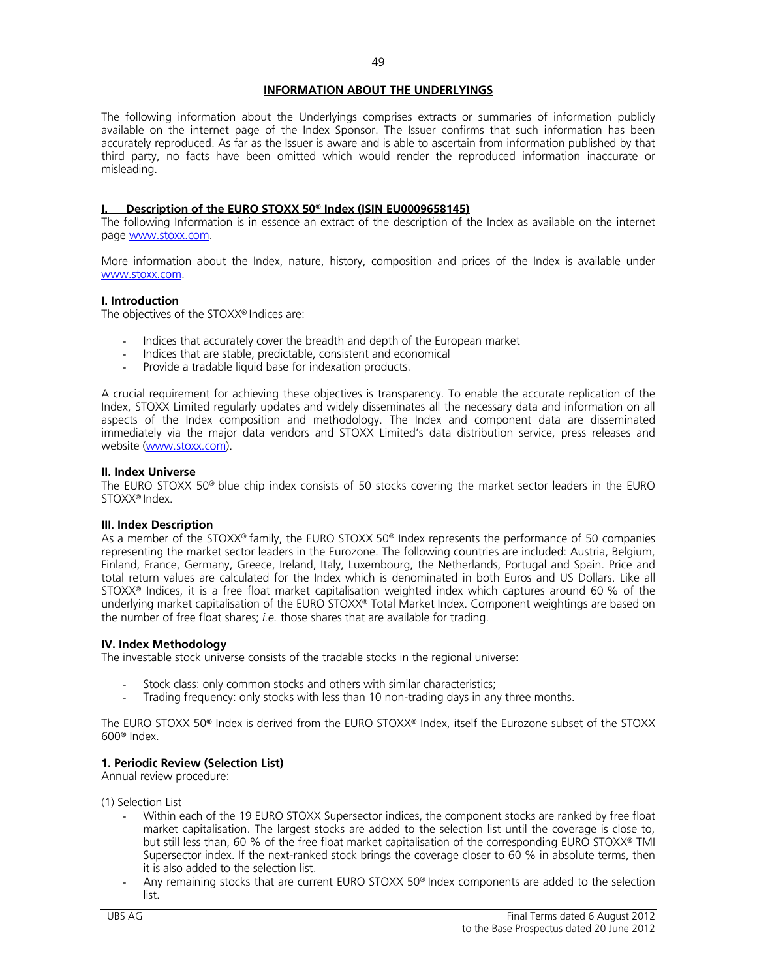# **INFORMATION ABOUT THE UNDERLYINGS**

The following information about the Underlyings comprises extracts or summaries of information publicly available on the internet page of the Index Sponsor. The Issuer confirms that such information has been accurately reproduced. As far as the Issuer is aware and is able to ascertain from information published by that third party, no facts have been omitted which would render the reproduced information inaccurate or misleading.

#### **I. Description of the EURO STOXX 50**® **Index (ISIN EU0009658145)**

The following Information is in essence an extract of the description of the Index as available on the internet page www.stoxx.com.

More information about the Index, nature, history, composition and prices of the Index is available under www.stoxx.com.

#### **I. Introduction**

The objectives of the STOXX® Indices are:

- Indices that accurately cover the breadth and depth of the European market
- Indices that are stable, predictable, consistent and economical
- Provide a tradable liquid base for indexation products.

A crucial requirement for achieving these objectives is transparency. To enable the accurate replication of the Index, STOXX Limited regularly updates and widely disseminates all the necessary data and information on all aspects of the Index composition and methodology. The Index and component data are disseminated immediately via the major data vendors and STOXX Limited's data distribution service, press releases and website (www.stoxx.com).

#### **II. Index Universe**

The EURO STOXX 50® blue chip index consists of 50 stocks covering the market sector leaders in the EURO STOXX® Index.

#### **III. Index Description**

As a member of the STOXX® family, the EURO STOXX 50® Index represents the performance of 50 companies representing the market sector leaders in the Eurozone. The following countries are included: Austria, Belgium, Finland, France, Germany, Greece, Ireland, Italy, Luxembourg, the Netherlands, Portugal and Spain. Price and total return values are calculated for the Index which is denominated in both Euros and US Dollars. Like all STOXX® Indices, it is a free float market capitalisation weighted index which captures around 60 % of the underlying market capitalisation of the EURO STOXX® Total Market Index. Component weightings are based on the number of free float shares; *i.e.* those shares that are available for trading.

#### **IV. Index Methodology**

The investable stock universe consists of the tradable stocks in the regional universe:

- Stock class: only common stocks and others with similar characteristics;
- Trading frequency: only stocks with less than 10 non-trading days in any three months.

The EURO STOXX 50® Index is derived from the EURO STOXX® Index, itself the Eurozone subset of the STOXX 600® Index.

# **1. Periodic Review (Selection List)**

Annual review procedure:

(1) Selection List

- Within each of the 19 EURO STOXX Supersector indices, the component stocks are ranked by free float market capitalisation. The largest stocks are added to the selection list until the coverage is close to, but still less than, 60 % of the free float market capitalisation of the corresponding EURO STOXX® TMI Supersector index. If the next-ranked stock brings the coverage closer to 60 % in absolute terms, then it is also added to the selection list.
- Any remaining stocks that are current EURO STOXX 50<sup>®</sup> Index components are added to the selection list.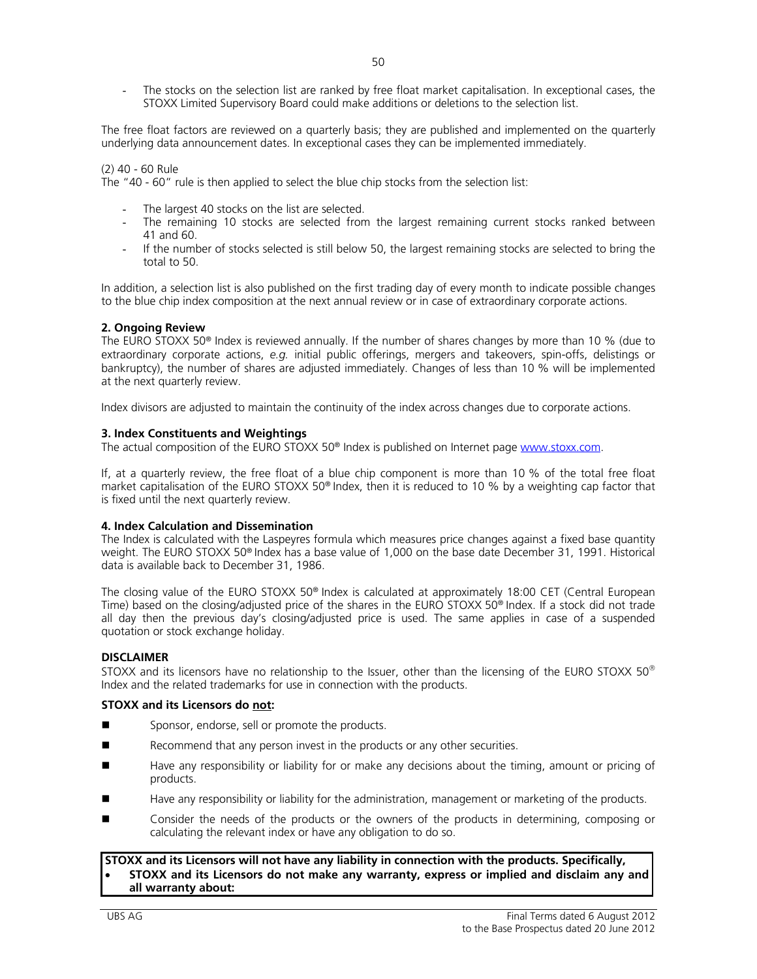The stocks on the selection list are ranked by free float market capitalisation. In exceptional cases, the STOXX Limited Supervisory Board could make additions or deletions to the selection list.

The free float factors are reviewed on a quarterly basis; they are published and implemented on the quarterly underlying data announcement dates. In exceptional cases they can be implemented immediately.

#### (2) 40 - 60 Rule

The "40 - 60" rule is then applied to select the blue chip stocks from the selection list:

- The largest 40 stocks on the list are selected.
- The remaining 10 stocks are selected from the largest remaining current stocks ranked between 41 and 60.
- If the number of stocks selected is still below 50, the largest remaining stocks are selected to bring the total to 50.

In addition, a selection list is also published on the first trading day of every month to indicate possible changes to the blue chip index composition at the next annual review or in case of extraordinary corporate actions.

#### **2. Ongoing Review**

The EURO STOXX 50® Index is reviewed annually. If the number of shares changes by more than 10 % (due to extraordinary corporate actions, *e.g.* initial public offerings, mergers and takeovers, spin-offs, delistings or bankruptcy), the number of shares are adjusted immediately. Changes of less than 10 % will be implemented at the next quarterly review.

Index divisors are adjusted to maintain the continuity of the index across changes due to corporate actions.

#### **3. Index Constituents and Weightings**

The actual composition of the EURO STOXX 50® Index is published on Internet page www.stoxx.com.

If, at a quarterly review, the free float of a blue chip component is more than 10 % of the total free float market capitalisation of the EURO STOXX 50® Index, then it is reduced to 10 % by a weighting cap factor that is fixed until the next quarterly review.

#### **4. Index Calculation and Dissemination**

The Index is calculated with the Laspeyres formula which measures price changes against a fixed base quantity weight. The EURO STOXX 50® Index has a base value of 1,000 on the base date December 31, 1991. Historical data is available back to December 31, 1986.

The closing value of the EURO STOXX 50<sup>®</sup> Index is calculated at approximately 18:00 CET (Central European Time) based on the closing/adjusted price of the shares in the EURO STOXX 50<sup>®</sup> Index. If a stock did not trade all day then the previous day's closing/adjusted price is used. The same applies in case of a suspended quotation or stock exchange holiday.

#### **DISCLAIMER**

STOXX and its licensors have no relationship to the Issuer, other than the licensing of the EURO STOXX 50 $^{\circ}$ Index and the related trademarks for use in connection with the products.

#### **STOXX and its Licensors do not:**

- Sponsor, endorse, sell or promote the products.
- Recommend that any person invest in the products or any other securities.
- Have any responsibility or liability for or make any decisions about the timing, amount or pricing of products.
- Have any responsibility or liability for the administration, management or marketing of the products.
- Consider the needs of the products or the owners of the products in determining, composing or calculating the relevant index or have any obligation to do so.

#### **STOXX and its Licensors will not have any liability in connection with the products. Specifically, STOXX and its Licensors do not make any warranty, express or implied and disclaim any and all warranty about:**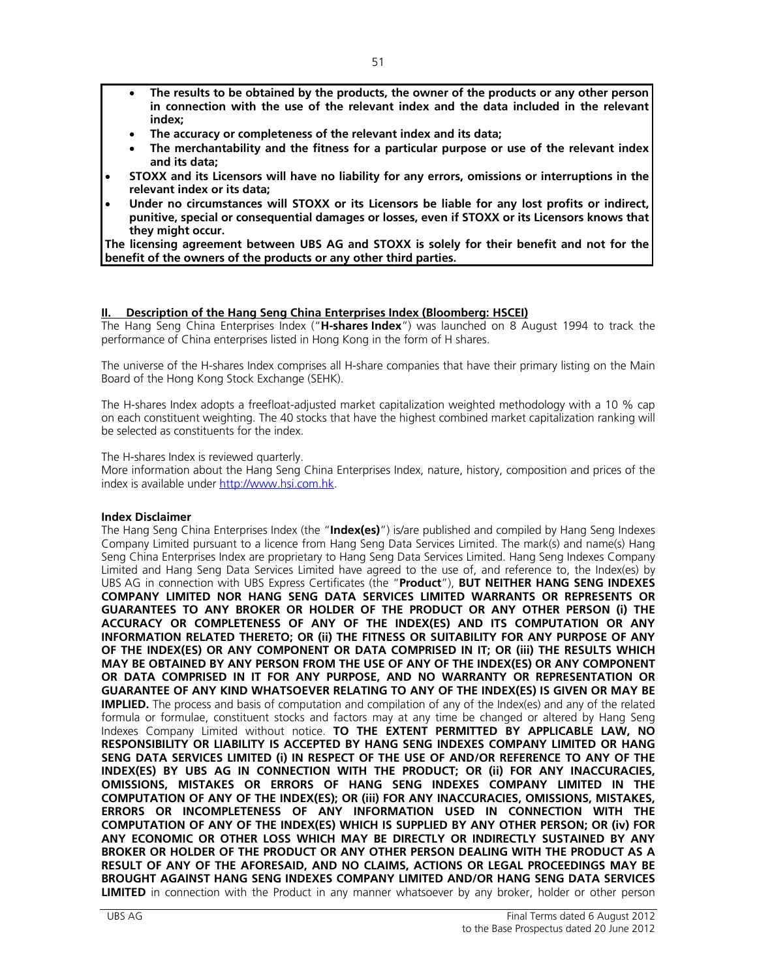- **The results to be obtained by the products, the owner of the products or any other person in connection with the use of the relevant index and the data included in the relevant index;**
- **The accuracy or completeness of the relevant index and its data;**
- **The merchantability and the fitness for a particular purpose or use of the relevant index and its data;**
- **STOXX and its Licensors will have no liability for any errors, omissions or interruptions in the relevant index or its data;**
- **Under no circumstances will STOXX or its Licensors be liable for any lost profits or indirect, punitive, special or consequential damages or losses, even if STOXX or its Licensors knows that they might occur.**

**The licensing agreement between UBS AG and STOXX is solely for their benefit and not for the benefit of the owners of the products or any other third parties.**

# **II. Description of the Hang Seng China Enterprises Index (Bloomberg: HSCEI)**

The Hang Seng China Enterprises Index ("**H-shares Index**") was launched on 8 August 1994 to track the performance of China enterprises listed in Hong Kong in the form of H shares.

The universe of the H-shares Index comprises all H-share companies that have their primary listing on the Main Board of the Hong Kong Stock Exchange (SEHK).

The H-shares Index adopts a freefloat-adjusted market capitalization weighted methodology with a 10 % cap on each constituent weighting. The 40 stocks that have the highest combined market capitalization ranking will be selected as constituents for the index.

The H-shares Index is reviewed quarterly.

More information about the Hang Seng China Enterprises Index, nature, history, composition and prices of the index is available under http://www.hsi.com.hk.

# **Index Disclaimer**

The Hang Seng China Enterprises Index (the "**Index(es)**") is/are published and compiled by Hang Seng Indexes Company Limited pursuant to a licence from Hang Seng Data Services Limited. The mark(s) and name(s) Hang Seng China Enterprises Index are proprietary to Hang Seng Data Services Limited. Hang Seng Indexes Company Limited and Hang Seng Data Services Limited have agreed to the use of, and reference to, the Index(es) by UBS AG in connection with UBS Express Certificates (the "**Product**"), **BUT NEITHER HANG SENG INDEXES COMPANY LIMITED NOR HANG SENG DATA SERVICES LIMITED WARRANTS OR REPRESENTS OR GUARANTEES TO ANY BROKER OR HOLDER OF THE PRODUCT OR ANY OTHER PERSON (i) THE ACCURACY OR COMPLETENESS OF ANY OF THE INDEX(ES) AND ITS COMPUTATION OR ANY INFORMATION RELATED THERETO; OR (ii) THE FITNESS OR SUITABILITY FOR ANY PURPOSE OF ANY OF THE INDEX(ES) OR ANY COMPONENT OR DATA COMPRISED IN IT; OR (iii) THE RESULTS WHICH MAY BE OBTAINED BY ANY PERSON FROM THE USE OF ANY OF THE INDEX(ES) OR ANY COMPONENT OR DATA COMPRISED IN IT FOR ANY PURPOSE, AND NO WARRANTY OR REPRESENTATION OR GUARANTEE OF ANY KIND WHATSOEVER RELATING TO ANY OF THE INDEX(ES) IS GIVEN OR MAY BE IMPLIED.** The process and basis of computation and compilation of any of the Index(es) and any of the related formula or formulae, constituent stocks and factors may at any time be changed or altered by Hang Seng Indexes Company Limited without notice. **TO THE EXTENT PERMITTED BY APPLICABLE LAW, NO RESPONSIBILITY OR LIABILITY IS ACCEPTED BY HANG SENG INDEXES COMPANY LIMITED OR HANG SENG DATA SERVICES LIMITED (i) IN RESPECT OF THE USE OF AND/OR REFERENCE TO ANY OF THE INDEX(ES) BY UBS AG IN CONNECTION WITH THE PRODUCT; OR (ii) FOR ANY INACCURACIES, OMISSIONS, MISTAKES OR ERRORS OF HANG SENG INDEXES COMPANY LIMITED IN THE COMPUTATION OF ANY OF THE INDEX(ES); OR (iii) FOR ANY INACCURACIES, OMISSIONS, MISTAKES, ERRORS OR INCOMPLETENESS OF ANY INFORMATION USED IN CONNECTION WITH THE COMPUTATION OF ANY OF THE INDEX(ES) WHICH IS SUPPLIED BY ANY OTHER PERSON; OR (iv) FOR ANY ECONOMIC OR OTHER LOSS WHICH MAY BE DIRECTLY OR INDIRECTLY SUSTAINED BY ANY BROKER OR HOLDER OF THE PRODUCT OR ANY OTHER PERSON DEALING WITH THE PRODUCT AS A RESULT OF ANY OF THE AFORESAID, AND NO CLAIMS, ACTIONS OR LEGAL PROCEEDINGS MAY BE BROUGHT AGAINST HANG SENG INDEXES COMPANY LIMITED AND/OR HANG SENG DATA SERVICES LIMITED** in connection with the Product in any manner whatsoever by any broker, holder or other person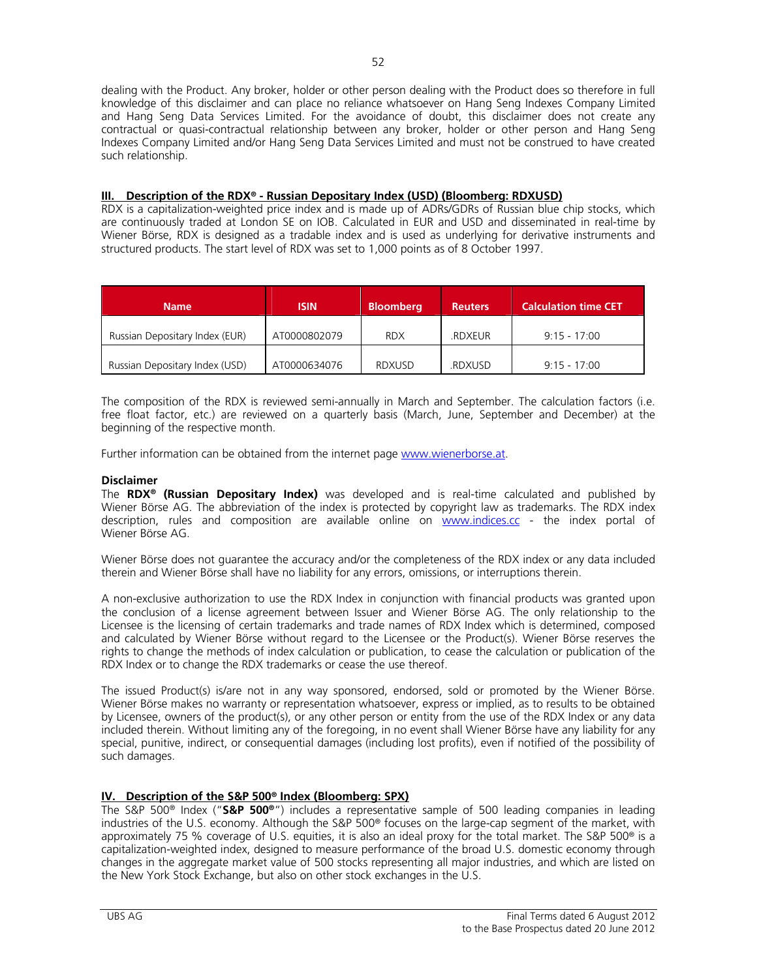dealing with the Product. Any broker, holder or other person dealing with the Product does so therefore in full knowledge of this disclaimer and can place no reliance whatsoever on Hang Seng Indexes Company Limited and Hang Seng Data Services Limited. For the avoidance of doubt, this disclaimer does not create any contractual or quasi-contractual relationship between any broker, holder or other person and Hang Seng Indexes Company Limited and/or Hang Seng Data Services Limited and must not be construed to have created such relationship.

# **III. Description of the RDX® - Russian Depositary Index (USD) (Bloomberg: RDXUSD)**

RDX is a capitalization-weighted price index and is made up of ADRs/GDRs of Russian blue chip stocks, which are continuously traded at London SE on IOB. Calculated in EUR and USD and disseminated in real-time by Wiener Börse, RDX is designed as a tradable index and is used as underlying for derivative instruments and structured products. The start level of RDX was set to 1,000 points as of 8 October 1997.

| <b>Name</b>                    | <b>ISIN</b>  | <b>Bloomberg</b> | <b>Reuters</b> | <b>Calculation time CET</b> |
|--------------------------------|--------------|------------------|----------------|-----------------------------|
| Russian Depositary Index (EUR) | AT0000802079 | <b>RDX</b>       | <b>RDXEUR</b>  | $9:15 - 17:00$              |
| Russian Depositary Index (USD) | AT0000634076 | <b>RDXUSD</b>    | <b>RDXUSD</b>  | $9:15 - 17:00$              |

The composition of the RDX is reviewed semi-annually in March and September. The calculation factors (i.e. free float factor, etc.) are reviewed on a quarterly basis (March, June, September and December) at the beginning of the respective month.

Further information can be obtained from the internet page www.wienerborse.at.

# **Disclaimer**

The **RDX® (Russian Depositary Index)** was developed and is real-time calculated and published by Wiener Börse AG. The abbreviation of the index is protected by copyright law as trademarks. The RDX index description, rules and composition are available online on www.indices.cc - the index portal of Wiener Börse AG.

Wiener Börse does not guarantee the accuracy and/or the completeness of the RDX index or any data included therein and Wiener Börse shall have no liability for any errors, omissions, or interruptions therein.

A non-exclusive authorization to use the RDX Index in conjunction with financial products was granted upon the conclusion of a license agreement between Issuer and Wiener Börse AG. The only relationship to the Licensee is the licensing of certain trademarks and trade names of RDX Index which is determined, composed and calculated by Wiener Börse without regard to the Licensee or the Product(s). Wiener Börse reserves the rights to change the methods of index calculation or publication, to cease the calculation or publication of the RDX Index or to change the RDX trademarks or cease the use thereof.

The issued Product(s) is/are not in any way sponsored, endorsed, sold or promoted by the Wiener Börse. Wiener Börse makes no warranty or representation whatsoever, express or implied, as to results to be obtained by Licensee, owners of the product(s), or any other person or entity from the use of the RDX Index or any data included therein. Without limiting any of the foregoing, in no event shall Wiener Börse have any liability for any special, punitive, indirect, or consequential damages (including lost profits), even if notified of the possibility of such damages.

# **IV. Description of the S&P 500® Index (Bloomberg: SPX)**

The S&P 500® Index ("**S&P 500®**") includes a representative sample of 500 leading companies in leading industries of the U.S. economy. Although the S&P 500® focuses on the large-cap segment of the market, with approximately 75 % coverage of U.S. equities, it is also an ideal proxy for the total market. The S&P 500® is a capitalization-weighted index, designed to measure performance of the broad U.S. domestic economy through changes in the aggregate market value of 500 stocks representing all major industries, and which are listed on the New York Stock Exchange, but also on other stock exchanges in the U.S.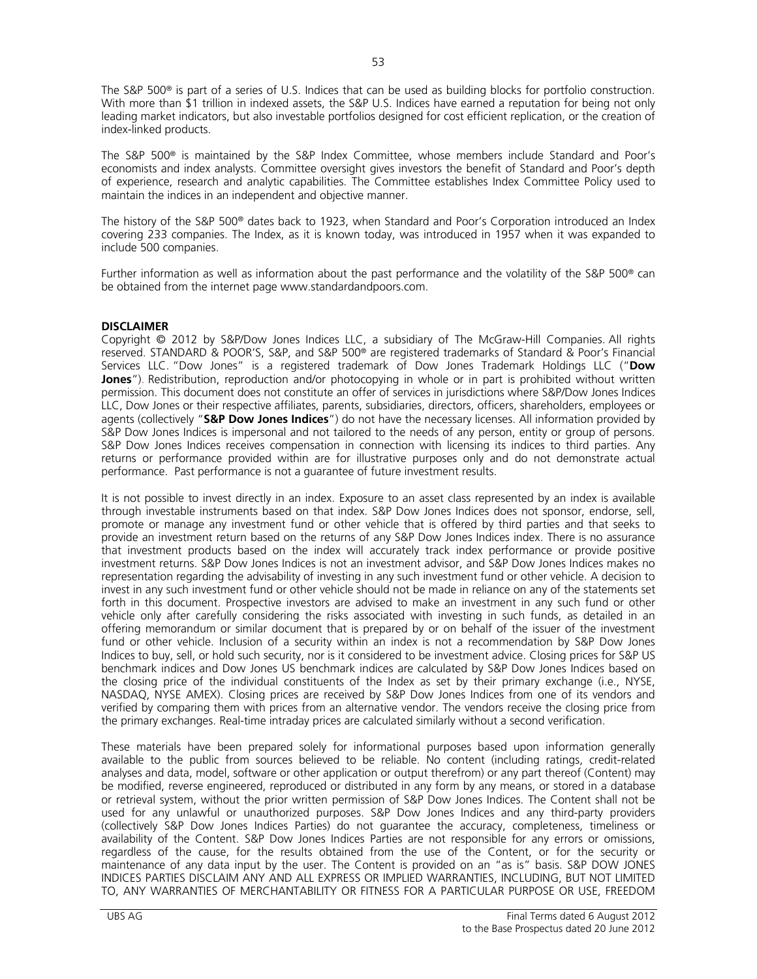The S&P 500® is part of a series of U.S. Indices that can be used as building blocks for portfolio construction. With more than \$1 trillion in indexed assets, the S&P U.S. Indices have earned a reputation for being not only leading market indicators, but also investable portfolios designed for cost efficient replication, or the creation of index-linked products.

The S&P 500® is maintained by the S&P Index Committee, whose members include Standard and Poor's economists and index analysts. Committee oversight gives investors the benefit of Standard and Poor's depth of experience, research and analytic capabilities. The Committee establishes Index Committee Policy used to maintain the indices in an independent and objective manner.

The history of the S&P 500® dates back to 1923, when Standard and Poor's Corporation introduced an Index covering 233 companies. The Index, as it is known today, was introduced in 1957 when it was expanded to include 500 companies.

Further information as well as information about the past performance and the volatility of the S&P 500® can be obtained from the internet page www.standardandpoors.com.

# **DISCLAIMER**

Copyright © 2012 by S&P/Dow Jones Indices LLC, a subsidiary of The McGraw-Hill Companies. All rights reserved. STANDARD & POOR'S, S&P, and S&P 500® are registered trademarks of Standard & Poor's Financial Services LLC. "Dow Jones" is a registered trademark of Dow Jones Trademark Holdings LLC ("**Dow Jones**"). Redistribution, reproduction and/or photocopying in whole or in part is prohibited without written permission. This document does not constitute an offer of services in jurisdictions where S&P/Dow Jones Indices LLC, Dow Jones or their respective affiliates, parents, subsidiaries, directors, officers, shareholders, employees or agents (collectively "**S&P Dow Jones Indices**") do not have the necessary licenses. All information provided by S&P Dow Jones Indices is impersonal and not tailored to the needs of any person, entity or group of persons. S&P Dow Jones Indices receives compensation in connection with licensing its indices to third parties. Any returns or performance provided within are for illustrative purposes only and do not demonstrate actual performance. Past performance is not a guarantee of future investment results.

It is not possible to invest directly in an index. Exposure to an asset class represented by an index is available through investable instruments based on that index. S&P Dow Jones Indices does not sponsor, endorse, sell, promote or manage any investment fund or other vehicle that is offered by third parties and that seeks to provide an investment return based on the returns of any S&P Dow Jones Indices index. There is no assurance that investment products based on the index will accurately track index performance or provide positive investment returns. S&P Dow Jones Indices is not an investment advisor, and S&P Dow Jones Indices makes no representation regarding the advisability of investing in any such investment fund or other vehicle. A decision to invest in any such investment fund or other vehicle should not be made in reliance on any of the statements set forth in this document. Prospective investors are advised to make an investment in any such fund or other vehicle only after carefully considering the risks associated with investing in such funds, as detailed in an offering memorandum or similar document that is prepared by or on behalf of the issuer of the investment fund or other vehicle. Inclusion of a security within an index is not a recommendation by S&P Dow Jones Indices to buy, sell, or hold such security, nor is it considered to be investment advice. Closing prices for S&P US benchmark indices and Dow Jones US benchmark indices are calculated by S&P Dow Jones Indices based on the closing price of the individual constituents of the Index as set by their primary exchange (i.e., NYSE, NASDAQ, NYSE AMEX). Closing prices are received by S&P Dow Jones Indices from one of its vendors and verified by comparing them with prices from an alternative vendor. The vendors receive the closing price from the primary exchanges. Real-time intraday prices are calculated similarly without a second verification.

These materials have been prepared solely for informational purposes based upon information generally available to the public from sources believed to be reliable. No content (including ratings, credit-related analyses and data, model, software or other application or output therefrom) or any part thereof (Content) may be modified, reverse engineered, reproduced or distributed in any form by any means, or stored in a database or retrieval system, without the prior written permission of S&P Dow Jones Indices. The Content shall not be used for any unlawful or unauthorized purposes. S&P Dow Jones Indices and any third-party providers (collectively S&P Dow Jones Indices Parties) do not guarantee the accuracy, completeness, timeliness or availability of the Content. S&P Dow Jones Indices Parties are not responsible for any errors or omissions, regardless of the cause, for the results obtained from the use of the Content, or for the security or maintenance of any data input by the user. The Content is provided on an "as is" basis. S&P DOW JONES INDICES PARTIES DISCLAIM ANY AND ALL EXPRESS OR IMPLIED WARRANTIES, INCLUDING, BUT NOT LIMITED TO, ANY WARRANTIES OF MERCHANTABILITY OR FITNESS FOR A PARTICULAR PURPOSE OR USE, FREEDOM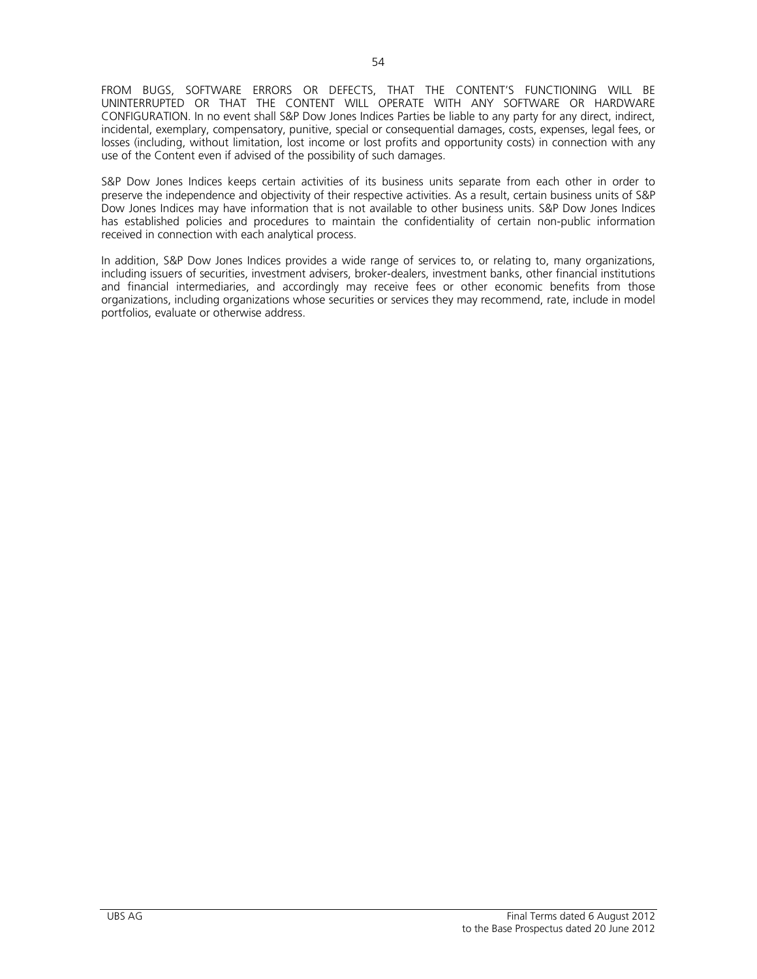FROM BUGS, SOFTWARE ERRORS OR DEFECTS, THAT THE CONTENT'S FUNCTIONING WILL BE UNINTERRUPTED OR THAT THE CONTENT WILL OPERATE WITH ANY SOFTWARE OR HARDWARE CONFIGURATION. In no event shall S&P Dow Jones Indices Parties be liable to any party for any direct, indirect, incidental, exemplary, compensatory, punitive, special or consequential damages, costs, expenses, legal fees, or losses (including, without limitation, lost income or lost profits and opportunity costs) in connection with any use of the Content even if advised of the possibility of such damages.

S&P Dow Jones Indices keeps certain activities of its business units separate from each other in order to preserve the independence and objectivity of their respective activities. As a result, certain business units of S&P Dow Jones Indices may have information that is not available to other business units. S&P Dow Jones Indices has established policies and procedures to maintain the confidentiality of certain non-public information received in connection with each analytical process.

In addition, S&P Dow Jones Indices provides a wide range of services to, or relating to, many organizations, including issuers of securities, investment advisers, broker-dealers, investment banks, other financial institutions and financial intermediaries, and accordingly may receive fees or other economic benefits from those organizations, including organizations whose securities or services they may recommend, rate, include in model portfolios, evaluate or otherwise address.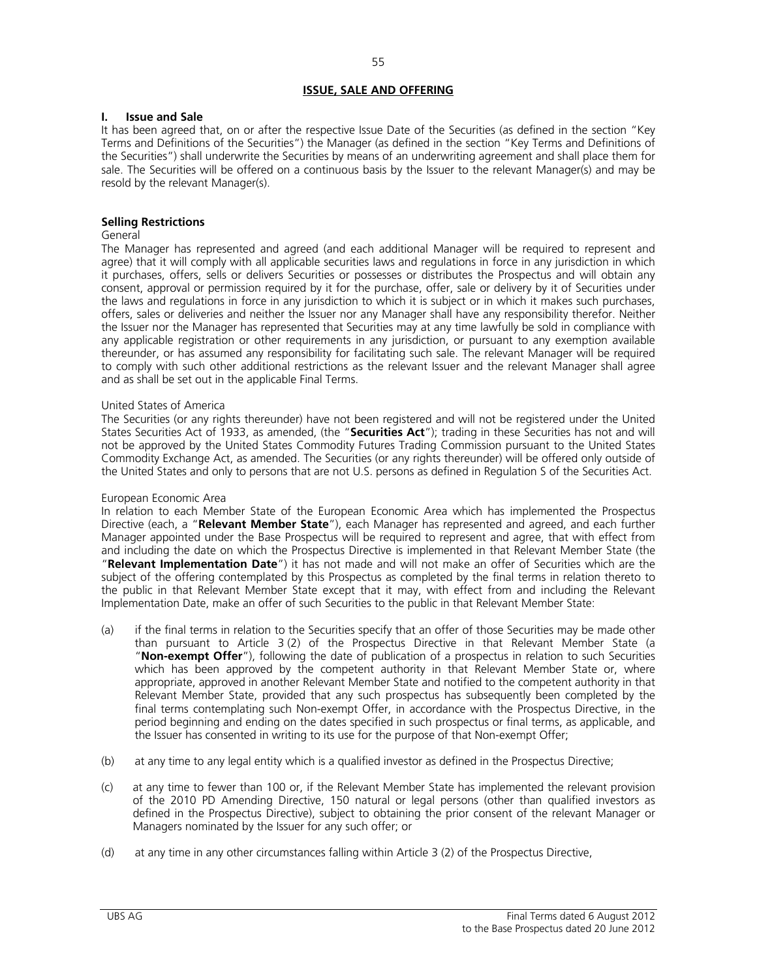# **ISSUE, SALE AND OFFERING**

#### **I. Issue and Sale**

It has been agreed that, on or after the respective Issue Date of the Securities (as defined in the section "Key Terms and Definitions of the Securities") the Manager (as defined in the section "Key Terms and Definitions of the Securities") shall underwrite the Securities by means of an underwriting agreement and shall place them for sale. The Securities will be offered on a continuous basis by the Issuer to the relevant Manager(s) and may be resold by the relevant Manager(s).

# **Selling Restrictions**

#### General

The Manager has represented and agreed (and each additional Manager will be required to represent and agree) that it will comply with all applicable securities laws and regulations in force in any jurisdiction in which it purchases, offers, sells or delivers Securities or possesses or distributes the Prospectus and will obtain any consent, approval or permission required by it for the purchase, offer, sale or delivery by it of Securities under the laws and regulations in force in any jurisdiction to which it is subject or in which it makes such purchases, offers, sales or deliveries and neither the Issuer nor any Manager shall have any responsibility therefor. Neither the Issuer nor the Manager has represented that Securities may at any time lawfully be sold in compliance with any applicable registration or other requirements in any jurisdiction, or pursuant to any exemption available thereunder, or has assumed any responsibility for facilitating such sale. The relevant Manager will be required to comply with such other additional restrictions as the relevant Issuer and the relevant Manager shall agree and as shall be set out in the applicable Final Terms.

#### United States of America

The Securities (or any rights thereunder) have not been registered and will not be registered under the United States Securities Act of 1933, as amended, (the "**Securities Act**"); trading in these Securities has not and will not be approved by the United States Commodity Futures Trading Commission pursuant to the United States Commodity Exchange Act, as amended. The Securities (or any rights thereunder) will be offered only outside of the United States and only to persons that are not U.S. persons as defined in Regulation S of the Securities Act.

#### European Economic Area

In relation to each Member State of the European Economic Area which has implemented the Prospectus Directive (each, a "**Relevant Member State**"), each Manager has represented and agreed, and each further Manager appointed under the Base Prospectus will be required to represent and agree, that with effect from and including the date on which the Prospectus Directive is implemented in that Relevant Member State (the "**Relevant Implementation Date**") it has not made and will not make an offer of Securities which are the subject of the offering contemplated by this Prospectus as completed by the final terms in relation thereto to the public in that Relevant Member State except that it may, with effect from and including the Relevant Implementation Date, make an offer of such Securities to the public in that Relevant Member State:

- (a) if the final terms in relation to the Securities specify that an offer of those Securities may be made other than pursuant to Article 3 (2) of the Prospectus Directive in that Relevant Member State (a "**Non-exempt Offer**"), following the date of publication of a prospectus in relation to such Securities which has been approved by the competent authority in that Relevant Member State or, where appropriate, approved in another Relevant Member State and notified to the competent authority in that Relevant Member State, provided that any such prospectus has subsequently been completed by the final terms contemplating such Non-exempt Offer, in accordance with the Prospectus Directive, in the period beginning and ending on the dates specified in such prospectus or final terms, as applicable, and the Issuer has consented in writing to its use for the purpose of that Non-exempt Offer;
- (b) at any time to any legal entity which is a qualified investor as defined in the Prospectus Directive;
- (c) at any time to fewer than 100 or, if the Relevant Member State has implemented the relevant provision of the 2010 PD Amending Directive, 150 natural or legal persons (other than qualified investors as defined in the Prospectus Directive), subject to obtaining the prior consent of the relevant Manager or Managers nominated by the Issuer for any such offer; or
- (d) at any time in any other circumstances falling within Article 3 (2) of the Prospectus Directive,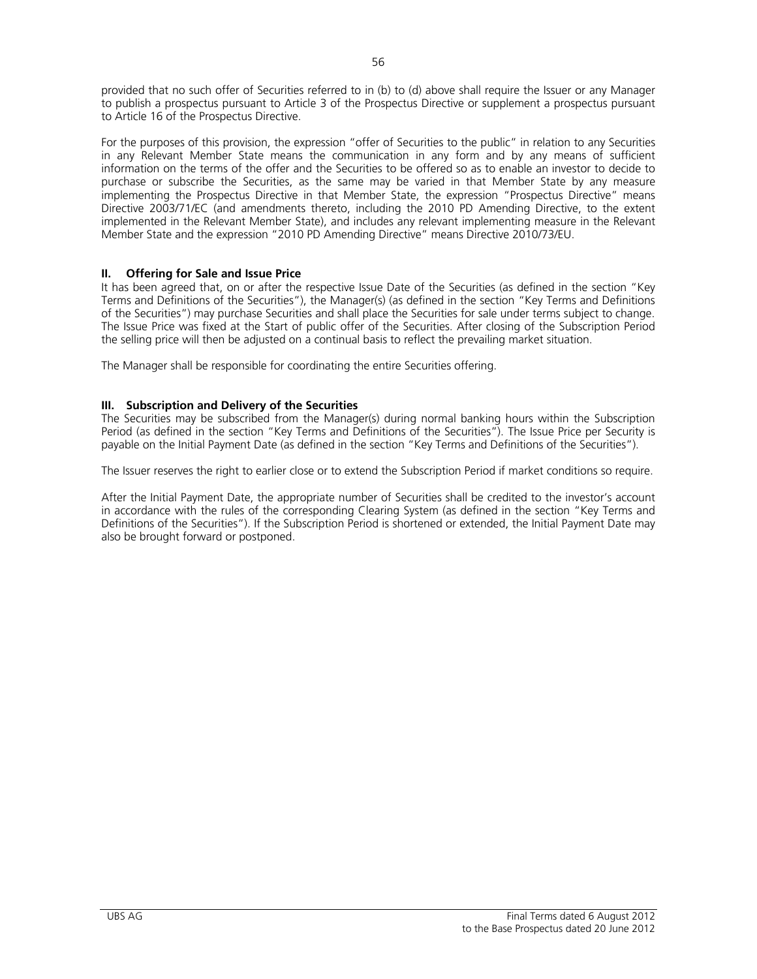provided that no such offer of Securities referred to in (b) to (d) above shall require the Issuer or any Manager to publish a prospectus pursuant to Article 3 of the Prospectus Directive or supplement a prospectus pursuant to Article 16 of the Prospectus Directive.

For the purposes of this provision, the expression "offer of Securities to the public" in relation to any Securities in any Relevant Member State means the communication in any form and by any means of sufficient information on the terms of the offer and the Securities to be offered so as to enable an investor to decide to purchase or subscribe the Securities, as the same may be varied in that Member State by any measure implementing the Prospectus Directive in that Member State, the expression "Prospectus Directive" means Directive 2003/71/EC (and amendments thereto, including the 2010 PD Amending Directive, to the extent implemented in the Relevant Member State), and includes any relevant implementing measure in the Relevant Member State and the expression "2010 PD Amending Directive" means Directive 2010/73/EU.

# **II. Offering for Sale and Issue Price**

It has been agreed that, on or after the respective Issue Date of the Securities (as defined in the section "Key Terms and Definitions of the Securities"), the Manager(s) (as defined in the section "Key Terms and Definitions of the Securities") may purchase Securities and shall place the Securities for sale under terms subject to change. The Issue Price was fixed at the Start of public offer of the Securities. After closing of the Subscription Period the selling price will then be adjusted on a continual basis to reflect the prevailing market situation.

The Manager shall be responsible for coordinating the entire Securities offering.

# **III. Subscription and Delivery of the Securities**

The Securities may be subscribed from the Manager(s) during normal banking hours within the Subscription Period (as defined in the section "Key Terms and Definitions of the Securities"). The Issue Price per Security is payable on the Initial Payment Date (as defined in the section "Key Terms and Definitions of the Securities").

The Issuer reserves the right to earlier close or to extend the Subscription Period if market conditions so require.

After the Initial Payment Date, the appropriate number of Securities shall be credited to the investor's account in accordance with the rules of the corresponding Clearing System (as defined in the section "Key Terms and Definitions of the Securities"). If the Subscription Period is shortened or extended, the Initial Payment Date may also be brought forward or postponed.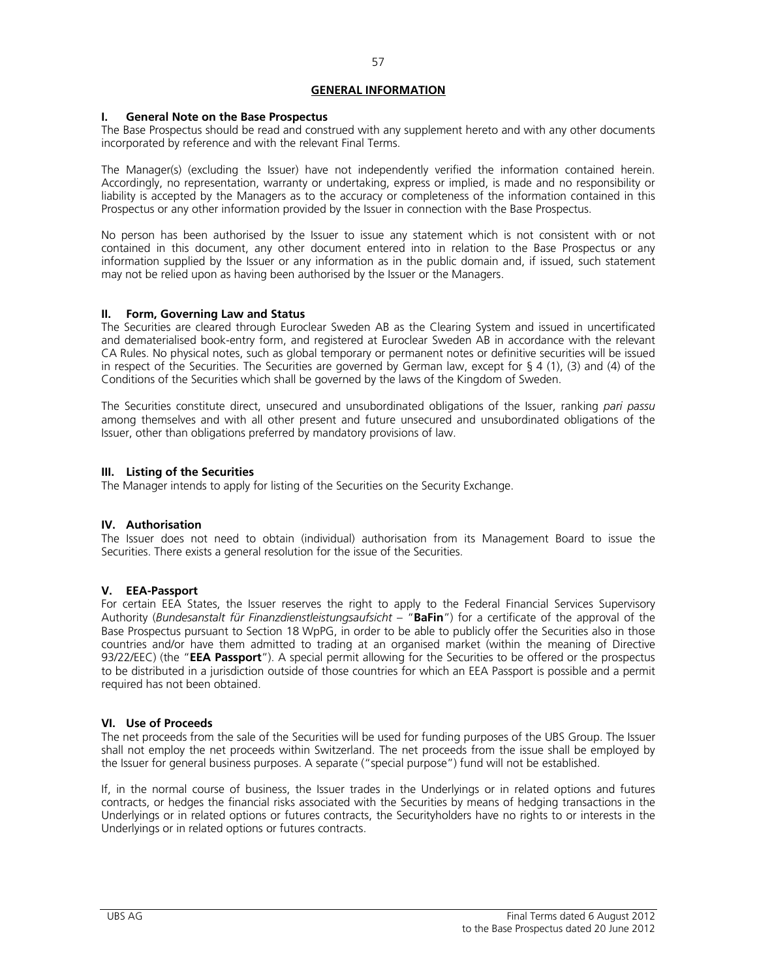### **GENERAL INFORMATION**

#### **I. General Note on the Base Prospectus**

The Base Prospectus should be read and construed with any supplement hereto and with any other documents incorporated by reference and with the relevant Final Terms.

The Manager(s) (excluding the Issuer) have not independently verified the information contained herein. Accordingly, no representation, warranty or undertaking, express or implied, is made and no responsibility or liability is accepted by the Managers as to the accuracy or completeness of the information contained in this Prospectus or any other information provided by the Issuer in connection with the Base Prospectus.

No person has been authorised by the Issuer to issue any statement which is not consistent with or not contained in this document, any other document entered into in relation to the Base Prospectus or any information supplied by the Issuer or any information as in the public domain and, if issued, such statement may not be relied upon as having been authorised by the Issuer or the Managers.

# **II. Form, Governing Law and Status**

The Securities are cleared through Euroclear Sweden AB as the Clearing System and issued in uncertificated and dematerialised book-entry form, and registered at Euroclear Sweden AB in accordance with the relevant CA Rules. No physical notes, such as global temporary or permanent notes or definitive securities will be issued in respect of the Securities. The Securities are governed by German law, except for § 4 (1), (3) and (4) of the Conditions of the Securities which shall be governed by the laws of the Kingdom of Sweden.

The Securities constitute direct, unsecured and unsubordinated obligations of the Issuer, ranking *pari passu* among themselves and with all other present and future unsecured and unsubordinated obligations of the Issuer, other than obligations preferred by mandatory provisions of law.

#### **III. Listing of the Securities**

The Manager intends to apply for listing of the Securities on the Security Exchange.

# **IV. Authorisation**

The Issuer does not need to obtain (individual) authorisation from its Management Board to issue the Securities. There exists a general resolution for the issue of the Securities.

# **V. EEA-Passport**

For certain EEA States, the Issuer reserves the right to apply to the Federal Financial Services Supervisory Authority (*Bundesanstalt für Finanzdienstleistungsaufsicht* – "**BaFin**") for a certificate of the approval of the Base Prospectus pursuant to Section 18 WpPG, in order to be able to publicly offer the Securities also in those countries and/or have them admitted to trading at an organised market (within the meaning of Directive 93/22/EEC) (the "**EEA Passport**"). A special permit allowing for the Securities to be offered or the prospectus to be distributed in a jurisdiction outside of those countries for which an EEA Passport is possible and a permit required has not been obtained.

# **VI. Use of Proceeds**

The net proceeds from the sale of the Securities will be used for funding purposes of the UBS Group. The Issuer shall not employ the net proceeds within Switzerland. The net proceeds from the issue shall be employed by the Issuer for general business purposes. A separate ("special purpose") fund will not be established.

If, in the normal course of business, the Issuer trades in the Underlyings or in related options and futures contracts, or hedges the financial risks associated with the Securities by means of hedging transactions in the Underlyings or in related options or futures contracts, the Securityholders have no rights to or interests in the Underlyings or in related options or futures contracts.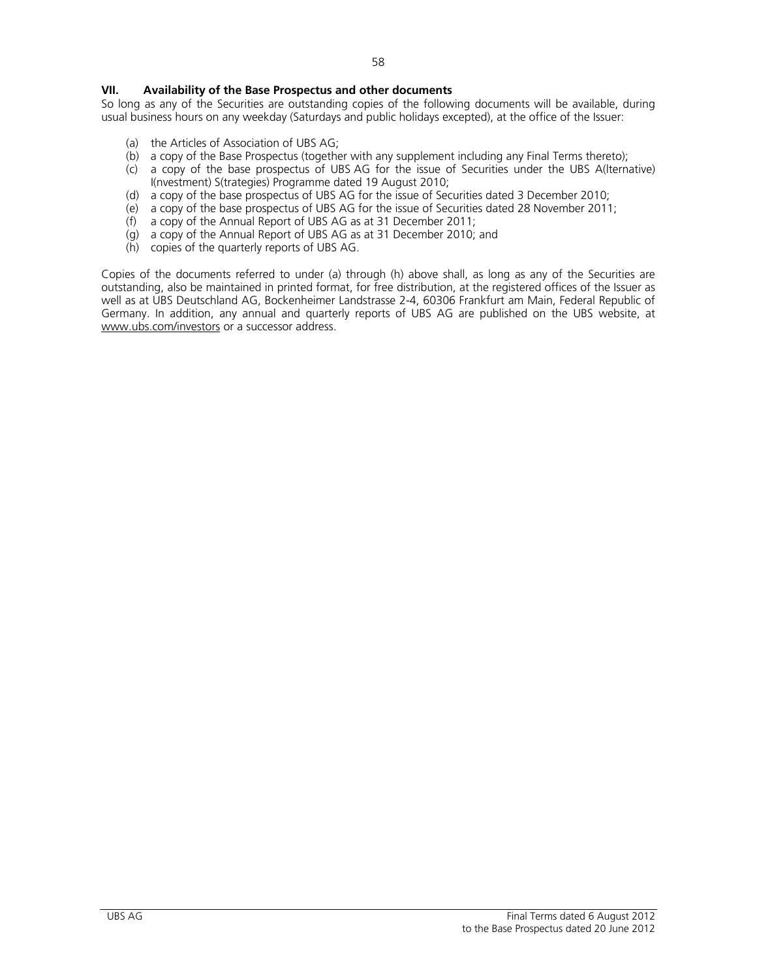# **VII. Availability of the Base Prospectus and other documents**

So long as any of the Securities are outstanding copies of the following documents will be available, during usual business hours on any weekday (Saturdays and public holidays excepted), at the office of the Issuer:

- (a) the Articles of Association of UBS AG;
- (b) a copy of the Base Prospectus (together with any supplement including any Final Terms thereto);
- (c) a copy of the base prospectus of UBS AG for the issue of Securities under the UBS A(lternative) I(nvestment) S(trategies) Programme dated 19 August 2010;
- (d) a copy of the base prospectus of UBS AG for the issue of Securities dated 3 December 2010;
- (e) a copy of the base prospectus of UBS AG for the issue of Securities dated 28 November 2011;
- $(h)$  a copy of the Annual Report of UBS AG as at 31 December 2011;
- (g) a copy of the Annual Report of UBS AG as at 31 December 2010; and
- (h) copies of the quarterly reports of UBS AG.

Copies of the documents referred to under (a) through (h) above shall, as long as any of the Securities are outstanding, also be maintained in printed format, for free distribution, at the registered offices of the Issuer as well as at UBS Deutschland AG, Bockenheimer Landstrasse 2-4, 60306 Frankfurt am Main, Federal Republic of Germany. In addition, any annual and quarterly reports of UBS AG are published on the UBS website, at www.ubs.com/investors or a successor address.